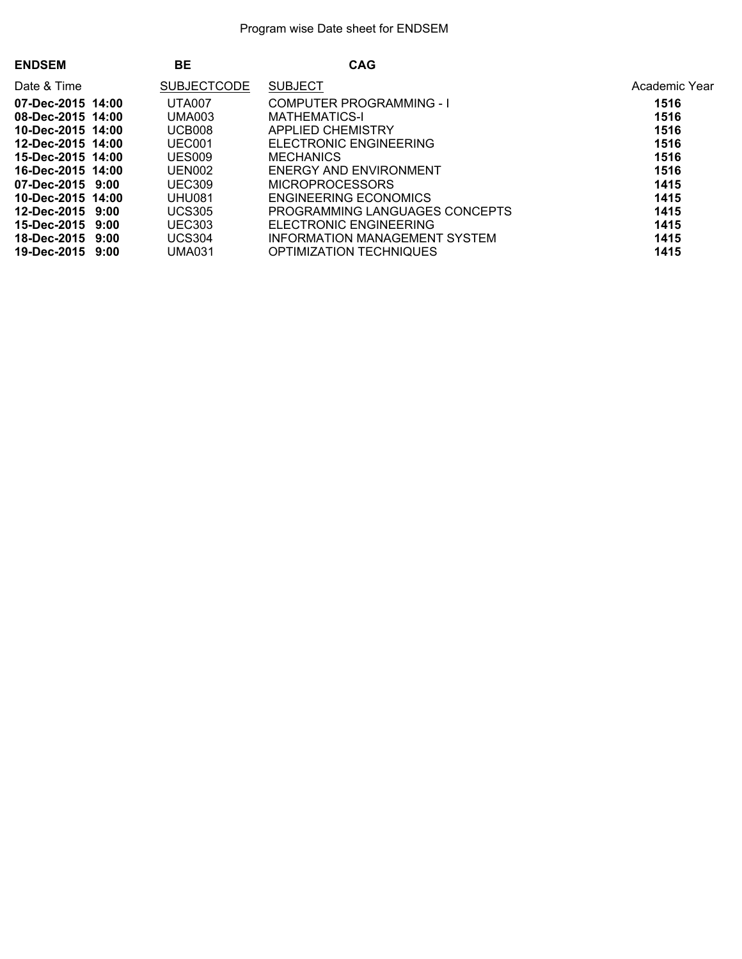| <b>ENDSEM</b>         | <b>BE</b>          | <b>CAG</b>                     |               |
|-----------------------|--------------------|--------------------------------|---------------|
| Date & Time           | <b>SUBJECTCODE</b> | <b>SUBJECT</b>                 | Academic Year |
| 07-Dec-2015 14:00     | UTA007             | COMPUTER PROGRAMMING - I       | 1516          |
| 08-Dec-2015 14:00     | <b>UMA003</b>      | <b>MATHEMATICS-I</b>           | 1516          |
| 10-Dec-2015 14:00     | UCB008             | APPLIED CHEMISTRY              | 1516          |
| 12-Dec-2015 14:00     | UEC001             | ELECTRONIC ENGINEERING         | 1516          |
| 15-Dec-2015 14:00     | <b>UES009</b>      | <b>MECHANICS</b>               | 1516          |
| 16-Dec-2015 14:00     | UEN002             | ENERGY AND ENVIRONMENT         | 1516          |
| 07-Dec-2015 9:00      | <b>UEC309</b>      | <b>MICROPROCESSORS</b>         | 1415          |
| 10-Dec-2015 14:00     | <b>UHU081</b>      | ENGINEERING ECONOMICS          | 1415          |
| $12$ -Dec-2015 $9:00$ | <b>UCS305</b>      | PROGRAMMING LANGUAGES CONCEPTS | 1415          |
| 15-Dec-2015 9:00      | <b>UEC303</b>      | ELECTRONIC ENGINEERING         | 1415          |
| 18-Dec-2015 9:00      | <b>UCS304</b>      | INFORMATION MANAGEMENT SYSTEM  | 1415          |
| 19-Dec-2015 9:00      | UMA031             | OPTIMIZATION TECHNIQUES        | 1415          |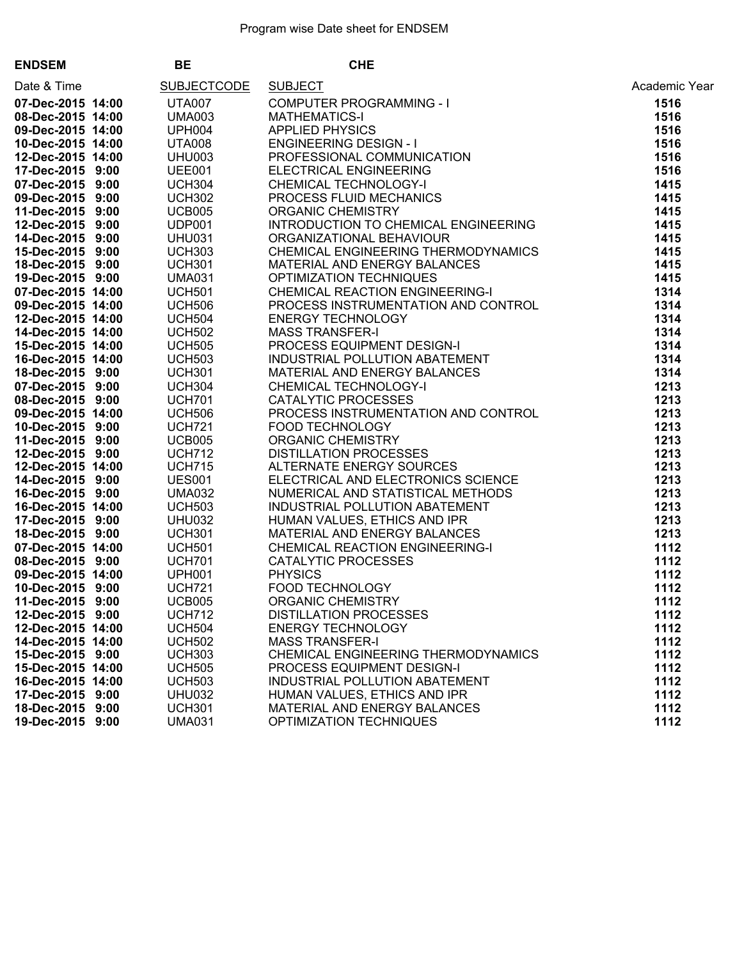| <b>ENDSEM</b>                         | BE                             | <b>CHE</b>                                                                                                                                                                                                                                                               |               |
|---------------------------------------|--------------------------------|--------------------------------------------------------------------------------------------------------------------------------------------------------------------------------------------------------------------------------------------------------------------------|---------------|
| Date & Time                           | <b>SUBJECTCODE</b>             | CHE<br>SUBJECT<br>COMPUTER PROGRAMMING - I<br>MATHEMATICS-I<br>APPLIED PHYSICS<br>ENGINEERING DESIGN - I<br>PROFESSIONAL COMMUNICATION<br>ELECTRICAL ENGINEERING<br>CHEMICAL TECHNOLOGY-I<br>PROCESS FLUID MECHANICS<br>ORGANIC CHEMISTRY<br>INTRODU                     | Academic Year |
| 07-Dec-2015 14:00                     | <b>UTA007</b>                  |                                                                                                                                                                                                                                                                          | 1516          |
| 08-Dec-2015 14:00                     | <b>UMA003</b>                  |                                                                                                                                                                                                                                                                          | 1516          |
| 09-Dec-2015 14:00                     | <b>UPH004</b>                  |                                                                                                                                                                                                                                                                          | 1516          |
| 10-Dec-2015 14:00                     | <b>UTA008</b>                  |                                                                                                                                                                                                                                                                          | 1516          |
| 12-Dec-2015 14:00                     | UHU003                         |                                                                                                                                                                                                                                                                          | 1516          |
| 17-Dec-2015 9:00                      | <b>UEE001</b>                  |                                                                                                                                                                                                                                                                          | 1516          |
| 07-Dec-2015 9:00                      | <b>UCH304</b>                  |                                                                                                                                                                                                                                                                          | 1415          |
| 09-Dec-2015 9:00                      | <b>UCH302</b>                  |                                                                                                                                                                                                                                                                          | 1415          |
| 11-Dec-2015 9:00                      | <b>UCB005</b>                  |                                                                                                                                                                                                                                                                          | 1415          |
| 12-Dec-2015 9:00                      | UDP001                         |                                                                                                                                                                                                                                                                          | 1415          |
| 14-Dec-2015 9:00                      | <b>UHU031</b>                  |                                                                                                                                                                                                                                                                          | 1415          |
| 15-Dec-2015 9:00                      | <b>UCH303</b>                  |                                                                                                                                                                                                                                                                          | 1415          |
| 18-Dec-2015 9:00                      | <b>UCH301</b>                  |                                                                                                                                                                                                                                                                          | 1415          |
| 19-Dec-2015 9:00                      | <b>UMA031</b>                  |                                                                                                                                                                                                                                                                          | 1415          |
| 07-Dec-2015 14:00                     | <b>UCH501</b>                  |                                                                                                                                                                                                                                                                          | 1314          |
| 09-Dec-2015 14:00                     | UCH506<br>UCH506               |                                                                                                                                                                                                                                                                          | 1314          |
| 12-Dec-2015 14:00                     | <b>UCH504</b>                  |                                                                                                                                                                                                                                                                          | 1314          |
| 14-Dec-2015 14:00                     | <b>UCH502</b>                  |                                                                                                                                                                                                                                                                          | 1314          |
| 15-Dec-2015 14:00                     | <b>UCH505</b>                  |                                                                                                                                                                                                                                                                          | 1314          |
| 16-Dec-2015 14:00                     | <b>UCH503</b>                  |                                                                                                                                                                                                                                                                          | 1314          |
| 18-Dec-2015 9:00                      | <b>UCH301</b>                  |                                                                                                                                                                                                                                                                          | 1314          |
| 07-Dec-2015 9:00                      | <b>UCH304</b>                  |                                                                                                                                                                                                                                                                          | 1213          |
| 08-Dec-2015 9:00                      | <b>UCH701</b>                  |                                                                                                                                                                                                                                                                          | 1213          |
| 09-Dec-2015 14:00                     | <b>UCH506</b>                  |                                                                                                                                                                                                                                                                          | 1213          |
| 10-Dec-2015 9:00                      | <b>UCH721</b>                  |                                                                                                                                                                                                                                                                          | 1213          |
| 11-Dec-2015 9:00                      | UCB005                         |                                                                                                                                                                                                                                                                          | 1213          |
| 12-Dec-2015 9:00                      | <b>UCH712</b>                  |                                                                                                                                                                                                                                                                          | 1213          |
| 12-Dec-2015 14:00                     |                                |                                                                                                                                                                                                                                                                          | 1213          |
| 14-Dec-2015 9:00                      | UCH715<br>UES001               |                                                                                                                                                                                                                                                                          | 1213          |
| 16-Dec-2015 9:00                      | <b>UMA032</b>                  |                                                                                                                                                                                                                                                                          | 1213          |
| 16-Dec-2015 14:00                     | <b>UCH503</b>                  |                                                                                                                                                                                                                                                                          | 1213          |
| 17-Dec-2015 9:00                      | <b>UHU032</b>                  |                                                                                                                                                                                                                                                                          | 1213          |
| 18-Dec-2015 9:00                      | <b>UCH301</b>                  |                                                                                                                                                                                                                                                                          | 1213          |
| 07-Dec-2015 14:00                     | <b>UCH501</b>                  |                                                                                                                                                                                                                                                                          | 1112          |
| 08-Dec-2015 9:00                      | <b>UCH701</b>                  |                                                                                                                                                                                                                                                                          | 1112          |
| 09-Dec-2015 14:00                     | <b>UPH001</b>                  |                                                                                                                                                                                                                                                                          | 1112          |
| 10-Dec-2015 9:00                      | <b>UCH721</b>                  |                                                                                                                                                                                                                                                                          | 1112          |
| 11-Dec-2015 9:00                      | <b>UCB005</b>                  |                                                                                                                                                                                                                                                                          | 1112          |
|                                       |                                | <b>DISTILLATION PROCESSES</b>                                                                                                                                                                                                                                            | 1112          |
| 12-Dec-2015 9:00<br>12-Dec-2015 14:00 | <b>UCH712</b><br><b>UCH504</b> | ORGANIC CHEMISTRY<br>INCOLORENT CHEMICAL ENGINEERING<br>ORGANIZATIONAL BEHAVIOUR<br>CHEMICAL ENGINEERING THERMODYNAMICS<br>CHEMICAL ENGINEERING THERMODYNAMICS<br>OPTIMIZATION TECHNIQUES<br>CHEMICAL REACTION ENGINEERING-1<br>CHEMICAL REA<br><b>ENERGY TECHNOLOGY</b> | 1112          |
|                                       |                                | <b>MASS TRANSFER-I</b>                                                                                                                                                                                                                                                   | 1112          |
| 14-Dec-2015 14:00                     | <b>UCH502</b>                  |                                                                                                                                                                                                                                                                          |               |
| 15-Dec-2015 9:00                      | <b>UCH303</b>                  | CHEMICAL ENGINEERING THERMODYNAMICS                                                                                                                                                                                                                                      | 1112          |
| 15-Dec-2015 14:00                     | <b>UCH505</b>                  | PROCESS EQUIPMENT DESIGN-I                                                                                                                                                                                                                                               | 1112          |
| 16-Dec-2015 14:00                     | <b>UCH503</b>                  | INDUSTRIAL POLLUTION ABATEMENT                                                                                                                                                                                                                                           | 1112          |
| 17-Dec-2015 9:00                      | UHU032                         | HUMAN VALUES, ETHICS AND IPR                                                                                                                                                                                                                                             | 1112          |
| 18-Dec-2015 9:00                      | <b>UCH301</b>                  | MATERIAL AND ENERGY BALANCES                                                                                                                                                                                                                                             | 1112          |
| 19-Dec-2015 9:00                      | <b>UMA031</b>                  | OPTIMIZATION TECHNIQUES                                                                                                                                                                                                                                                  | 1112          |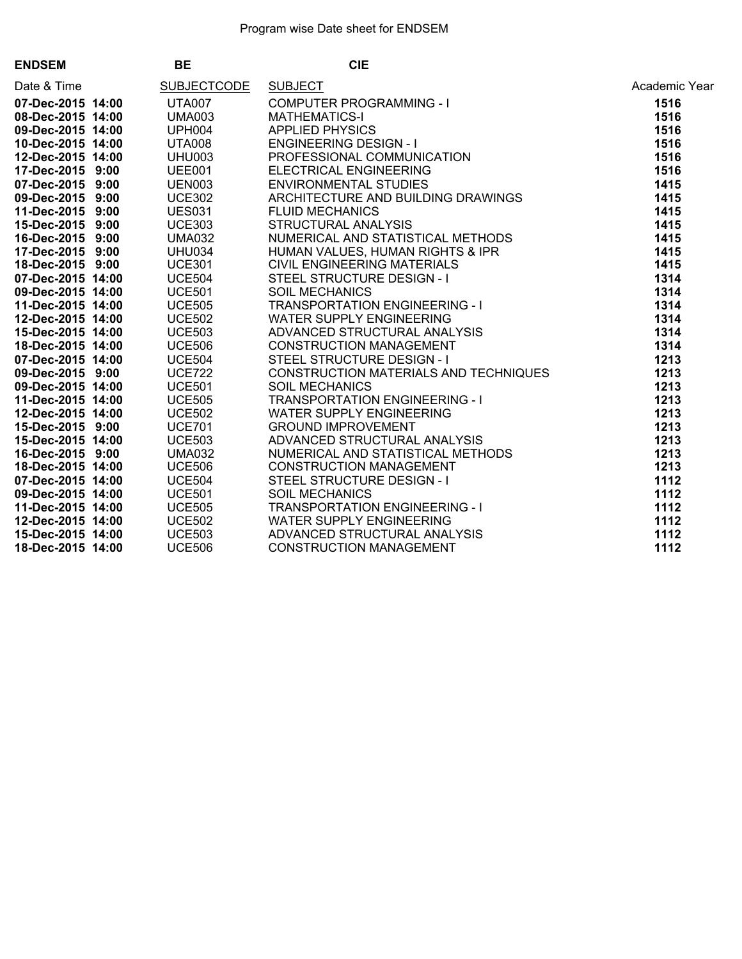| <b>ENDSEM</b>     | <b>BE</b>          | <b>CIE</b>                                                                                                                                                                                                                                         |               |
|-------------------|--------------------|----------------------------------------------------------------------------------------------------------------------------------------------------------------------------------------------------------------------------------------------------|---------------|
| Date & Time       | <b>SUBJECTCODE</b> | CIE<br>SUBJECT<br>COMPUTER PROGRAMMING - I<br>MATHEMATICS-I<br>APPLIED PHYSICS<br>ENGINEERING DESIGN - I<br>PROFESSIONAL COMMUNICATION<br>ENCITICAL ENGINEERING<br>ENVIRONMENTAL STUDIES<br>ARCHITECTURE AND BUILDING DRAWINGS<br>STRUCTURAL ANALY | Academic Year |
| 07-Dec-2015 14:00 | <b>UTA007</b>      |                                                                                                                                                                                                                                                    | 1516          |
| 08-Dec-2015 14:00 | <b>UMA003</b>      |                                                                                                                                                                                                                                                    | 1516          |
| 09-Dec-2015 14:00 | <b>UPH004</b>      |                                                                                                                                                                                                                                                    | 1516          |
| 10-Dec-2015 14:00 | <b>UTA008</b>      |                                                                                                                                                                                                                                                    | 1516          |
| 12-Dec-2015 14:00 | <b>UHU003</b>      |                                                                                                                                                                                                                                                    | 1516          |
| 17-Dec-2015 9:00  | <b>UEE001</b>      |                                                                                                                                                                                                                                                    | 1516          |
| 07-Dec-2015 9:00  | <b>UEN003</b>      |                                                                                                                                                                                                                                                    | 1415          |
| 09-Dec-2015 9:00  | <b>UCE302</b>      |                                                                                                                                                                                                                                                    | 1415          |
| 11-Dec-2015 9:00  | <b>UES031</b>      |                                                                                                                                                                                                                                                    | 1415          |
| 15-Dec-2015 9:00  | <b>UCE303</b>      |                                                                                                                                                                                                                                                    | 1415          |
| 16-Dec-2015 9:00  | <b>UMA032</b>      |                                                                                                                                                                                                                                                    | 1415          |
| 17-Dec-2015 9:00  | <b>UHU034</b>      |                                                                                                                                                                                                                                                    | 1415          |
| 18-Dec-2015 9:00  | <b>UCE301</b>      |                                                                                                                                                                                                                                                    | 1415          |
| 07-Dec-2015 14:00 | <b>UCE504</b>      |                                                                                                                                                                                                                                                    | 1314          |
| 09-Dec-2015 14:00 | <b>UCE501</b>      |                                                                                                                                                                                                                                                    | 1314          |
| 11-Dec-2015 14:00 | <b>UCE505</b>      |                                                                                                                                                                                                                                                    | 1314          |
| 12-Dec-2015 14:00 | <b>UCE502</b>      |                                                                                                                                                                                                                                                    | 1314          |
| 15-Dec-2015 14:00 | <b>UCE503</b>      |                                                                                                                                                                                                                                                    | 1314          |
| 18-Dec-2015 14:00 | <b>UCE506</b>      |                                                                                                                                                                                                                                                    | 1314          |
| 07-Dec-2015 14:00 | <b>UCE504</b>      |                                                                                                                                                                                                                                                    | 1213          |
| 09-Dec-2015 9:00  | <b>UCE722</b>      | CONSTRUCTION MATERIALS AND TECHNIQUES                                                                                                                                                                                                              | 1213          |
| 09-Dec-2015 14:00 | <b>UCE501</b>      |                                                                                                                                                                                                                                                    | 1213          |
| 11-Dec-2015 14:00 | <b>UCE505</b>      |                                                                                                                                                                                                                                                    | 1213          |
| 12-Dec-2015 14:00 | <b>UCE502</b>      |                                                                                                                                                                                                                                                    | 1213          |
| 15-Dec-2015 9:00  | <b>UCE701</b>      |                                                                                                                                                                                                                                                    | 1213          |
| 15-Dec-2015 14:00 | <b>UCE503</b>      |                                                                                                                                                                                                                                                    | 1213          |
| 16-Dec-2015 9:00  | <b>UMA032</b>      |                                                                                                                                                                                                                                                    | 1213          |
| 18-Dec-2015 14:00 | <b>UCE506</b>      |                                                                                                                                                                                                                                                    | 1213          |
| 07-Dec-2015 14:00 | <b>UCE504</b>      | CONSTRUCTION MATERIALS AND TECHNIQUES<br>SOIL MECHANICS<br>TRANSPORTATION ENGINEERING - I<br>WATER SUPPLY ENGINEERING<br>GROUND IMPROVEMENT<br>ADVANCED STRUCTURAL ANALYSIS<br>NUMERICAL AND STATISTICAL METHODS<br>CONSTRUCTION MANAGEMENT<br>    | 1112          |
| 09-Dec-2015 14:00 | <b>UCE501</b>      |                                                                                                                                                                                                                                                    | 1112          |
| 11-Dec-2015 14:00 | <b>UCE505</b>      |                                                                                                                                                                                                                                                    | 1112          |
| 12-Dec-2015 14:00 | <b>UCE502</b>      |                                                                                                                                                                                                                                                    | 1112          |
| 15-Dec-2015 14:00 | <b>UCE503</b>      |                                                                                                                                                                                                                                                    | 1112          |
| 18-Dec-2015 14:00 | <b>UCE506</b>      |                                                                                                                                                                                                                                                    | 1112          |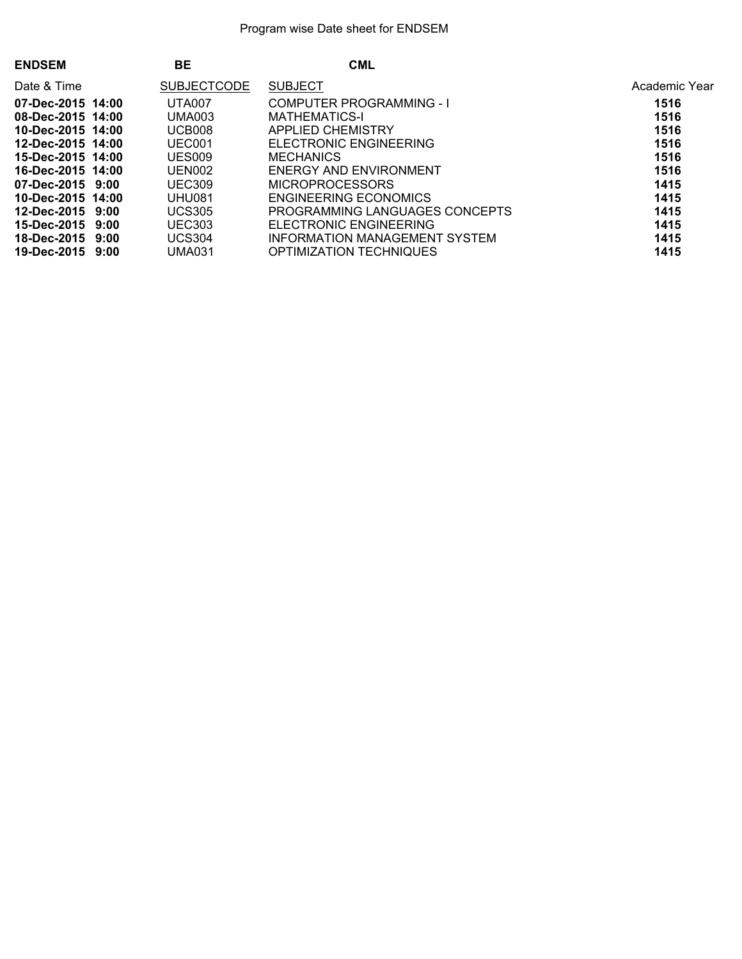| <b>ENDSEM</b>         | BE                 | <b>CML</b>                     |               |
|-----------------------|--------------------|--------------------------------|---------------|
| Date & Time           | <b>SUBJECTCODE</b> | <b>SUBJECT</b>                 | Academic Year |
| 07-Dec-2015 14:00     | <b>UTA007</b>      | COMPUTER PROGRAMMING - I       | 1516          |
| 08-Dec-2015 14:00     | UMA003             | <b>MATHEMATICS-I</b>           | 1516          |
| 10-Dec-2015 14:00     | UCB008             | APPLIED CHEMISTRY              | 1516          |
| 12-Dec-2015 14:00     | UEC001             | ELECTRONIC ENGINEERING         | 1516          |
| 15-Dec-2015 14:00     | UES009             | <b>MECHANICS</b>               | 1516          |
| 16-Dec-2015 14:00     | UEN002             | ENERGY AND ENVIRONMENT         | 1516          |
| 07-Dec-2015 9:00      | <b>UEC309</b>      | <b>MICROPROCESSORS</b>         | 1415          |
| 10-Dec-2015 14:00     | <b>UHU081</b>      | ENGINEERING ECONOMICS          | 1415          |
| $12$ -Dec-2015 $9:00$ | <b>UCS305</b>      | PROGRAMMING LANGUAGES CONCEPTS | 1415          |
| 15-Dec-2015 9:00      | <b>UEC303</b>      | ELECTRONIC ENGINEERING         | 1415          |
| 18-Dec-2015 9:00      | <b>UCS304</b>      | INFORMATION MANAGEMENT SYSTEM  | 1415          |
| 19-Dec-2015 9:00      | UMA031             | OPTIMIZATION TECHNIQUES        | 1415          |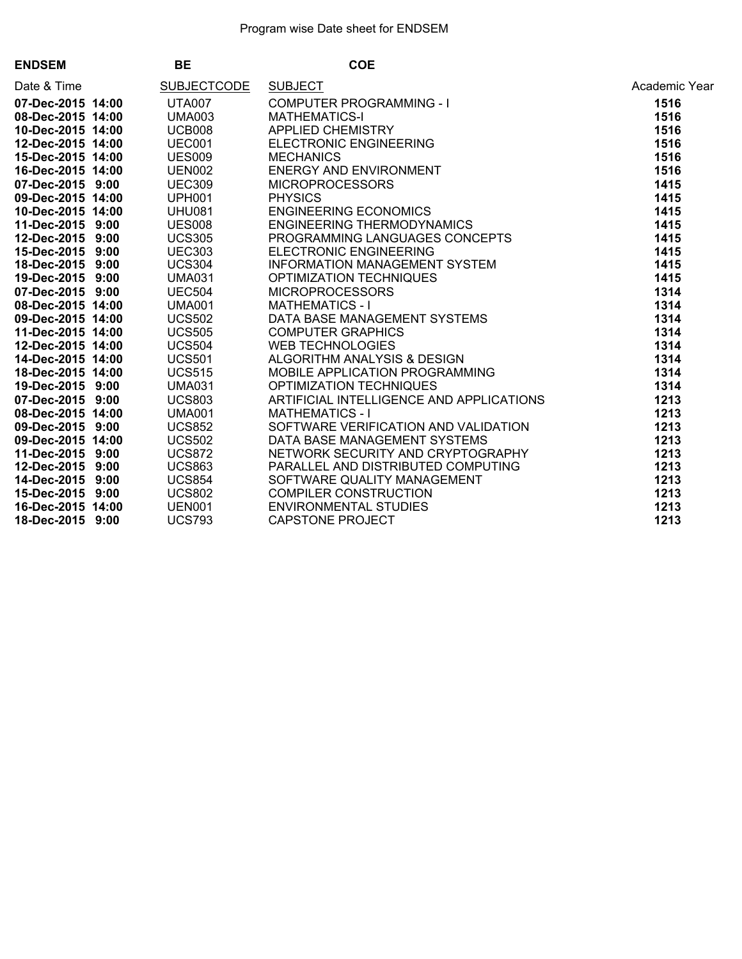| <b>ENDSEM</b>     | <b>BE</b>          | <b>COE</b>                                                                                                                                                                                                                                               |               |
|-------------------|--------------------|----------------------------------------------------------------------------------------------------------------------------------------------------------------------------------------------------------------------------------------------------------|---------------|
| Date & Time       | <b>SUBJECTCODE</b> | COE<br>COMPUTER PROGRAMMING - I<br>MATHEMATICS-I<br>MATHEMATICS-I<br>MECHANICS<br>ELECTRONIC ENGINEERING<br>ENERGY AND ENVIRONMENT<br>MICROPROCESSORS<br>PHYSICS<br>PHYSICS<br>PHYSICS<br>FRIGINEERING ECONOMICS<br>ENGINEERING TEMPOOTAMICS<br>PROGRAMM | Academic Year |
| 07-Dec-2015 14:00 | <b>UTA007</b>      |                                                                                                                                                                                                                                                          | 1516          |
| 08-Dec-2015 14:00 | <b>UMA003</b>      |                                                                                                                                                                                                                                                          | 1516          |
| 10-Dec-2015 14:00 | UCB008             |                                                                                                                                                                                                                                                          | 1516          |
| 12-Dec-2015 14:00 | UEC001             |                                                                                                                                                                                                                                                          | 1516          |
| 15-Dec-2015 14:00 | <b>UES009</b>      |                                                                                                                                                                                                                                                          | 1516          |
| 16-Dec-2015 14:00 | <b>UEN002</b>      |                                                                                                                                                                                                                                                          | 1516          |
| 07-Dec-2015 9:00  | <b>UEC309</b>      |                                                                                                                                                                                                                                                          | 1415          |
| 09-Dec-2015 14:00 | <b>UPH001</b>      |                                                                                                                                                                                                                                                          | 1415          |
| 10-Dec-2015 14:00 | <b>UHU081</b>      |                                                                                                                                                                                                                                                          | 1415          |
| 11-Dec-2015 9:00  | <b>UES008</b>      |                                                                                                                                                                                                                                                          | 1415          |
| 12-Dec-2015 9:00  | <b>UCS305</b>      |                                                                                                                                                                                                                                                          | 1415          |
| 15-Dec-2015 9:00  | <b>UEC303</b>      |                                                                                                                                                                                                                                                          | 1415          |
| 18-Dec-2015 9:00  | <b>UCS304</b>      |                                                                                                                                                                                                                                                          | 1415          |
| 19-Dec-2015 9:00  | <b>UMA031</b>      |                                                                                                                                                                                                                                                          | 1415          |
| 07-Dec-2015 9:00  | <b>UEC504</b>      |                                                                                                                                                                                                                                                          | 1314          |
| 08-Dec-2015 14:00 | <b>UMA001</b>      |                                                                                                                                                                                                                                                          | 1314          |
| 09-Dec-2015 14:00 | <b>UCS502</b>      |                                                                                                                                                                                                                                                          | 1314          |
| 11-Dec-2015 14:00 | <b>UCS505</b>      |                                                                                                                                                                                                                                                          | 1314          |
| 12-Dec-2015 14:00 | <b>UCS504</b>      |                                                                                                                                                                                                                                                          | 1314          |
| 14-Dec-2015 14:00 | <b>UCS501</b>      |                                                                                                                                                                                                                                                          | 1314          |
| 18-Dec-2015 14:00 | <b>UCS515</b>      |                                                                                                                                                                                                                                                          | 1314          |
| 19-Dec-2015 9:00  | <b>UMA031</b>      |                                                                                                                                                                                                                                                          | 1314          |
| 07-Dec-2015 9:00  | <b>UCS803</b>      | ARTIFICIAL INTELLIGENCE AND APPLICATIONS                                                                                                                                                                                                                 | 1213          |
| 08-Dec-2015 14:00 | <b>UMA001</b>      | <b>MATHEMATICS - I</b>                                                                                                                                                                                                                                   | 1213          |
| 09-Dec-2015 9:00  | <b>UCS852</b>      | SOFTWARE VERIFICATION AND VALIDATION                                                                                                                                                                                                                     | 1213          |
| 09-Dec-2015 14:00 | <b>UCS502</b>      | DATA BASE MANAGEMENT SYSTEMS                                                                                                                                                                                                                             | 1213          |
| 11-Dec-2015 9:00  | <b>UCS872</b>      | NETWORK SECURITY AND CRYPTOGRAPHY                                                                                                                                                                                                                        | 1213          |
| 12-Dec-2015 9:00  | <b>UCS863</b>      | PARALLEL AND DISTRIBUTED COMPUTING<br>SOFTWARE QUALITY MANAGEMENT<br>COMPILER CONSTRUCTION<br>ENVIRONMENTAL STUDIES<br>CAPSTONE PROJECT                                                                                                                  | 1213          |
| 14-Dec-2015 9:00  | <b>UCS854</b>      |                                                                                                                                                                                                                                                          | 1213          |
| 15-Dec-2015 9:00  | <b>UCS802</b>      |                                                                                                                                                                                                                                                          | 1213          |
| 16-Dec-2015 14:00 | <b>UEN001</b>      |                                                                                                                                                                                                                                                          | 1213          |
| 18-Dec-2015 9:00  | <b>UCS793</b>      |                                                                                                                                                                                                                                                          | 1213          |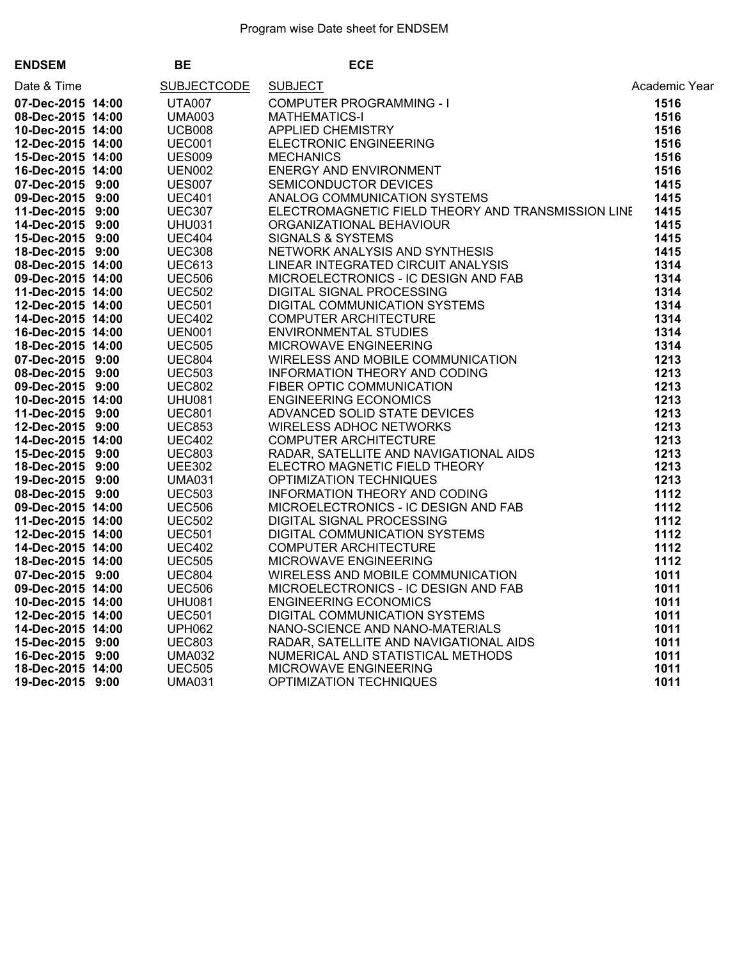| <b>ENDSEM</b>     | BE |                    | <b>ECE</b>                                                                                                                                                                                                                                          |               |
|-------------------|----|--------------------|-----------------------------------------------------------------------------------------------------------------------------------------------------------------------------------------------------------------------------------------------------|---------------|
| Date & Time       |    | <b>SUBJECTCODE</b> | SUBJECT<br>COMPUTER PROGRAMMING - I<br>MATHEMATICS-I<br>APPLIED CHEMISTRY<br>ELECTRONIC ENGINEERING<br>MECHANICS<br>ENERGY AND ENVIRONMENT<br>SEMICONDUCTOR DEVICES<br>ANALOG COMMUNICATION SYSTEMS<br>FLECTPOMAGNETIC FIELD THEOPY AND TRANSMIS    | Academic Year |
| 07-Dec-2015 14:00 |    | <b>UTA007</b>      |                                                                                                                                                                                                                                                     | 1516          |
| 08-Dec-2015 14:00 |    | <b>UMA003</b>      |                                                                                                                                                                                                                                                     | 1516          |
| 10-Dec-2015 14:00 |    | <b>UCB008</b>      |                                                                                                                                                                                                                                                     | 1516          |
| 12-Dec-2015 14:00 |    | <b>UEC001</b>      |                                                                                                                                                                                                                                                     | 1516          |
| 15-Dec-2015 14:00 |    | <b>UES009</b>      |                                                                                                                                                                                                                                                     | 1516          |
| 16-Dec-2015 14:00 |    | <b>UEN002</b>      |                                                                                                                                                                                                                                                     | 1516          |
| 07-Dec-2015 9:00  |    | <b>UES007</b>      |                                                                                                                                                                                                                                                     | 1415          |
| 09-Dec-2015 9:00  |    | <b>UEC401</b>      |                                                                                                                                                                                                                                                     | 1415          |
| 11-Dec-2015 9:00  |    | <b>UEC307</b>      | ELECTROMAGNETIC FIELD THEORY AND TRANSMISSION LINE                                                                                                                                                                                                  | 1415          |
| 14-Dec-2015 9:00  |    | <b>UHU031</b>      |                                                                                                                                                                                                                                                     | 1415          |
| 15-Dec-2015 9:00  |    | <b>UEC404</b>      |                                                                                                                                                                                                                                                     | 1415          |
| 18-Dec-2015 9:00  |    | <b>UEC308</b>      |                                                                                                                                                                                                                                                     | 1415          |
| 08-Dec-2015 14:00 |    | <b>UEC613</b>      |                                                                                                                                                                                                                                                     | 1314          |
| 09-Dec-2015 14:00 |    | <b>UEC506</b>      |                                                                                                                                                                                                                                                     | 1314          |
| 11-Dec-2015 14:00 |    | <b>UEC502</b>      |                                                                                                                                                                                                                                                     | 1314          |
| 12-Dec-2015 14:00 |    | <b>UEC501</b>      |                                                                                                                                                                                                                                                     | 1314          |
| 14-Dec-2015 14:00 |    | <b>UEC402</b>      |                                                                                                                                                                                                                                                     | 1314          |
| 16-Dec-2015 14:00 |    | <b>UEN001</b>      |                                                                                                                                                                                                                                                     | 1314          |
| 18-Dec-2015 14:00 |    | <b>UEC505</b>      |                                                                                                                                                                                                                                                     | 1314          |
| 07-Dec-2015 9:00  |    | UEC804             |                                                                                                                                                                                                                                                     | 1213          |
| 08-Dec-2015 9:00  |    | <b>UEC503</b>      |                                                                                                                                                                                                                                                     | 1213          |
| 09-Dec-2015 9:00  |    | <b>UEC802</b>      |                                                                                                                                                                                                                                                     | 1213          |
| 10-Dec-2015 14:00 |    | <b>UHU081</b>      |                                                                                                                                                                                                                                                     | 1213          |
| 11-Dec-2015 9:00  |    | <b>UEC801</b>      |                                                                                                                                                                                                                                                     | 1213          |
| 12-Dec-2015 9:00  |    | <b>UEC853</b>      |                                                                                                                                                                                                                                                     | 1213          |
| 14-Dec-2015 14:00 |    | <b>UEC402</b>      |                                                                                                                                                                                                                                                     | 1213          |
| 15-Dec-2015 9:00  |    | <b>UEC803</b>      |                                                                                                                                                                                                                                                     | 1213          |
| 18-Dec-2015 9:00  |    | <b>UEE302</b>      |                                                                                                                                                                                                                                                     | 1213          |
| 19-Dec-2015 9:00  |    | <b>UMA031</b>      |                                                                                                                                                                                                                                                     | 1213          |
| 08-Dec-2015 9:00  |    | <b>UEC503</b>      |                                                                                                                                                                                                                                                     | 1112          |
| 09-Dec-2015 14:00 |    | <b>UEC506</b>      |                                                                                                                                                                                                                                                     | 1112          |
| 11-Dec-2015 14:00 |    | <b>UEC502</b>      |                                                                                                                                                                                                                                                     | 1112          |
| 12-Dec-2015 14:00 |    | <b>UEC501</b>      |                                                                                                                                                                                                                                                     | 1112          |
| 14-Dec-2015 14:00 |    | <b>UEC402</b>      |                                                                                                                                                                                                                                                     | 1112          |
| 18-Dec-2015 14:00 |    | <b>UEC505</b>      |                                                                                                                                                                                                                                                     | 1112          |
| 07-Dec-2015 9:00  |    | <b>UEC804</b>      |                                                                                                                                                                                                                                                     | 1011          |
| 09-Dec-2015 14:00 |    | <b>UEC506</b>      |                                                                                                                                                                                                                                                     | 1011          |
| 10-Dec-2015 14:00 |    | <b>UHU081</b>      |                                                                                                                                                                                                                                                     | 1011          |
| 12-Dec-2015 14:00 |    | <b>UEC501</b>      |                                                                                                                                                                                                                                                     | 1011          |
| 14-Dec-2015 14:00 |    | <b>UPH062</b>      |                                                                                                                                                                                                                                                     | 1011          |
| 15-Dec-2015 9:00  |    | <b>UEC803</b>      |                                                                                                                                                                                                                                                     | 1011          |
| 16-Dec-2015 9:00  |    | <b>UMA032</b>      |                                                                                                                                                                                                                                                     | 1011          |
| 18-Dec-2015 14:00 |    | <b>UEC505</b>      |                                                                                                                                                                                                                                                     | 1011          |
| 19-Dec-2015 9:00  |    | <b>UMA031</b>      | ANALOG COMMUNICATION SYSTEMS<br>ELECTROMAGNETIC FIELD THEORY AND TRANSMISSION LINE<br>ORGANIZATIONAL BEHAVIOUR<br>SIGNALS & SYSTEMS<br>NETWORK ANALYSIS AND SYNTHESIS<br>NETWORK ANALYSIS AND SYNTHESIS<br>MICROELECTRONICS - IC DESIGN AND FAB<br> | 1011          |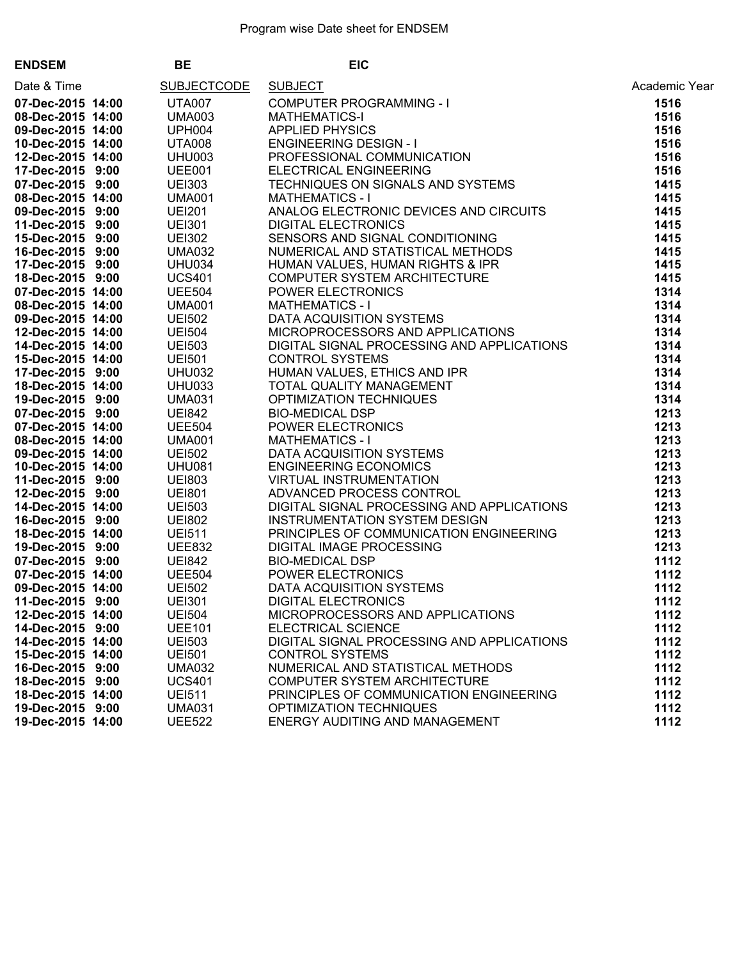| <b>ENDSEM</b>     | <b>BE</b>                  | <b>EIC</b>                                                                                                                                                                                                                                          |               |
|-------------------|----------------------------|-----------------------------------------------------------------------------------------------------------------------------------------------------------------------------------------------------------------------------------------------------|---------------|
| Date & Time       | <b>SUBJECTCODE</b>         | EIC<br>EIC<br>COMPUTER PROGRAMMING - I<br>MATHEMATICS-I<br>APPLIED PHYSICS<br>ENGINEERING DESIGN - I<br>PROFESSIONAL COMMUNICATION<br>PROFESSIONAL COMMUNICATION<br>TECHNIQUES ON SIGNALS AND SYSTEMS<br>ANALOG ELECTRONIC DEVICES AND CIRCUITS<br> | Academic Year |
| 07-Dec-2015 14:00 | <b>UTA007</b>              |                                                                                                                                                                                                                                                     | 1516          |
| 08-Dec-2015 14:00 | UMA003<br>UPH004           |                                                                                                                                                                                                                                                     | 1516          |
| 09-Dec-2015 14:00 |                            |                                                                                                                                                                                                                                                     | 1516          |
| 10-Dec-2015 14:00 | <b>UTA008</b>              |                                                                                                                                                                                                                                                     | 1516          |
| 12-Dec-2015 14:00 | <b>UHU003</b>              |                                                                                                                                                                                                                                                     | 1516          |
| 17-Dec-2015 9:00  | UEE001                     |                                                                                                                                                                                                                                                     | 1516          |
| 07-Dec-2015 9:00  | <b>UEI303</b>              |                                                                                                                                                                                                                                                     | 1415          |
| 08-Dec-2015 14:00 | <b>UMA001</b>              |                                                                                                                                                                                                                                                     | 1415          |
| 09-Dec-2015 9:00  | UEI301<br>UEI301<br>UEI300 |                                                                                                                                                                                                                                                     | 1415          |
| 11-Dec-2015 9:00  |                            |                                                                                                                                                                                                                                                     | 1415          |
| 15-Dec-2015 9:00  | <b>UEI302</b>              |                                                                                                                                                                                                                                                     | 1415          |
| 16-Dec-2015 9:00  | <b>UMA032</b>              |                                                                                                                                                                                                                                                     | 1415          |
| 17-Dec-2015 9:00  | <b>UHU034</b>              |                                                                                                                                                                                                                                                     | 1415          |
| 18-Dec-2015 9:00  | <b>UCS401</b>              |                                                                                                                                                                                                                                                     | 1415          |
| 07-Dec-2015 14:00 | <b>UEE504</b>              |                                                                                                                                                                                                                                                     | 1314          |
| 08-Dec-2015 14:00 |                            |                                                                                                                                                                                                                                                     | 1314          |
| 09-Dec-2015 14:00 |                            |                                                                                                                                                                                                                                                     | 1314          |
| 12-Dec-2015 14:00 | UMA001<br>UEI502<br>UEI504 |                                                                                                                                                                                                                                                     | 1314          |
| 14-Dec-2015 14:00 | <b>UEI503</b>              |                                                                                                                                                                                                                                                     | 1314          |
| 15-Dec-2015 14:00 | <b>UEI501</b>              |                                                                                                                                                                                                                                                     | 1314          |
| 17-Dec-2015 9:00  | <b>UHU032</b>              |                                                                                                                                                                                                                                                     | 1314          |
|                   | <b>UHU033</b>              |                                                                                                                                                                                                                                                     | 1314          |
| 18-Dec-2015 14:00 |                            |                                                                                                                                                                                                                                                     |               |
| 19-Dec-2015 9:00  | <b>UMA031</b>              |                                                                                                                                                                                                                                                     | 1314          |
| 07-Dec-2015 9:00  | <b>UE1842</b>              |                                                                                                                                                                                                                                                     | 1213          |
| 07-Dec-2015 14:00 | <b>UEE504</b>              |                                                                                                                                                                                                                                                     | 1213          |
| 08-Dec-2015 14:00 | <b>UMA001</b>              |                                                                                                                                                                                                                                                     | 1213          |
| 09-Dec-2015 14:00 | <b>UEI502</b>              |                                                                                                                                                                                                                                                     | 1213          |
| 10-Dec-2015 14:00 | <b>UHU081</b>              |                                                                                                                                                                                                                                                     | 1213          |
| 11-Dec-2015 9:00  | UE1803<br>UE1801<br>UE1503 |                                                                                                                                                                                                                                                     | 1213          |
| 12-Dec-2015 9:00  |                            |                                                                                                                                                                                                                                                     | 1213          |
| 14-Dec-2015 14:00 |                            | DIGITAL SIGNAL PROCESSING AND APPLICATIONS<br>INSTRUMENTATION SYSTEM DESIGN                                                                                                                                                                         | 1213          |
| 16-Dec-2015 9:00  | <b>UE1802</b>              | <b>INSTRUMENTATION SYSTEM DESIGN</b>                                                                                                                                                                                                                | 1213          |
| 18-Dec-2015 14:00 | <b>UEI511</b>              |                                                                                                                                                                                                                                                     | 1213          |
| 19-Dec-2015 9:00  | <b>UEE832</b>              |                                                                                                                                                                                                                                                     | 1213          |
| 07-Dec-2015 9:00  | <b>UE1842</b>              |                                                                                                                                                                                                                                                     | 1112          |
| 07-Dec-2015 14:00 | <b>UEE504</b>              | <b>PRINCIPLES OF COMMUNICATION ENGINEERING<br/>DIGITAL IMAGE PROCESSING<br/>BIO-MEDICAL DSP<br/>POWER ELECTRONICS<br/>DATA ACQUISITION SYSTEMS<br/>DIGITAL ELECTRONICS</b>                                                                          | 1112          |
| 09-Dec-2015 14:00 | <b>UEI502</b>              |                                                                                                                                                                                                                                                     | 1112          |
| 11-Dec-2015 9:00  | <b>UEI301</b>              | <b>DIGITAL ELECTRONICS</b>                                                                                                                                                                                                                          | 1112          |
| 12-Dec-2015 14:00 | <b>UEI504</b>              | MICROPROCESSORS AND APPLICATIONS                                                                                                                                                                                                                    | 1112          |
| 14-Dec-2015 9:00  | <b>UEE101</b>              | <b>ELECTRICAL SCIENCE</b>                                                                                                                                                                                                                           | 1112          |
| 14-Dec-2015 14:00 | <b>UEI503</b>              | DIGITAL SIGNAL PROCESSING AND APPLICATIONS                                                                                                                                                                                                          | 1112          |
| 15-Dec-2015 14:00 | <b>UEI501</b>              | <b>CONTROL SYSTEMS</b>                                                                                                                                                                                                                              | 1112          |
| 16-Dec-2015 9:00  | <b>UMA032</b>              | NUMERICAL AND STATISTICAL METHODS                                                                                                                                                                                                                   | 1112          |
| 18-Dec-2015 9:00  | <b>UCS401</b>              | COMPUTER SYSTEM ARCHITECTURE                                                                                                                                                                                                                        | 1112          |
| 18-Dec-2015 14:00 | <b>UEI511</b>              | PRINCIPLES OF COMMUNICATION ENGINEERING                                                                                                                                                                                                             | 1112          |
| 19-Dec-2015 9:00  | <b>UMA031</b>              | OPTIMIZATION TECHNIQUES                                                                                                                                                                                                                             | 1112          |
| 19-Dec-2015 14:00 | <b>UEE522</b>              | <b>ENERGY AUDITING AND MANAGEMENT</b>                                                                                                                                                                                                               | 1112          |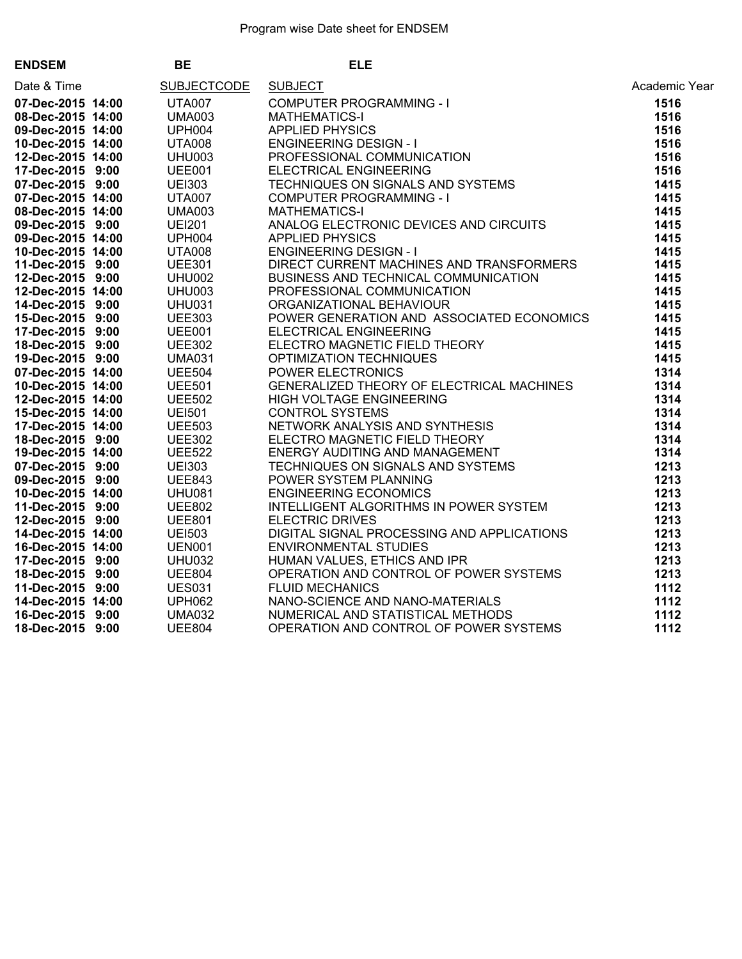| <b>ENDSEM</b>            | BE                         | <b>ELE</b>                                                                                                                                                                                                                                     |               |
|--------------------------|----------------------------|------------------------------------------------------------------------------------------------------------------------------------------------------------------------------------------------------------------------------------------------|---------------|
| Date & Time              | SUBJECTCODE SUBJECT        | ELE COMPUTER PROGRAMMING - I<br>MATHEMATICS-1<br>MATHEMATICS - AND MORE CONDUCATION<br>AND MERICULATION DESIGN - I<br>AND MERICING DESIGN - I<br>THE CERVICAL ENGINEERING<br>COMPUTER PROGRAMMING - I<br>MATHEMATICS-1<br>COMPUTER PROGRAMMING | Academic Year |
| 07-Dec-2015 14:00 UTA007 |                            |                                                                                                                                                                                                                                                | 1516          |
| 08-Dec-2015 14:00        | <b>UMA003</b>              |                                                                                                                                                                                                                                                | 1516          |
| 09-Dec-2015 14:00        |                            |                                                                                                                                                                                                                                                | 1516          |
| 10-Dec-2015 14:00        |                            |                                                                                                                                                                                                                                                | 1516          |
| 12-Dec-2015 14:00        | UPH004<br>UTA008<br>UHU003 |                                                                                                                                                                                                                                                | 1516          |
| 17-Dec-2015 9:00         | <b>UEE001</b>              |                                                                                                                                                                                                                                                | 1516          |
| 07-Dec-2015 9:00         | UEI303<br>UTA007<br>UMA003 |                                                                                                                                                                                                                                                | 1415          |
| 07-Dec-2015 14:00        |                            |                                                                                                                                                                                                                                                | 1415          |
| 08-Dec-2015 14:00        |                            |                                                                                                                                                                                                                                                | 1415          |
| 09-Dec-2015 9:00         | <b>UEI201</b>              |                                                                                                                                                                                                                                                | 1415          |
| 09-Dec-2015 14:00        |                            |                                                                                                                                                                                                                                                | 1415          |
| 10-Dec-2015 14:00        | UPH004<br>UTA008<br>UEE301 |                                                                                                                                                                                                                                                | 1415          |
| 11-Dec-2015 9:00         |                            |                                                                                                                                                                                                                                                | 1415          |
| 12-Dec-2015 9:00         | <b>UHU002</b>              |                                                                                                                                                                                                                                                | 1415          |
| 12-Dec-2015 14:00        | UHU003<br>UHU031           |                                                                                                                                                                                                                                                | 1415          |
| 14-Dec-2015 9:00         |                            |                                                                                                                                                                                                                                                | 1415          |
| 15-Dec-2015 9:00         | <b>UEE303</b>              |                                                                                                                                                                                                                                                | 1415          |
| 17-Dec-2015 9:00         | <b>UEE001</b>              |                                                                                                                                                                                                                                                | 1415          |
| 18-Dec-2015 9:00         |                            |                                                                                                                                                                                                                                                | 1415          |
| 19-Dec-2015 9:00         | UEE302<br>UMA031<br>UEE504 |                                                                                                                                                                                                                                                | 1415          |
| 07-Dec-2015 14:00        |                            |                                                                                                                                                                                                                                                | 1314          |
| 10-Dec-2015 14:00        | <b>UEE501</b>              |                                                                                                                                                                                                                                                | 1314          |
| 12-Dec-2015 14:00        | UEE502<br>UEI501<br>UEE503 |                                                                                                                                                                                                                                                | 1314          |
| 15-Dec-2015 14:00        |                            |                                                                                                                                                                                                                                                | 1314          |
| 17-Dec-2015 14:00        |                            |                                                                                                                                                                                                                                                | 1314          |
| 18-Dec-2015 9:00         | <b>UEE302</b>              |                                                                                                                                                                                                                                                | 1314          |
| 19-Dec-2015 14:00        | UEE522<br>UEI303<br>UEE843 |                                                                                                                                                                                                                                                | 1314          |
| 07-Dec-2015 9:00         |                            |                                                                                                                                                                                                                                                | 1213          |
| 09-Dec-2015 9:00         |                            |                                                                                                                                                                                                                                                | 1213          |
| 10-Dec-2015 14:00        | <b>UHU081</b>              |                                                                                                                                                                                                                                                | 1213          |
| 11-Dec-2015 9:00         | UEE802<br>UEE801<br>UEI503 |                                                                                                                                                                                                                                                | 1213          |
| 12-Dec-2015 9:00         |                            |                                                                                                                                                                                                                                                | 1213          |
| 14-Dec-2015 14:00        |                            |                                                                                                                                                                                                                                                | 1213          |
| 16-Dec-2015 14:00        | <b>UEN001</b>              |                                                                                                                                                                                                                                                | 1213          |
| 17-Dec-2015 9:00         | UHU032<br>UEE804           |                                                                                                                                                                                                                                                | 1213          |
| 18-Dec-2015 9:00         |                            |                                                                                                                                                                                                                                                | 1213          |
| 11-Dec-2015 9:00         | <b>UES031</b>              |                                                                                                                                                                                                                                                | 1112          |
| 14-Dec-2015 14:00        | <b>UPH062</b>              |                                                                                                                                                                                                                                                | 1112          |
| 16-Dec-2015 9:00         | <b>UMA032</b>              |                                                                                                                                                                                                                                                | 1112          |
| 18-Dec-2015 9:00         | <b>UEE804</b>              |                                                                                                                                                                                                                                                | 1112          |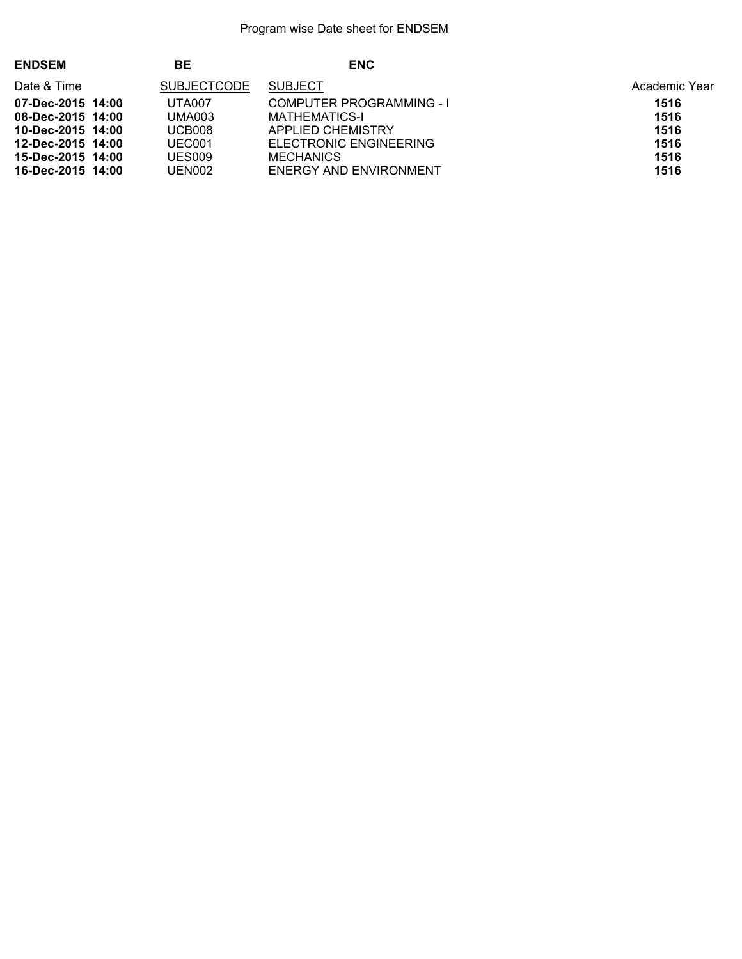| <b>ENDSEM</b>     | BЕ                 | <b>ENC</b>                      |               |
|-------------------|--------------------|---------------------------------|---------------|
| Date & Time       | <b>SUBJECTCODE</b> | <b>SUBJECT</b>                  | Academic Year |
| 07-Dec-2015 14:00 | UTA007             | <b>COMPUTER PROGRAMMING - I</b> | 1516          |
| 08-Dec-2015 14:00 | <b>UMA003</b>      | <b>MATHEMATICS-I</b>            | 1516          |
| 10-Dec-2015 14:00 | <b>UCB008</b>      | APPLIED CHEMISTRY               | 1516          |
| 12-Dec-2015 14:00 | UEC001             | ELECTRONIC ENGINEERING          | 1516          |
| 15-Dec-2015 14:00 | UES009             | <b>MECHANICS</b>                | 1516          |
| 16-Dec-2015 14:00 | UEN002             | <b>ENERGY AND ENVIRONMENT</b>   | 1516          |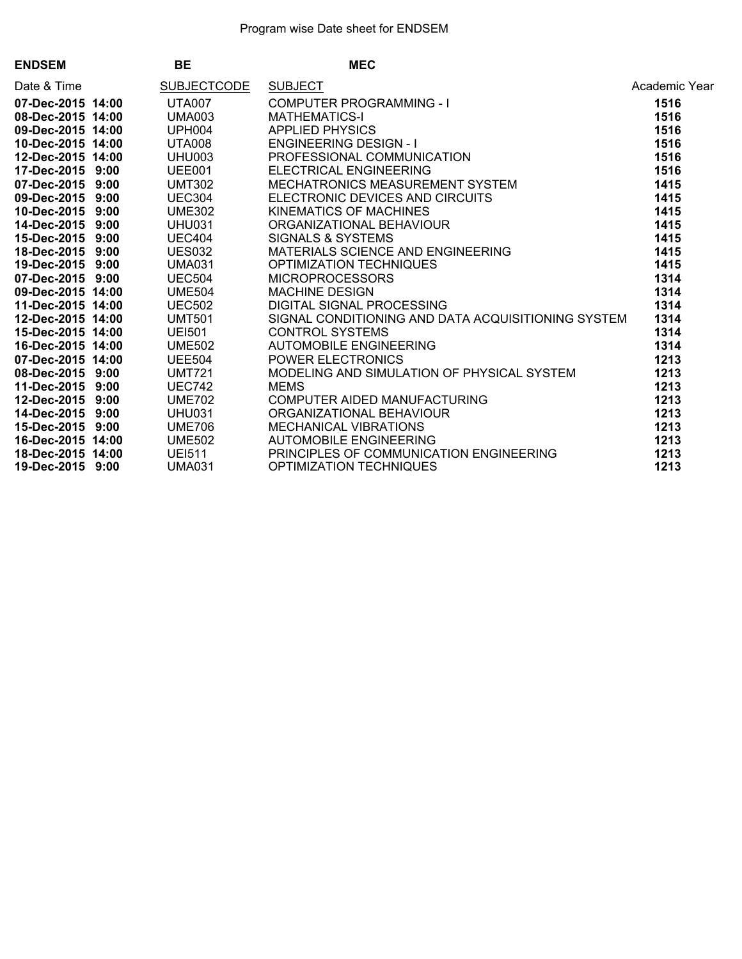| <b>ENDSEM</b>     | BE                 | <b>MEC<br/> MEC<br/> COMPUTER PROGRAMMING - I<br/> MATHEMATICS-I<br/> APPLIED PHYSICS<br/> ENGINEERING DESIGN - I<br/> PROFESSIONAL COMMUNICATION<br/> FLECTRICAL ENGINEERING</b> |               |
|-------------------|--------------------|-----------------------------------------------------------------------------------------------------------------------------------------------------------------------------------|---------------|
| Date & Time       | <b>SUBJECTCODE</b> |                                                                                                                                                                                   | Academic Year |
| 07-Dec-2015 14:00 | UTA007             |                                                                                                                                                                                   | 1516          |
| 08-Dec-2015 14:00 | <b>UMA003</b>      |                                                                                                                                                                                   | 1516          |
| 09-Dec-2015 14:00 | UPH004             |                                                                                                                                                                                   | 1516          |
| 10-Dec-2015 14:00 | UTA008             |                                                                                                                                                                                   | 1516          |
| 12-Dec-2015 14:00 | <b>UHU003</b>      |                                                                                                                                                                                   | 1516          |
| 17-Dec-2015 9:00  | UEE001             |                                                                                                                                                                                   | 1516          |
| 07-Dec-2015 9:00  | <b>UMT302</b>      | MECHATRONICS MEASUREMENT SYSTEM                                                                                                                                                   | 1415          |
| 09-Dec-2015 9:00  | <b>UEC304</b>      | ELECTRONIC DEVICES AND CIRCUITS<br>KINEMATICS OF MACHINES<br>ORGANIZATIONAL BEHAVIOUR<br>SIGNALS & SYSTEMS                                                                        | 1415          |
| 10-Dec-2015 9:00  | <b>UME302</b>      |                                                                                                                                                                                   | 1415          |
| 14-Dec-2015 9:00  | <b>UHU031</b>      |                                                                                                                                                                                   | 1415          |
| 15-Dec-2015 9:00  | <b>UEC404</b>      |                                                                                                                                                                                   | 1415          |
| 18-Dec-2015 9:00  | <b>UES032</b>      | MATERIALS SCIENCE AND ENGINEERING                                                                                                                                                 | 1415          |
| 19-Dec-2015 9:00  | <b>UMA031</b>      | OPTIMIZATION TECHNIQUES                                                                                                                                                           | 1415          |
| 07-Dec-2015 9:00  | <b>UEC504</b>      | MICROPROCESSORS                                                                                                                                                                   | 1314          |
| 09-Dec-2015 14:00 | <b>UME504</b>      | <b>MACHINE DESIGN</b>                                                                                                                                                             | 1314          |
| 11-Dec-2015 14:00 | <b>UEC502</b>      | DIGITAL SIGNAL PROCESSING                                                                                                                                                         | 1314          |
| 12-Dec-2015 14:00 | <b>UMT501</b>      | SIGNAL CONDITIONING AND DATA ACQUISITIONING SYSTEM                                                                                                                                | 1314          |
| 15-Dec-2015 14:00 | <b>UEI501</b>      | <b>CONTROL SYSTEMS</b>                                                                                                                                                            | 1314          |
| 16-Dec-2015 14:00 | <b>UME502</b>      | <b>AUTOMOBILE ENGINEERING</b>                                                                                                                                                     | 1314          |
| 07-Dec-2015 14:00 | <b>UEE504</b>      | <b>POWER ELECTRONICS</b>                                                                                                                                                          | 1213          |
| 08-Dec-2015 9:00  | <b>UMT721</b>      | MODELING AND SIMULATION OF PHYSICAL SYSTEM                                                                                                                                        | 1213          |
| 11-Dec-2015 9:00  | <b>UEC742</b>      | <b>MEMS</b>                                                                                                                                                                       | 1213          |
| 12-Dec-2015 9:00  | <b>UME702</b>      | COMPUTER AIDED MANUFACTURING<br>ORGANIZATIONAL BEHAVIOUR<br>MECHANICAL VIBRATIONS<br>AUTOMOBILE ENGINEERING                                                                       | 1213          |
| 14-Dec-2015 9:00  | <b>UHU031</b>      |                                                                                                                                                                                   | 1213          |
| 15-Dec-2015 9:00  | <b>UME706</b>      |                                                                                                                                                                                   | 1213          |
| 16-Dec-2015 14:00 | <b>UME502</b>      |                                                                                                                                                                                   | 1213          |
| 18-Dec-2015 14:00 | <b>UEI511</b>      | PRINCIPLES OF COMMUNICATION ENGINEERING                                                                                                                                           | 1213          |
| 19-Dec-2015 9:00  | <b>UMA031</b>      | <b>OPTIMIZATION TECHNIQUES</b>                                                                                                                                                    | 1213          |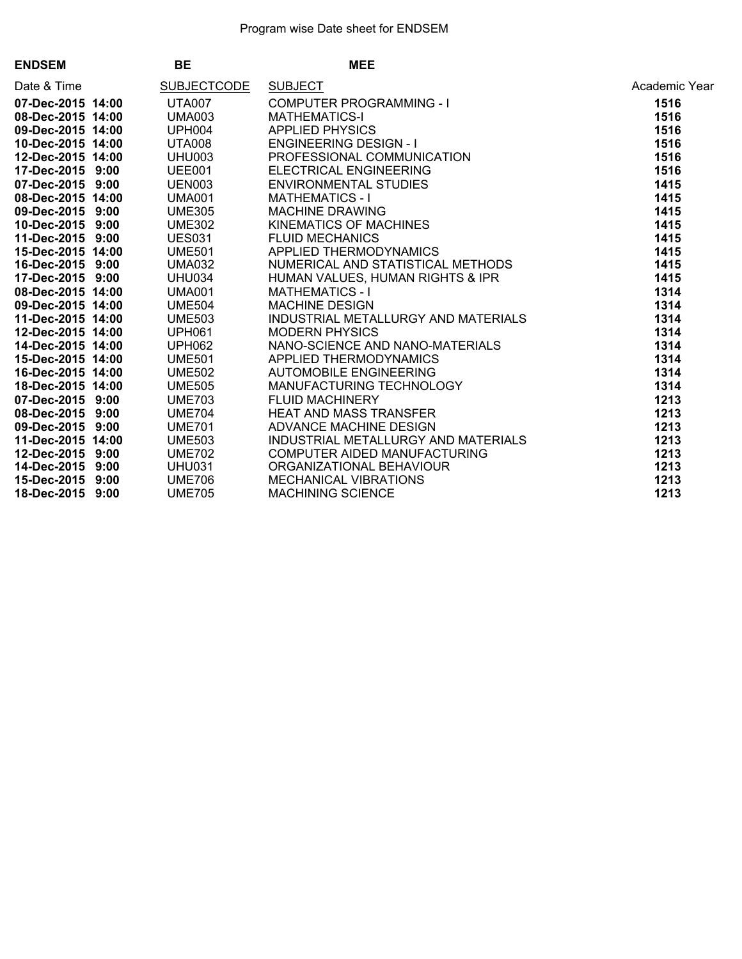| <b>ENDSEM</b>     | <b>BE</b>          | <b>MEE</b>                                                                                                                                                                                                                                           |               |
|-------------------|--------------------|------------------------------------------------------------------------------------------------------------------------------------------------------------------------------------------------------------------------------------------------------|---------------|
| Date & Time       | <b>SUBJECTCODE</b> | SUBJECT<br>COMPUTER PROGRAMMING - I<br>MATHEMATICS-I<br>APPLIED PHYSICS<br>APPLIED PHYSICS<br>ENGINEERING DESIGN - I<br>PROFESSIONAL COMMUNICATION<br>ELECTRICAL ENGINEERING<br>ENVIRONMENTAL STUDIES<br>MATHEMATICS - I<br>MACHINE DRAWING<br>FLUID | Academic Year |
| 07-Dec-2015 14:00 | <b>UTA007</b>      |                                                                                                                                                                                                                                                      | 1516          |
| 08-Dec-2015 14:00 | <b>UMA003</b>      |                                                                                                                                                                                                                                                      | 1516          |
| 09-Dec-2015 14:00 | <b>UPH004</b>      |                                                                                                                                                                                                                                                      | 1516          |
| 10-Dec-2015 14:00 | <b>UTA008</b>      |                                                                                                                                                                                                                                                      | 1516          |
| 12-Dec-2015 14:00 | UHU003             |                                                                                                                                                                                                                                                      | 1516          |
| 17-Dec-2015 9:00  | UEE001             |                                                                                                                                                                                                                                                      | 1516          |
| 07-Dec-2015 9:00  | <b>UEN003</b>      |                                                                                                                                                                                                                                                      | 1415          |
| 08-Dec-2015 14:00 | <b>UMA001</b>      |                                                                                                                                                                                                                                                      | 1415          |
| 09-Dec-2015 9:00  | <b>UME305</b>      |                                                                                                                                                                                                                                                      | 1415          |
| 10-Dec-2015 9:00  | <b>UME302</b>      |                                                                                                                                                                                                                                                      | 1415          |
| 11-Dec-2015 9:00  | <b>UES031</b>      |                                                                                                                                                                                                                                                      | 1415          |
| 15-Dec-2015 14:00 | <b>UME501</b>      |                                                                                                                                                                                                                                                      | 1415          |
| 16-Dec-2015 9:00  | <b>UMA032</b>      |                                                                                                                                                                                                                                                      | 1415          |
| 17-Dec-2015 9:00  | UHU034             |                                                                                                                                                                                                                                                      | 1415          |
| 08-Dec-2015 14:00 | <b>UMA001</b>      |                                                                                                                                                                                                                                                      | 1314          |
| 09-Dec-2015 14:00 | <b>UME504</b>      |                                                                                                                                                                                                                                                      | 1314          |
| 11-Dec-2015 14:00 | <b>UME503</b>      |                                                                                                                                                                                                                                                      | 1314          |
| 12-Dec-2015 14:00 | <b>UPH061</b>      | <b>MODERN PHYSICS</b>                                                                                                                                                                                                                                | 1314          |
| 14-Dec-2015 14:00 | <b>UPH062</b>      | NANO-SCIENCE AND NANO-MATERIALS<br>APPLIED THERMODYNAMICS<br>AUTOMOBILE ENGINEERING<br>MANUFACTURING TECHNOLOGY<br>FLUID MACHINERY<br>HEAT AND MASS TRANSFER<br>ADVANCE MACHINE DESIGN                                                               | 1314          |
| 15-Dec-2015 14:00 | <b>UME501</b>      |                                                                                                                                                                                                                                                      | 1314          |
| 16-Dec-2015 14:00 | <b>UME502</b>      |                                                                                                                                                                                                                                                      | 1314          |
| 18-Dec-2015 14:00 | <b>UME505</b>      |                                                                                                                                                                                                                                                      | 1314          |
| 07-Dec-2015 9:00  | <b>UME703</b>      |                                                                                                                                                                                                                                                      | 1213          |
| 08-Dec-2015 9:00  | <b>UME704</b>      |                                                                                                                                                                                                                                                      | 1213          |
| 09-Dec-2015 9:00  | <b>UME701</b>      |                                                                                                                                                                                                                                                      | 1213          |
| 11-Dec-2015 14:00 | <b>UME503</b>      | INDUSTRIAL METALLURGY AND MATERIALS<br>COMPUTER AIDED MANUFACTURING<br>ORGANIZATIONAL BEHAVIOUR<br>MECHANICAL VIBRATIONS<br>MACHINING SCIENCE                                                                                                        | 1213          |
| 12-Dec-2015 9:00  | <b>UME702</b>      |                                                                                                                                                                                                                                                      | 1213          |
| 14-Dec-2015 9:00  | <b>UHU031</b>      |                                                                                                                                                                                                                                                      | 1213          |
| 15-Dec-2015 9:00  | <b>UME706</b>      |                                                                                                                                                                                                                                                      | 1213          |
| 18-Dec-2015 9:00  | <b>UME705</b>      |                                                                                                                                                                                                                                                      | 1213          |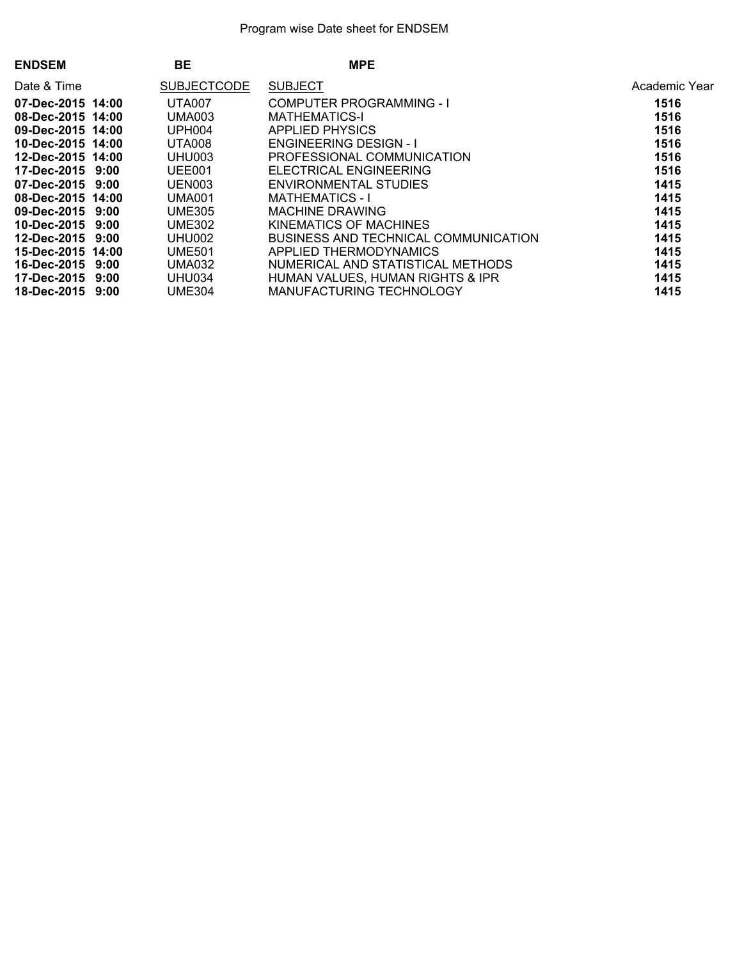| <b>ENDSEM</b>          | <b>BE</b>          | <b>MPE</b>                           |               |
|------------------------|--------------------|--------------------------------------|---------------|
| Date & Time            | <b>SUBJECTCODE</b> | <b>SUBJECT</b>                       | Academic Year |
| 07-Dec-2015 14:00      | <b>UTA007</b>      | <b>COMPUTER PROGRAMMING - I</b>      | 1516          |
| 08-Dec-2015 14:00      | <b>UMA003</b>      | <b>MATHEMATICS-I</b>                 | 1516          |
| 09-Dec-2015 14:00      | <b>UPH004</b>      | <b>APPLIED PHYSICS</b>               | 1516          |
| 10-Dec-2015 14:00      | <b>UTA008</b>      | <b>ENGINEERING DESIGN - I</b>        | 1516          |
| 12-Dec-2015 14:00      | UHU003             | PROFESSIONAL COMMUNICATION           | 1516          |
| 17-Dec-2015 9:00       | UEE001             | <b>ELECTRICAL ENGINEERING</b>        | 1516          |
| $07 - Dec - 2015$ 9:00 | UEN003             | ENVIRONMENTAL STUDIES                | 1415          |
| 08-Dec-2015 14:00      | <b>UMA001</b>      | <b>MATHEMATICS - I</b>               | 1415          |
| 09-Dec-2015 9:00       | <b>UME305</b>      | <b>MACHINE DRAWING</b>               | 1415          |
| 10-Dec-2015 9:00       | <b>UME302</b>      | KINEMATICS OF MACHINES               | 1415          |
| 12-Dec-2015 9:00       | UHU002             | BUSINESS AND TECHNICAL COMMUNICATION | 1415          |
| 15-Dec-2015 14:00      | <b>UME501</b>      | APPLIED THERMODYNAMICS               | 1415          |
| 16-Dec-2015 9:00       | <b>UMA032</b>      | NUMERICAL AND STATISTICAL METHODS    | 1415          |
| 17-Dec-2015 9:00       | UHU034             | HUMAN VALUES, HUMAN RIGHTS & IPR     | 1415          |
| 18-Dec-2015 9:00       | <b>UME304</b>      | MANUFACTURING TECHNOLOGY             | 1415          |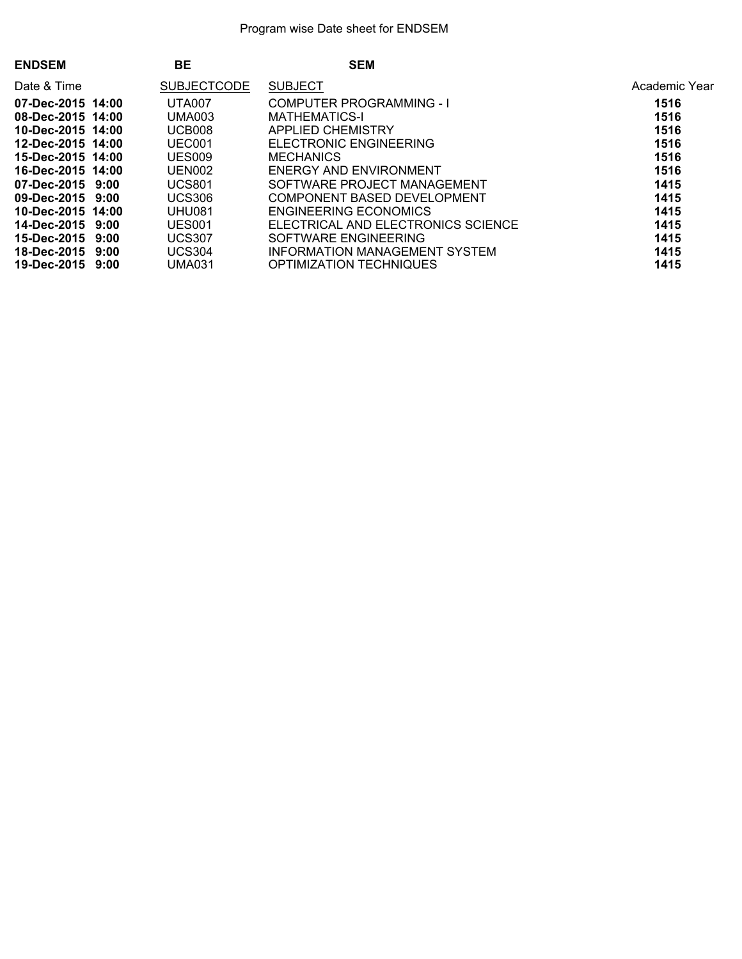| <b>ENDSEM</b>     | BE                 | <b>SEM</b>                         |               |
|-------------------|--------------------|------------------------------------|---------------|
| Date & Time       | <b>SUBJECTCODE</b> | <b>SUBJECT</b>                     | Academic Year |
| 07-Dec-2015 14:00 | UTA007             | COMPUTER PROGRAMMING - I           | 1516          |
| 08-Dec-2015 14:00 | <b>UMA003</b>      | <b>MATHEMATICS-I</b>               | 1516          |
| 10-Dec-2015 14:00 | UCB008             | APPLIED CHEMISTRY                  | 1516          |
| 12-Dec-2015 14:00 | UEC001             | <b>ELECTRONIC ENGINEERING</b>      | 1516          |
| 15-Dec-2015 14:00 | <b>UES009</b>      | <b>MECHANICS</b>                   | 1516          |
| 16-Dec-2015 14:00 | UEN002             | ENERGY AND ENVIRONMENT             | 1516          |
| 07-Dec-2015 9:00  | <b>UCS801</b>      | SOFTWARE PROJECT MANAGEMENT        | 1415          |
| 09-Dec-2015 9:00  | <b>UCS306</b>      | COMPONENT BASED DEVELOPMENT        | 1415          |
| 10-Dec-2015 14:00 | UHU081             | ENGINEERING ECONOMICS              | 1415          |
| 14-Dec-2015 9:00  | <b>UES001</b>      | ELECTRICAL AND ELECTRONICS SCIENCE | 1415          |
| 15-Dec-2015 9:00  | <b>UCS307</b>      | SOFTWARE ENGINEERING               | 1415          |
| 18-Dec-2015 9:00  | <b>UCS304</b>      | INFORMATION MANAGEMENT SYSTEM      | 1415          |
| 19-Dec-2015 9:00  | <b>UMA031</b>      | <b>OPTIMIZATION TECHNIQUES</b>     | 1415          |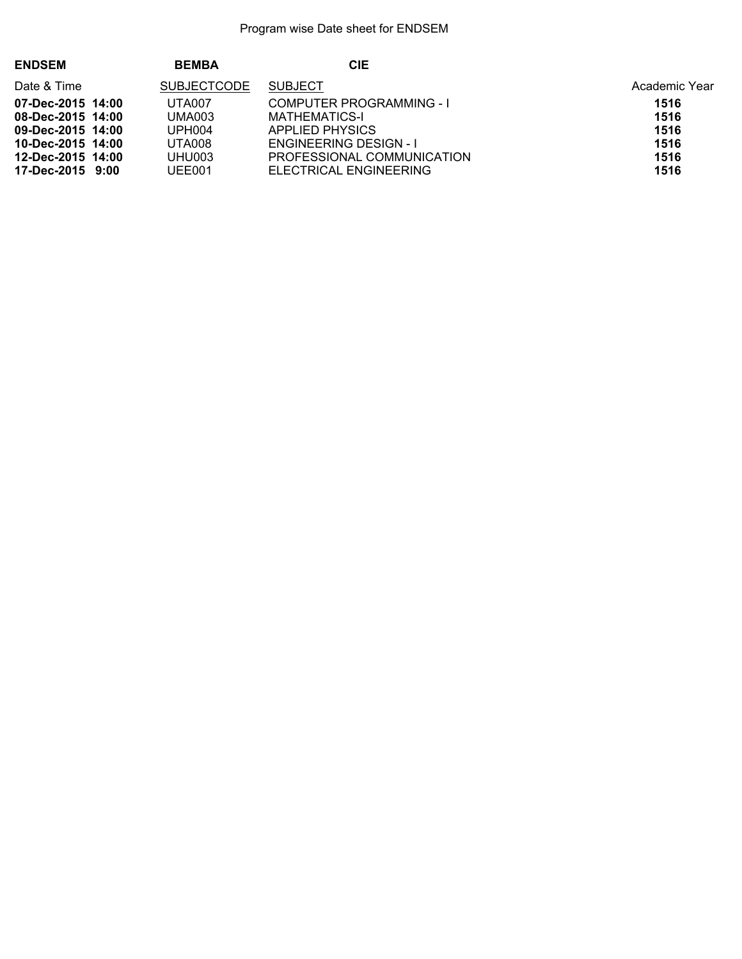| <b>ENDSEM</b>     | <b>BEMBA</b>       | CIE                             |               |
|-------------------|--------------------|---------------------------------|---------------|
| Date & Time       | <b>SUBJECTCODE</b> | <b>SUBJECT</b>                  | Academic Year |
| 07-Dec-2015 14:00 | UTA007             | <b>COMPUTER PROGRAMMING - I</b> | 1516          |
| 08-Dec-2015 14:00 | <b>UMA003</b>      | <b>MATHEMATICS-I</b>            | 1516          |
| 09-Dec-2015 14:00 | UPH <sub>004</sub> | APPLIED PHYSICS                 | 1516          |
| 10-Dec-2015 14:00 | <b>UTA008</b>      | <b>ENGINEERING DESIGN - I</b>   | 1516          |
| 12-Dec-2015 14:00 | UHU003             | PROFESSIONAL COMMUNICATION      | 1516          |
| 17-Dec-2015 9:00  | UEE001             | ELECTRICAL ENGINEERING          | 1516          |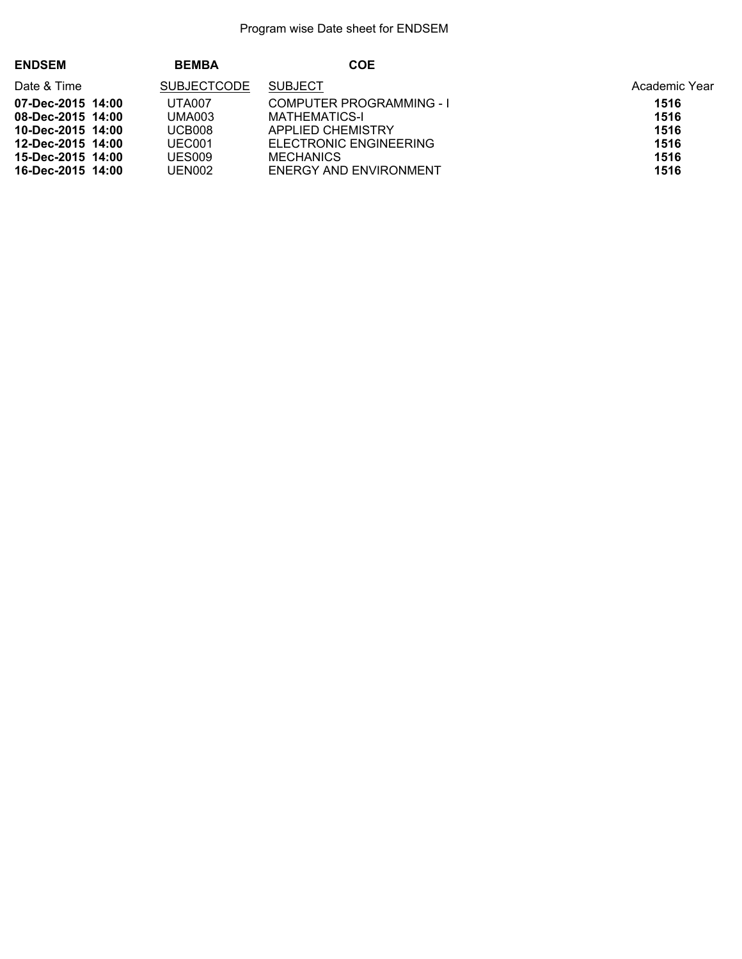| <b>ENDSEM</b>     | <b>BEMBA</b>       | <b>COE</b>                      |               |
|-------------------|--------------------|---------------------------------|---------------|
| Date & Time       | <b>SUBJECTCODE</b> | <b>SUBJECT</b>                  | Academic Year |
| 07-Dec-2015 14:00 | <b>UTA007</b>      | <b>COMPUTER PROGRAMMING - I</b> | 1516          |
| 08-Dec-2015 14:00 | <b>UMA003</b>      | MATHEMATICS-I                   | 1516          |
| 10-Dec-2015 14:00 | UCB008             | <b>APPLIED CHEMISTRY</b>        | 1516          |
| 12-Dec-2015 14:00 | UEC001             | ELECTRONIC ENGINEERING          | 1516          |
| 15-Dec-2015 14:00 | UES009             | <b>MECHANICS</b>                | 1516          |
| 16-Dec-2015 14:00 | UEN002             | ENERGY AND ENVIRONMENT          | 1516          |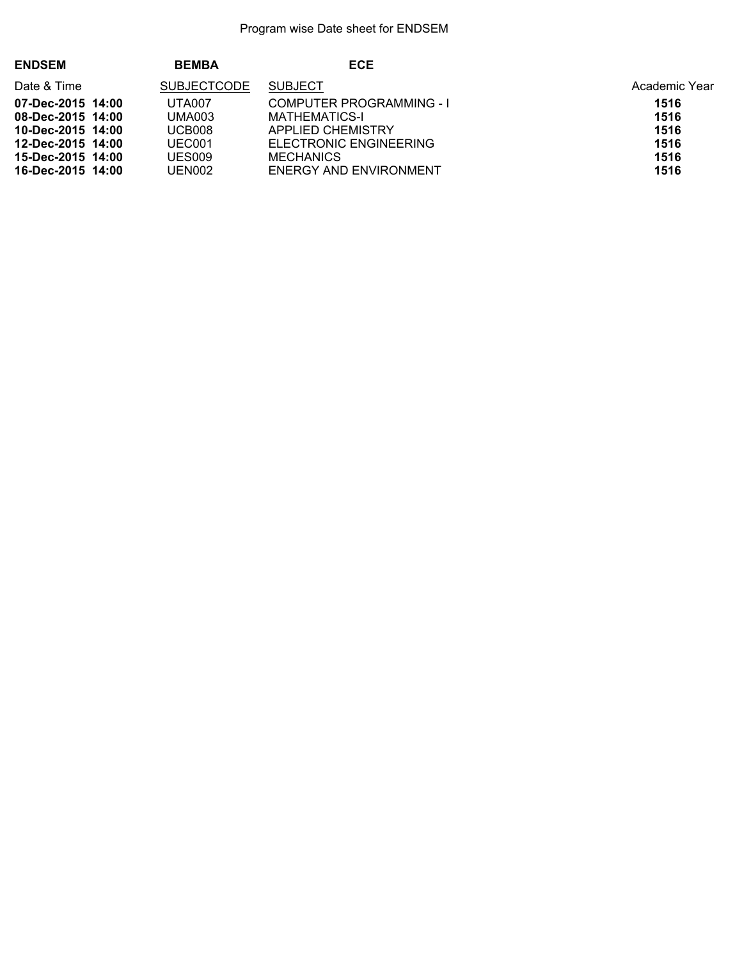| <b>ENDSEM</b>     | <b>BEMBA</b>       | <b>ECE</b>                      |               |
|-------------------|--------------------|---------------------------------|---------------|
| Date & Time       | <b>SUBJECTCODE</b> | <b>SUBJECT</b>                  | Academic Year |
| 07-Dec-2015 14:00 | <b>UTA007</b>      | <b>COMPUTER PROGRAMMING - I</b> | 1516          |
| 08-Dec-2015 14:00 | <b>UMA003</b>      | MATHEMATICS-I                   | 1516          |
| 10-Dec-2015 14:00 | UCB008             | <b>APPLIED CHEMISTRY</b>        | 1516          |
| 12-Dec-2015 14:00 | UEC001             | ELECTRONIC ENGINEERING          | 1516          |
| 15-Dec-2015 14:00 | UES009             | <b>MECHANICS</b>                | 1516          |
| 16-Dec-2015 14:00 | UEN002             | ENERGY AND ENVIRONMENT          | 1516          |
|                   |                    |                                 |               |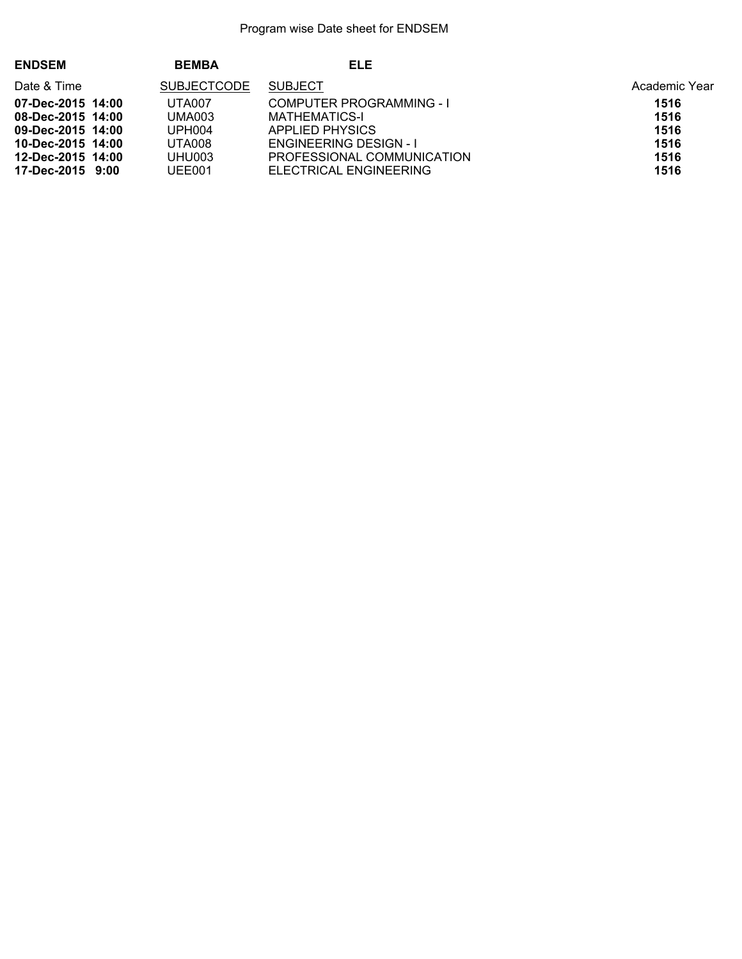| <b>ENDSEM</b>     | <b>BEMBA</b>       | ELE                             |               |
|-------------------|--------------------|---------------------------------|---------------|
| Date & Time       | <b>SUBJECTCODE</b> | <b>SUBJECT</b>                  | Academic Year |
| 07-Dec-2015 14:00 | UTA007             | <b>COMPUTER PROGRAMMING - I</b> | 1516          |
| 08-Dec-2015 14:00 | <b>UMA003</b>      | MATHEMATICS-I                   | 1516          |
| 09-Dec-2015 14:00 | UPH <sub>004</sub> | APPLIED PHYSICS                 | 1516          |
| 10-Dec-2015 14:00 | UTA008             | <b>ENGINEERING DESIGN - I</b>   | 1516          |
| 12-Dec-2015 14:00 | UHU003             | PROFESSIONAL COMMUNICATION      | 1516          |
| 17-Dec-2015 9:00  | UEE001             | ELECTRICAL ENGINEERING          | 1516          |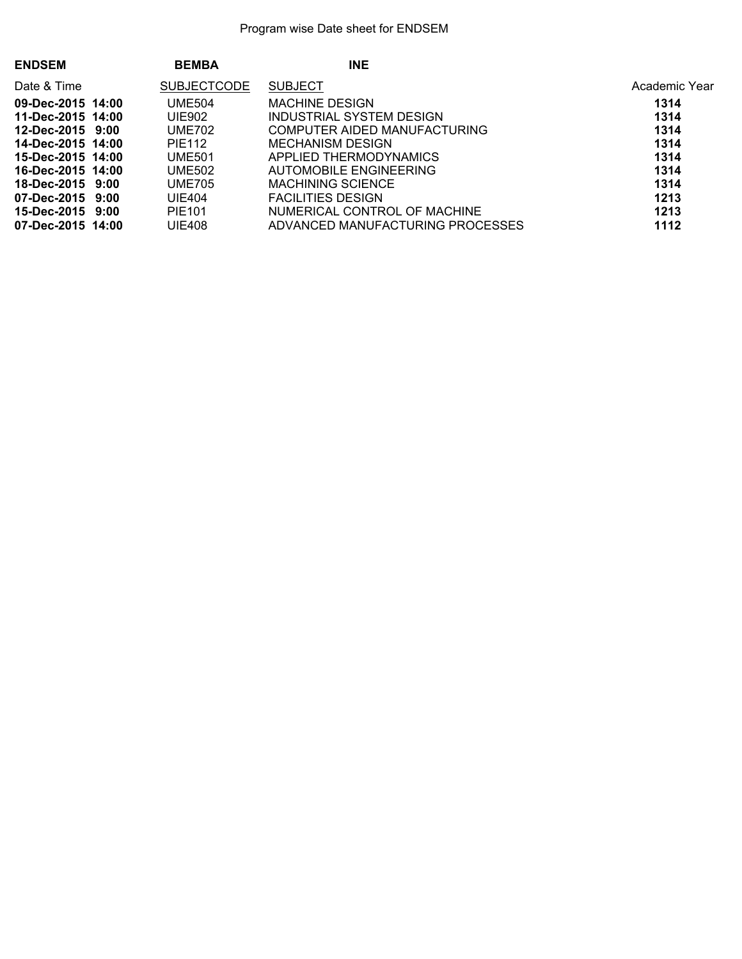| <b>ENDSEM</b>     | <b>BEMBA</b>       | <b>INE</b>                       |               |
|-------------------|--------------------|----------------------------------|---------------|
| Date & Time       | <b>SUBJECTCODE</b> | <b>SUBJECT</b>                   | Academic Year |
| 09-Dec-2015 14:00 | <b>UME504</b>      | <b>MACHINE DESIGN</b>            | 1314          |
| 11-Dec-2015 14:00 | UIE902             | INDUSTRIAL SYSTEM DESIGN         | 1314          |
| 12-Dec-2015 9:00  | UME702             | COMPUTER AIDED MANUFACTURING     | 1314          |
| 14-Dec-2015 14:00 | PIE112             | MECHANISM DESIGN                 | 1314          |
| 15-Dec-2015 14:00 | <b>UME501</b>      | APPLIED THERMODYNAMICS           | 1314          |
| 16-Dec-2015 14:00 | <b>UME502</b>      | AUTOMOBILE ENGINEERING           | 1314          |
| 18-Dec-2015 9:00  | <b>UME705</b>      | <b>MACHINING SCIENCE</b>         | 1314          |
| 07-Dec-2015 9:00  | <b>UIE404</b>      | <b>FACILITIES DESIGN</b>         | 1213          |
| 15-Dec-2015 9:00  | PIE101             | NUMERICAL CONTROL OF MACHINE     | 1213          |
| 07-Dec-2015 14:00 | <b>UIE408</b>      | ADVANCED MANUFACTURING PROCESSES | 1112          |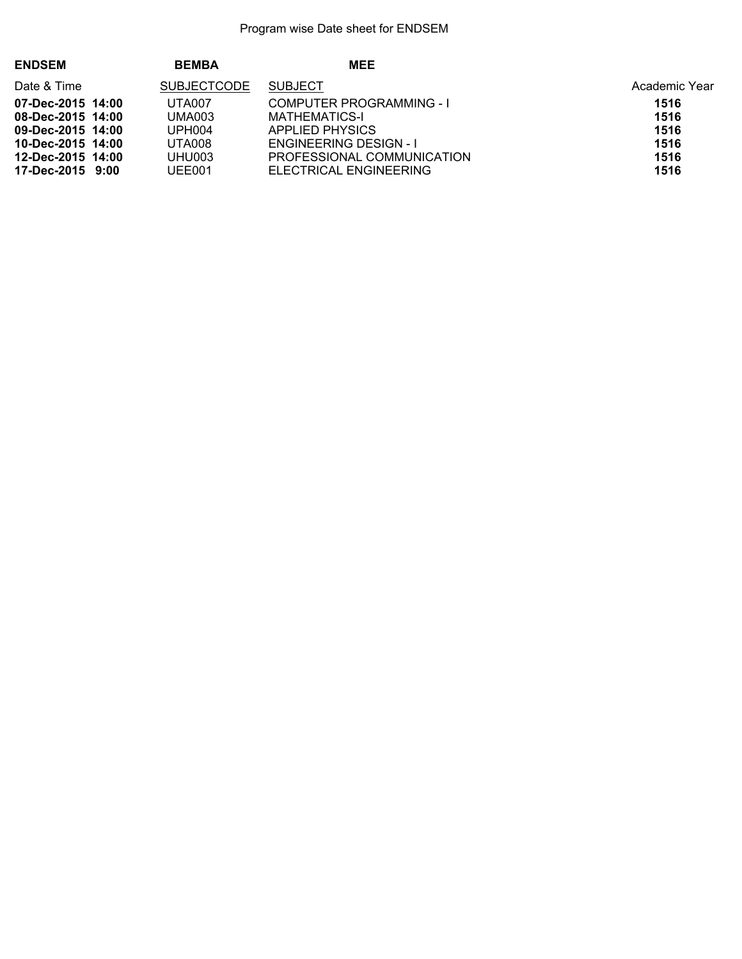| <b>ENDSEM</b>     | <b>BEMBA</b>       | <b>MEE</b>                      |               |
|-------------------|--------------------|---------------------------------|---------------|
| Date & Time       | <b>SUBJECTCODE</b> | <b>SUBJECT</b>                  | Academic Year |
| 07-Dec-2015 14:00 | <b>UTA007</b>      | <b>COMPUTER PROGRAMMING - I</b> | 1516          |
| 08-Dec-2015 14:00 | <b>UMA003</b>      | <b>MATHEMATICS-I</b>            | 1516          |
| 09-Dec-2015 14:00 | UPH <sub>004</sub> | APPLIED PHYSICS                 | 1516          |
| 10-Dec-2015 14:00 | <b>UTA008</b>      | <b>ENGINEERING DESIGN - I</b>   | 1516          |
| 12-Dec-2015 14:00 | UHU003             | PROFESSIONAL COMMUNICATION      | 1516          |
| 17-Dec-2015 9:00  | UEE001             | ELECTRICAL ENGINEERING          | 1516          |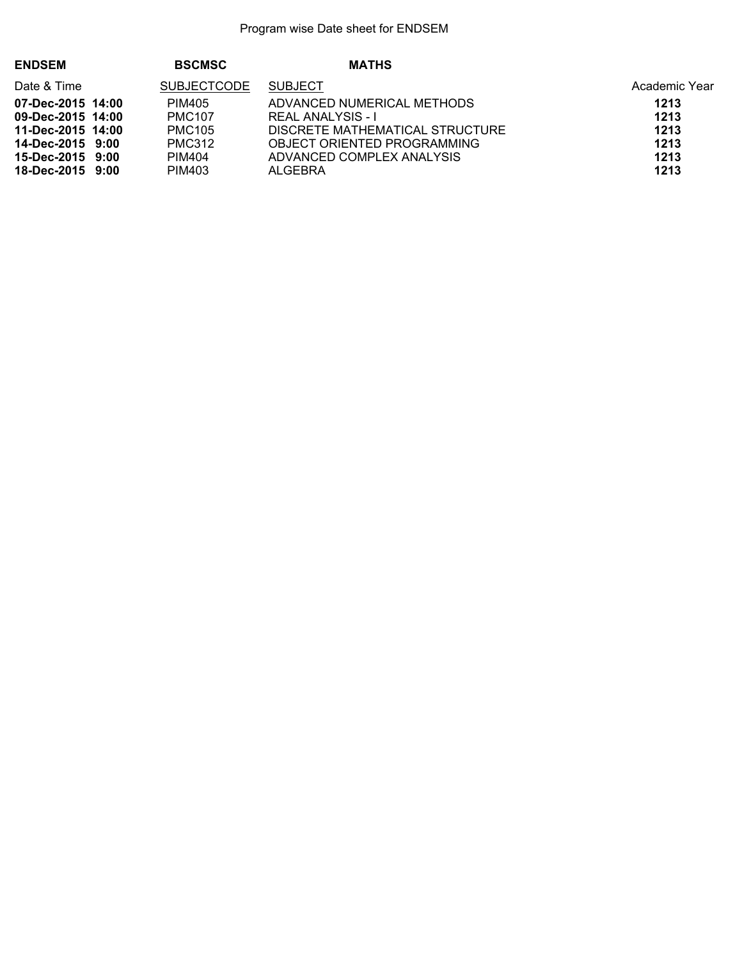| <b>ENDSEM</b>     | <b>BSCMSC</b>      | <b>MATHS</b>                    |               |
|-------------------|--------------------|---------------------------------|---------------|
| Date & Time       | <b>SUBJECTCODE</b> | <b>SUBJECT</b>                  | Academic Year |
| 07-Dec-2015 14:00 | PIM405             | ADVANCED NUMERICAL METHODS      | 1213          |
| 09-Dec-2015 14:00 | <b>PMC107</b>      | <b>REAL ANALYSIS - I</b>        | 1213          |
| 11-Dec-2015 14:00 | <b>PMC105</b>      | DISCRETE MATHEMATICAL STRUCTURE | 1213          |
| 14-Dec-2015 9:00  | <b>PMC312</b>      | OBJECT ORIENTED PROGRAMMING     | 1213          |
| 15-Dec-2015 9:00  | <b>PIM404</b>      | ADVANCED COMPLEX ANALYSIS       | 1213          |
| 18-Dec-2015 9:00  | PIM403             | ALGEBRA                         | 1213          |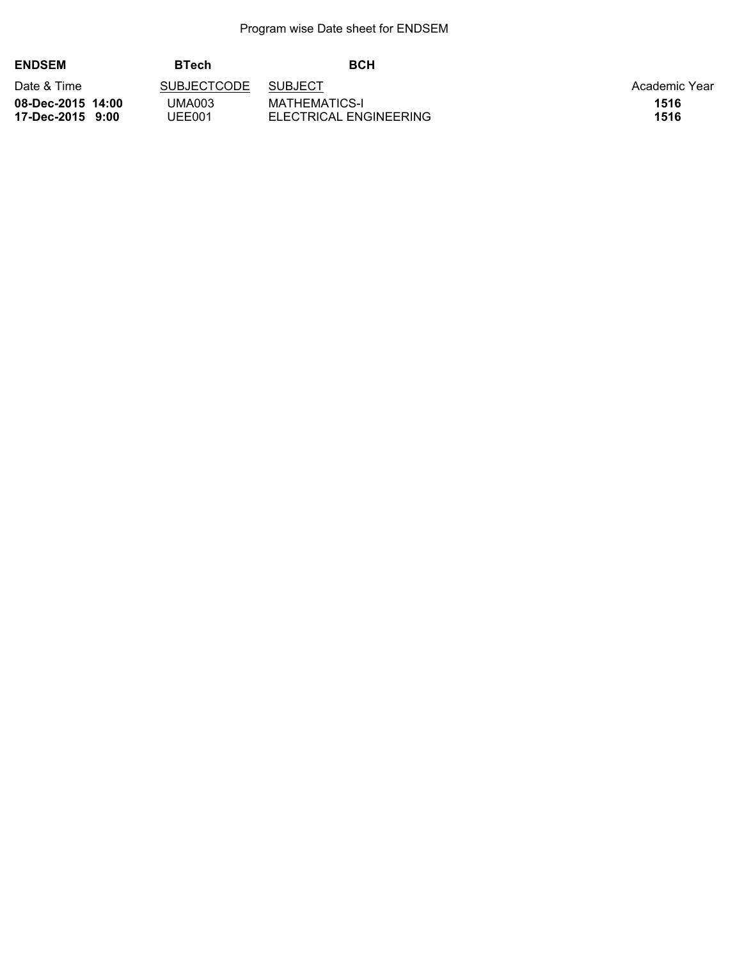| <b>ENDSEM</b>                         | <b>BTech</b>       | <b>BCH</b>                              |               |
|---------------------------------------|--------------------|-----------------------------------------|---------------|
| Date & Time                           | <b>SUBJECTCODE</b> | <b>SUBJECT</b>                          | Academic Year |
| 08-Dec-2015 14:00<br>17-Dec-2015 9:00 | UMA003<br>JEE001   | MATHEMATICS-I<br>ELECTRICAL ENGINEERING | 1516<br>1516  |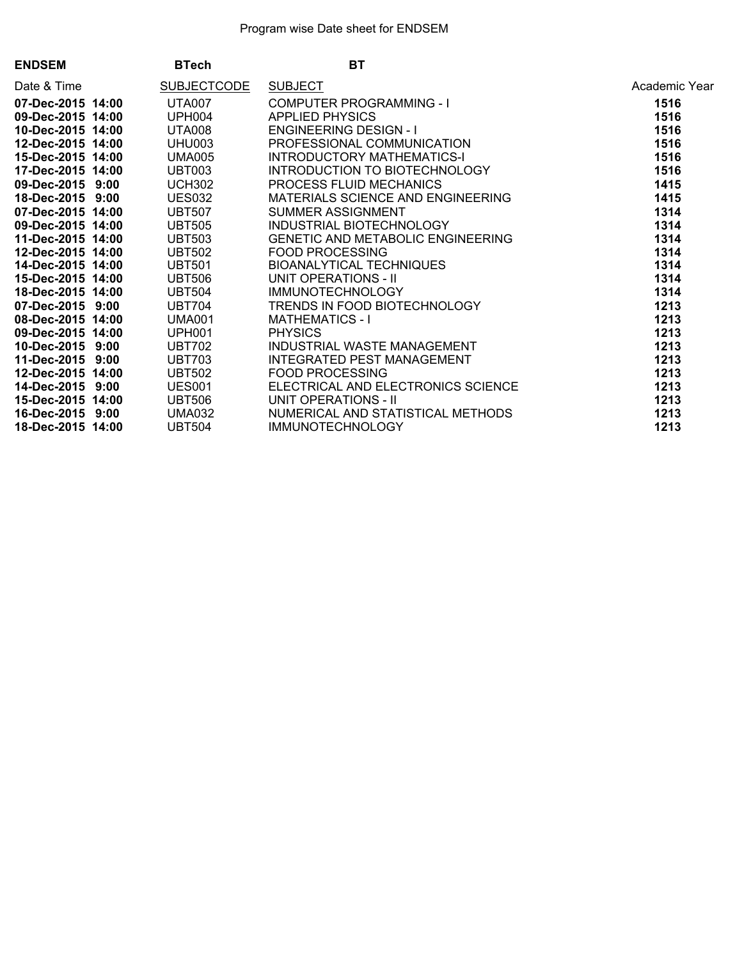| <b>ENDSEM</b>     | <b>BTech</b>  | <b>BT</b>                                                                                                                                                                                                                                                    |               |
|-------------------|---------------|--------------------------------------------------------------------------------------------------------------------------------------------------------------------------------------------------------------------------------------------------------------|---------------|
| Date & Time       | SUBJECTCODE   | SUBJECT<br>COMPUTER PROGRAMMING - I<br>APPLIED PHYSICS<br>ENGINEERING DESIGN - I<br>PROFESSIONAL COMMUNICATION<br>INTRODUCTORY MATHEMATICS-I<br>INTRODUCTION TO BIOTECHNOLOGY<br>PROCESS FLUID MECHANICS                                                     | Academic Year |
| 07-Dec-2015 14:00 | UTA007        |                                                                                                                                                                                                                                                              | 1516          |
| 09-Dec-2015 14:00 | UPH004        |                                                                                                                                                                                                                                                              | 1516          |
| 10-Dec-2015 14:00 | UTA008        |                                                                                                                                                                                                                                                              | 1516          |
| 12-Dec-2015 14:00 | UHU003        |                                                                                                                                                                                                                                                              | 1516          |
| 15-Dec-2015 14:00 | <b>UMA005</b> |                                                                                                                                                                                                                                                              | 1516          |
| 17-Dec-2015 14:00 | <b>UBT003</b> |                                                                                                                                                                                                                                                              | 1516          |
| 09-Dec-2015 9:00  | <b>UCH302</b> |                                                                                                                                                                                                                                                              | 1415          |
| 18-Dec-2015 9:00  | <b>UES032</b> | MATERIALS SCIENCE AND ENGINEERING                                                                                                                                                                                                                            | 1415          |
| 07-Dec-2015 14:00 | <b>UBT507</b> | SUMMER ASSIGNMENT<br>INDUSTRIAL BIOTECHNOLOGY                                                                                                                                                                                                                | 1314          |
| 09-Dec-2015 14:00 | <b>UBT505</b> |                                                                                                                                                                                                                                                              | 1314          |
| 11-Dec-2015 14:00 | <b>UBT503</b> | GENETIC AND METABOLIC ENGINEERING                                                                                                                                                                                                                            | 1314          |
| 12-Dec-2015 14:00 | <b>UBT502</b> |                                                                                                                                                                                                                                                              | 1314          |
| 14-Dec-2015 14:00 | <b>UBT501</b> |                                                                                                                                                                                                                                                              | 1314          |
| 15-Dec-2015 14:00 | <b>UBT506</b> |                                                                                                                                                                                                                                                              | 1314          |
| 18-Dec-2015 14:00 | <b>UBT504</b> |                                                                                                                                                                                                                                                              | 1314          |
| 07-Dec-2015 9:00  | <b>UBT704</b> |                                                                                                                                                                                                                                                              | 1213          |
| 08-Dec-2015 14:00 | <b>UMA001</b> |                                                                                                                                                                                                                                                              | 1213          |
| 09-Dec-2015 14:00 | <b>UPH001</b> |                                                                                                                                                                                                                                                              | 1213          |
| 10-Dec-2015 9:00  | <b>UBT702</b> |                                                                                                                                                                                                                                                              | 1213          |
| 11-Dec-2015 9:00  | <b>UBT703</b> |                                                                                                                                                                                                                                                              | 1213          |
| 12-Dec-2015 14:00 | <b>UBT502</b> | GENETIC AND METABOLIC ENGINEERING<br>FOOD PROCESSING<br>BIOANALYTICAL TECHNIQUES<br>UNIT OPERATIONS - II<br>IMMUNOTECHNOLOGY<br>TRENDS IN FOOD BIOTECHNOLOGY<br>MATHEMATICS - I<br>PHYSICS<br>INDUSTRIAL WASTE MANAGEMENT<br>INTEGRATED PEST MANAGEMENT<br>F | 1213          |
| 14-Dec-2015 9:00  | <b>UES001</b> | ELECTRICAL AND ELECTRONICS SCIENCE<br>UNIT OPERATIONS - II                                                                                                                                                                                                   | 1213          |
| 15-Dec-2015 14:00 | <b>UBT506</b> |                                                                                                                                                                                                                                                              | 1213          |
| 16-Dec-2015 9:00  | <b>UMA032</b> | NUMERICAL AND STATISTICAL METHODS                                                                                                                                                                                                                            | 1213          |
| 18-Dec-2015 14:00 | <b>UBT504</b> | <b>IMMUNOTECHNOLOGY</b>                                                                                                                                                                                                                                      | 1213          |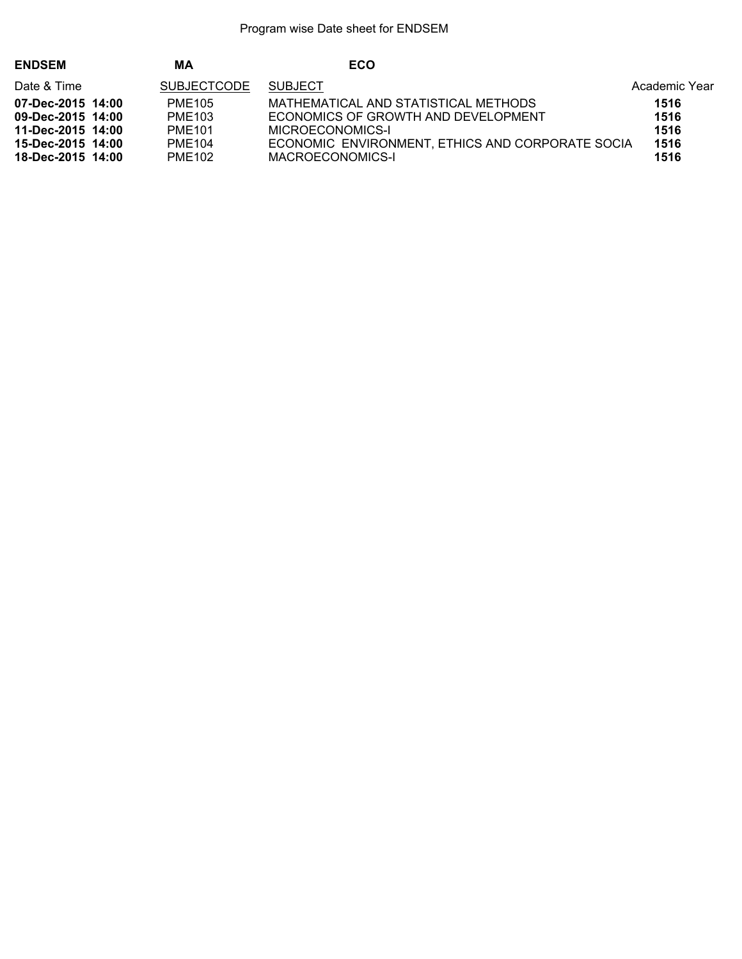| <b>ENDSEM</b>     | MΑ                 | ECO                                              |               |
|-------------------|--------------------|--------------------------------------------------|---------------|
| Date & Time       | <b>SUBJECTCODE</b> | <b>SUBJECT</b>                                   | Academic Year |
| 07-Dec-2015 14:00 | PME105             | MATHEMATICAL AND STATISTICAL METHODS             | 1516          |
| 09-Dec-2015 14:00 | <b>PME103</b>      | ECONOMICS OF GROWTH AND DEVELOPMENT              | 1516          |
| 11-Dec-2015 14:00 | <b>PME101</b>      | MICROECONOMICS-I                                 | 1516          |
| 15-Dec-2015 14:00 | PME104             | ECONOMIC ENVIRONMENT, ETHICS AND CORPORATE SOCIA | 1516          |
| 18-Dec-2015 14:00 | <b>PME102</b>      | MACROECONOMICS-I                                 | 1516          |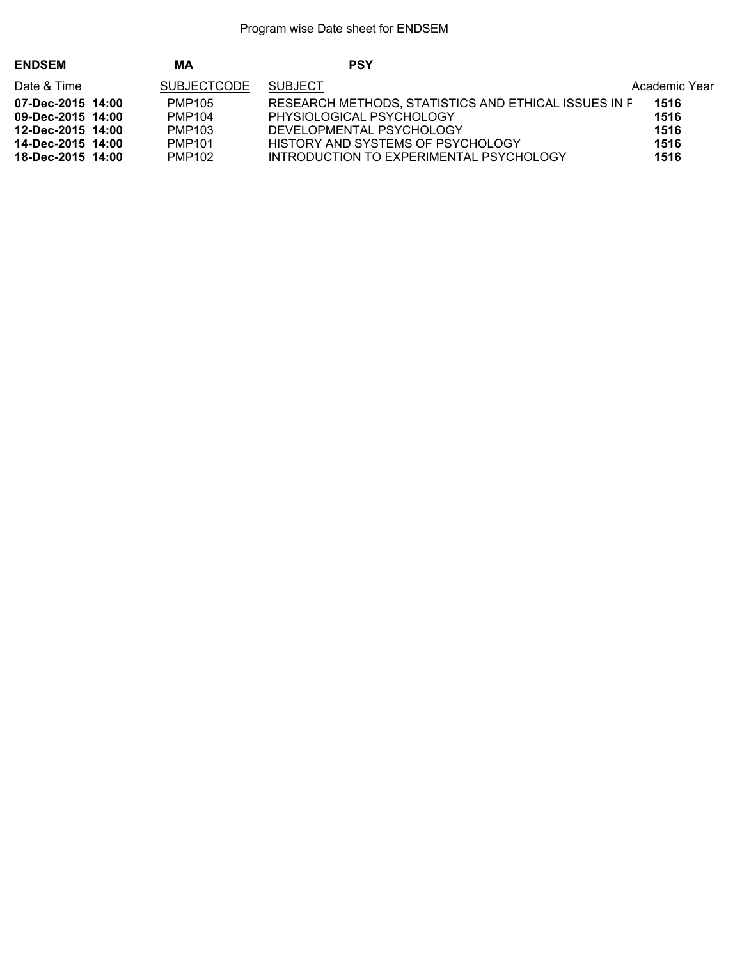| <b>ENDSEM</b>     | ΜA                 | <b>PSY</b>                                           |               |
|-------------------|--------------------|------------------------------------------------------|---------------|
| Date & Time       | <b>SUBJECTCODE</b> | <b>SUBJECT</b>                                       | Academic Year |
| 07-Dec-2015 14:00 | PMP105             | RESEARCH METHODS, STATISTICS AND ETHICAL ISSUES IN F | 1516          |
| 09-Dec-2015 14:00 | PMP104             | PHYSIOLOGICAL PSYCHOLOGY                             | 1516          |
| 12-Dec-2015 14:00 | PMP103             | DEVELOPMENTAL PSYCHOLOGY                             | 1516          |
| 14-Dec-2015 14:00 | PMP101             | HISTORY AND SYSTEMS OF PSYCHOLOGY                    | 1516          |
| 18-Dec-2015 14:00 | PMP102             | INTRODUCTION TO EXPERIMENTAL PSYCHOLOGY              | 1516          |
|                   |                    |                                                      |               |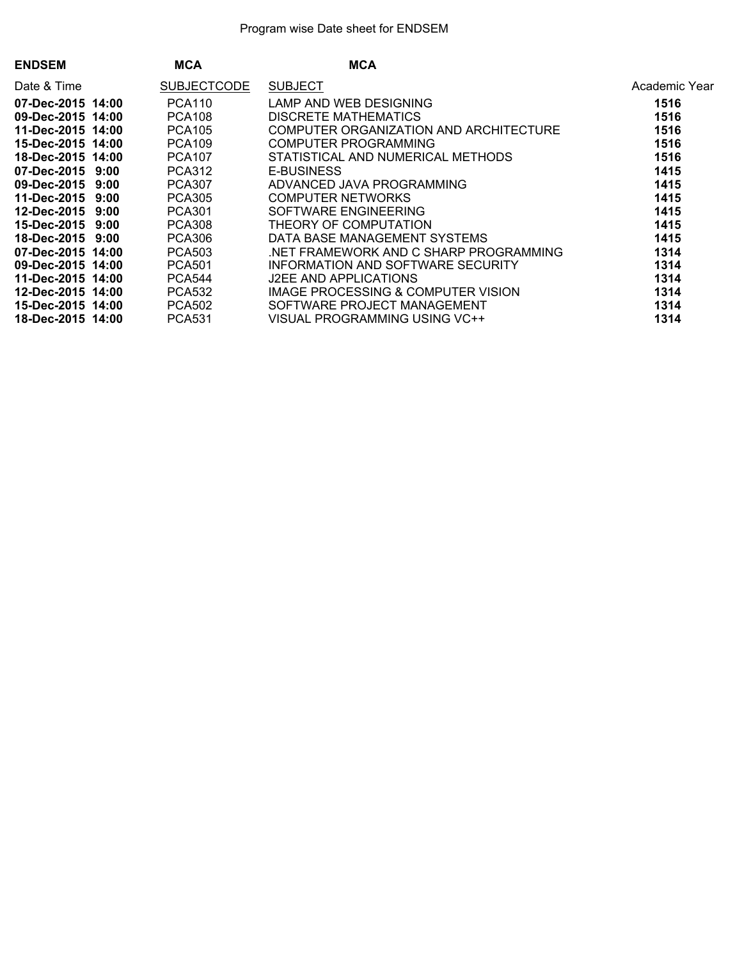| <b>MCA</b>         | <b>MCA</b>                                                                                                                                                                                                                                                                                                                                                  |               |
|--------------------|-------------------------------------------------------------------------------------------------------------------------------------------------------------------------------------------------------------------------------------------------------------------------------------------------------------------------------------------------------------|---------------|
| <b>SUBJECTCODE</b> | <b>SUBJECT</b>                                                                                                                                                                                                                                                                                                                                              | Academic Year |
| <b>PCA110</b>      | LAMP AND WEB DESIGNING                                                                                                                                                                                                                                                                                                                                      | 1516          |
| <b>PCA108</b>      | DISCRETE MATHEMATICS                                                                                                                                                                                                                                                                                                                                        | 1516          |
| <b>PCA105</b>      | COMPUTER ORGANIZATION AND ARCHITECTURE                                                                                                                                                                                                                                                                                                                      | 1516          |
| <b>PCA109</b>      | <b>COMPUTER PROGRAMMING</b>                                                                                                                                                                                                                                                                                                                                 | 1516          |
| <b>PCA107</b>      | STATISTICAL AND NUMERICAL METHODS                                                                                                                                                                                                                                                                                                                           | 1516          |
| <b>PCA312</b>      | <b>E-BUSINESS</b>                                                                                                                                                                                                                                                                                                                                           | 1415          |
| <b>PCA307</b>      | ADVANCED JAVA PROGRAMMING                                                                                                                                                                                                                                                                                                                                   | 1415          |
| <b>PCA305</b>      | <b>COMPUTER NETWORKS</b>                                                                                                                                                                                                                                                                                                                                    | 1415          |
| <b>PCA301</b>      | SOFTWARE ENGINEERING                                                                                                                                                                                                                                                                                                                                        | 1415          |
| <b>PCA308</b>      | THEORY OF COMPUTATION                                                                                                                                                                                                                                                                                                                                       | 1415          |
| <b>PCA306</b>      | DATA BASE MANAGEMENT SYSTEMS                                                                                                                                                                                                                                                                                                                                | 1415          |
| <b>PCA503</b>      | NET FRAMEWORK AND C SHARP PROGRAMMING.                                                                                                                                                                                                                                                                                                                      | 1314          |
| <b>PCA501</b>      | INFORMATION AND SOFTWARE SECURITY                                                                                                                                                                                                                                                                                                                           | 1314          |
| <b>PCA544</b>      | J2EE AND APPLICATIONS                                                                                                                                                                                                                                                                                                                                       | 1314          |
| <b>PCA532</b>      | IMAGE PROCESSING & COMPUTER VISION                                                                                                                                                                                                                                                                                                                          | 1314          |
| <b>PCA502</b>      | SOFTWARE PROJECT MANAGEMENT                                                                                                                                                                                                                                                                                                                                 | 1314          |
| <b>PCA531</b>      | VISUAL PROGRAMMING USING VC++                                                                                                                                                                                                                                                                                                                               | 1314          |
|                    | 07-Dec-2015 14:00<br>09-Dec-2015 14:00<br>11-Dec-2015 14:00<br>15-Dec-2015 14:00<br>18-Dec-2015 14:00<br>07-Dec-2015 9:00<br>09-Dec-2015 9:00<br>11-Dec-2015 9:00<br>12-Dec-2015 9:00<br>15-Dec-2015 9:00<br>18-Dec-2015 9:00<br>07-Dec-2015 14:00<br>09-Dec-2015 14:00<br>11-Dec-2015 14:00<br>12-Dec-2015 14:00<br>15-Dec-2015 14:00<br>18-Dec-2015 14:00 |               |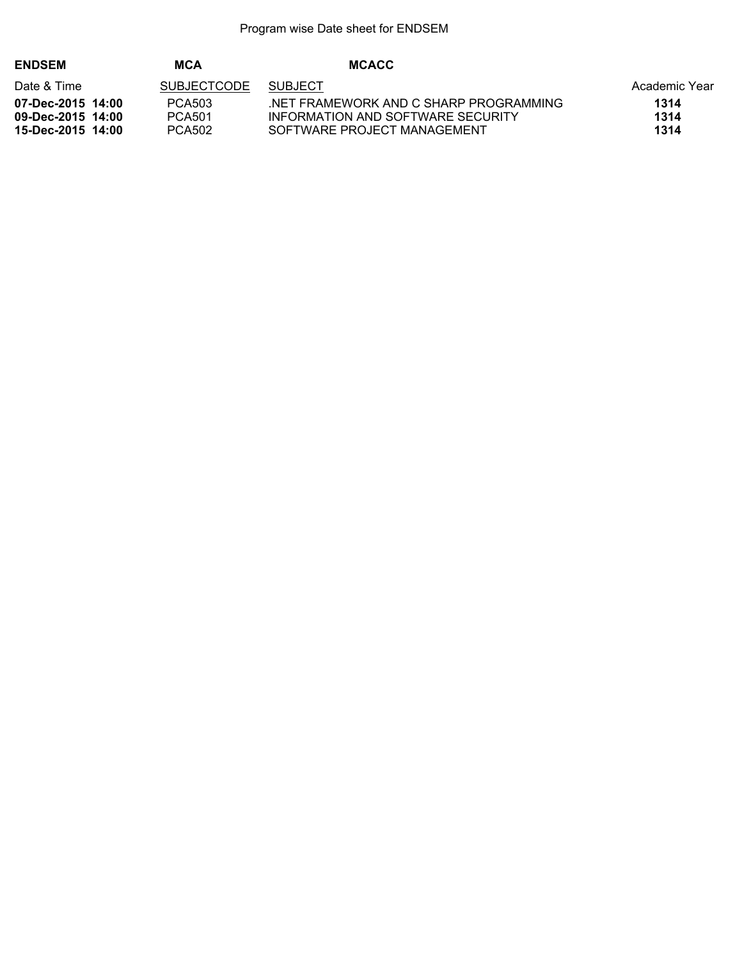| <b>ENDSEM</b>     | MCA                | <b>MCACC</b>                          |               |
|-------------------|--------------------|---------------------------------------|---------------|
| Date & Time       | <b>SUBJECTCODE</b> | <b>SUBJECT</b>                        | Academic Year |
| 07-Dec-2015 14:00 | PCA503             | NET FRAMEWORK AND C SHARP PROGRAMMING | 1314          |
| 09-Dec-2015 14:00 | <b>PCA501</b>      | INFORMATION AND SOFTWARE SECURITY     | 1314          |
| 15-Dec-2015 14:00 | PCA502             | SOFTWARE PROJECT MANAGEMENT           | 1314          |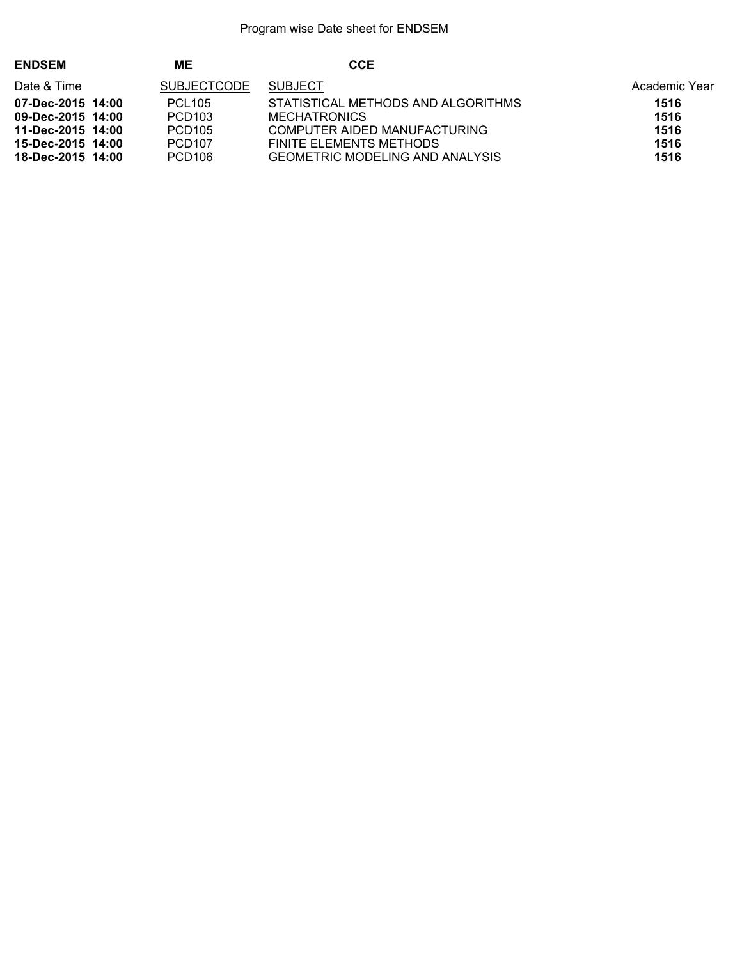| <b>ENDSEM</b>     | MΕ                 | <b>CCE</b>                             |               |
|-------------------|--------------------|----------------------------------------|---------------|
| Date & Time       | <b>SUBJECTCODE</b> | <b>SUBJECT</b>                         | Academic Year |
| 07-Dec-2015 14:00 | <b>PCL105</b>      | STATISTICAL METHODS AND ALGORITHMS     | 1516          |
| 09-Dec-2015 14:00 | PCD <sub>103</sub> | <b>MECHATRONICS</b>                    | 1516          |
| 11-Dec-2015 14:00 | PCD <sub>105</sub> | COMPUTER AIDED MANUFACTURING           | 1516          |
| 15-Dec-2015 14:00 | <b>PCD107</b>      | FINITE ELEMENTS METHODS                | 1516          |
| 18-Dec-2015 14:00 | PCD <sub>106</sub> | <b>GEOMETRIC MODELING AND ANALYSIS</b> | 1516          |
|                   |                    |                                        |               |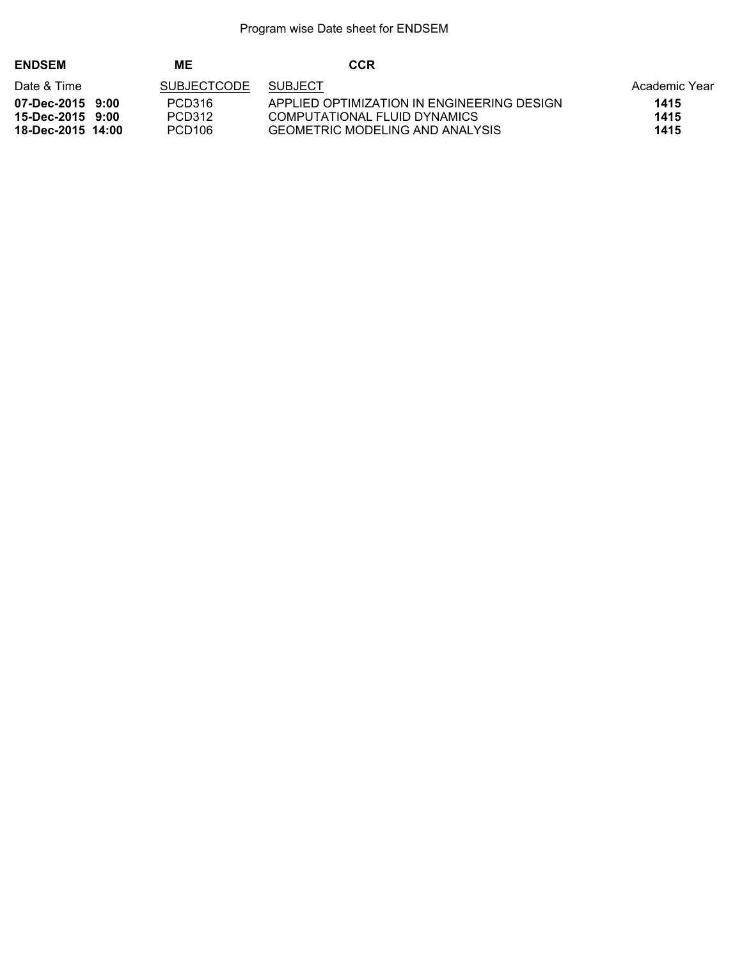| <b>ENDSEM</b>     | МE                 | CCR                                        |               |
|-------------------|--------------------|--------------------------------------------|---------------|
| Date & Time       | <b>SUBJECTCODE</b> | <b>SUBJECT</b>                             | Academic Year |
| 07-Dec-2015 9:00  | PCD316             | APPLIED OPTIMIZATION IN ENGINEERING DESIGN | 1415          |
| 15-Dec-2015 9:00  | PCD312             | COMPUTATIONAL FLUID DYNAMICS               | 1415          |
| 18-Dec-2015 14:00 | PCD <sub>106</sub> | <b>GEOMETRIC MODELING AND ANALYSIS</b>     | 1415          |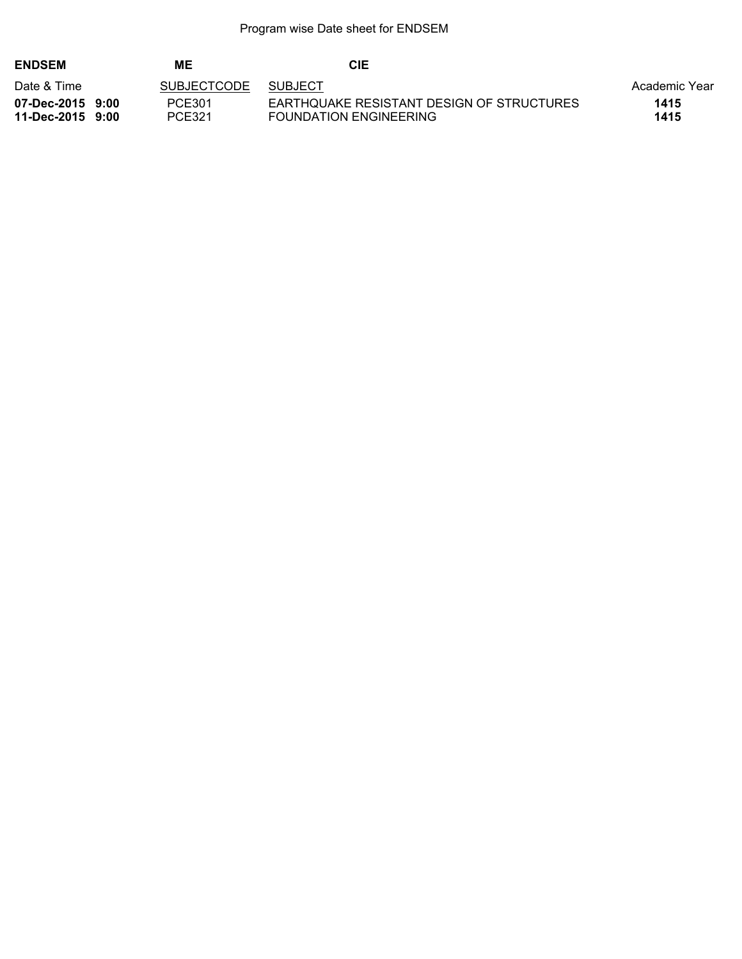| <b>ENDSEM</b>                        | MЕ                 | CIE                                                                 |               |
|--------------------------------------|--------------------|---------------------------------------------------------------------|---------------|
| Date & Time                          | <b>SUBJECTCODE</b> | <b>SUBJECT</b>                                                      | Academic Year |
| 07-Dec-2015 9:00<br>11-Dec-2015 9:00 | PCE301<br>PCE321   | EARTHQUAKE RESISTANT DESIGN OF STRUCTURES<br>FOUNDATION ENGINEERING | 1415<br>1415  |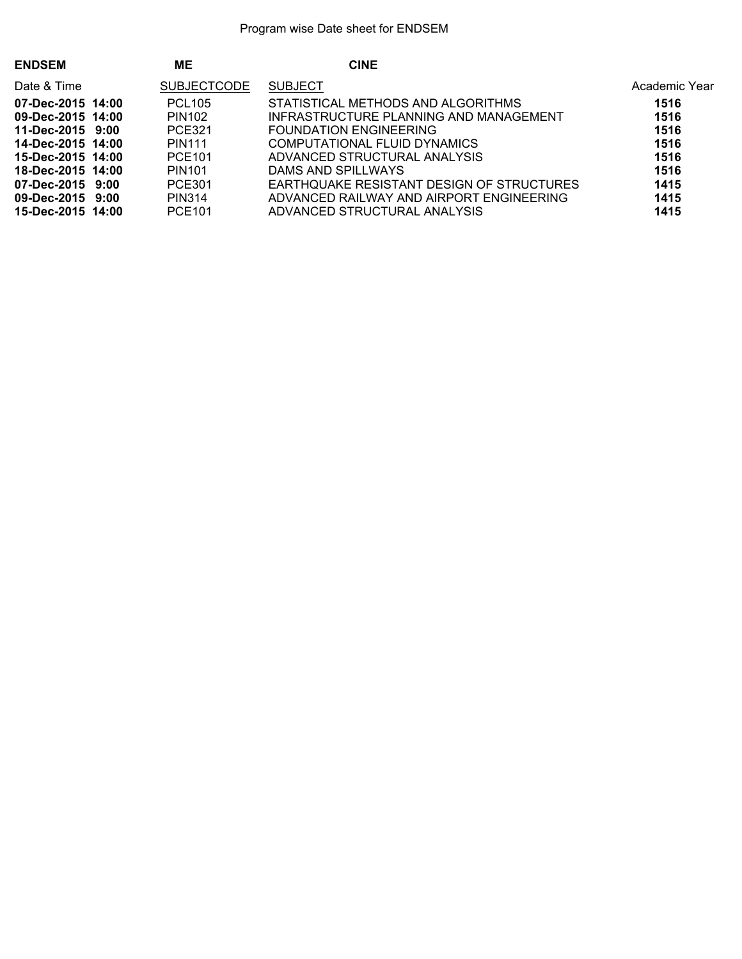| <b>ENDSEM</b>     | <b>ME</b>          | <b>CINE</b>                               |               |
|-------------------|--------------------|-------------------------------------------|---------------|
| Date & Time       | <b>SUBJECTCODE</b> | <b>SUBJECT</b>                            | Academic Year |
| 07-Dec-2015 14:00 | <b>PCL105</b>      | STATISTICAL METHODS AND ALGORITHMS        | 1516          |
| 09-Dec-2015 14:00 | PIN102             | INFRASTRUCTURE PLANNING AND MANAGEMENT    | 1516          |
| 11-Dec-2015 9:00  | <b>PCE321</b>      | <b>FOUNDATION ENGINEERING</b>             | 1516          |
| 14-Dec-2015 14:00 | <b>PIN111</b>      | COMPUTATIONAL FLUID DYNAMICS              | 1516          |
| 15-Dec-2015 14:00 | PCE101             | ADVANCED STRUCTURAL ANALYSIS              | 1516          |
| 18-Dec-2015 14:00 | PIN <sub>101</sub> | DAMS AND SPILLWAYS                        | 1516          |
| 07-Dec-2015 9:00  | PCE301             | EARTHQUAKE RESISTANT DESIGN OF STRUCTURES | 1415          |
| 09-Dec-2015 9:00  | PIN314             | ADVANCED RAILWAY AND AIRPORT ENGINEERING  | 1415          |
| 15-Dec-2015 14:00 | <b>PCE101</b>      | ADVANCED STRUCTURAL ANALYSIS              | 1415          |
|                   |                    |                                           |               |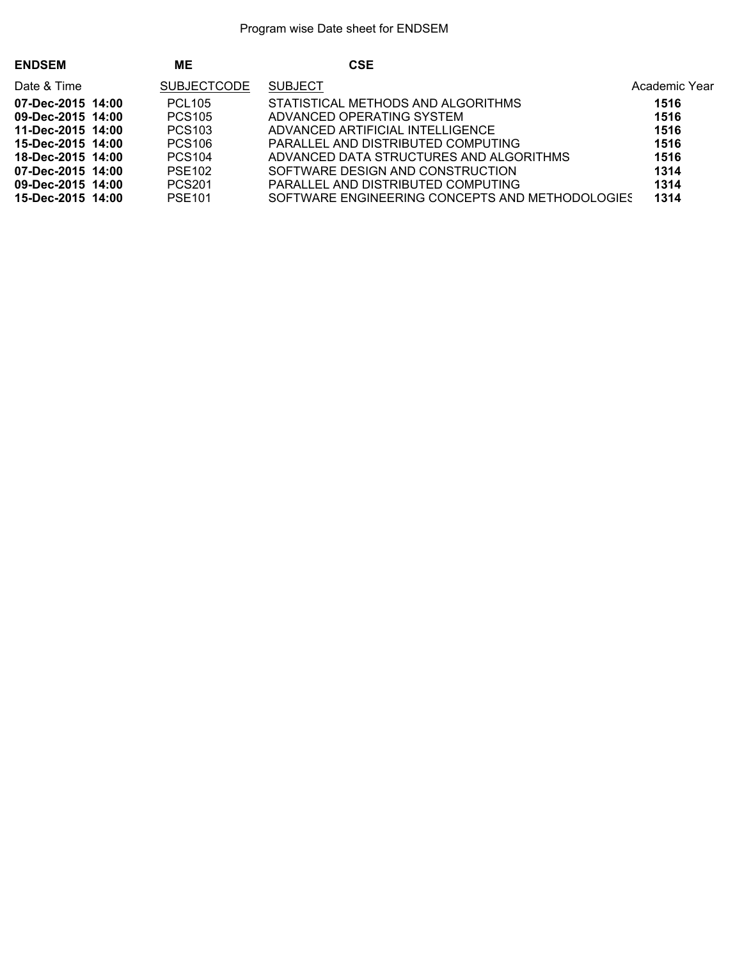| <b>ENDSEM</b>     | ME                 | <b>CSE</b>                                      |               |
|-------------------|--------------------|-------------------------------------------------|---------------|
| Date & Time       | <b>SUBJECTCODE</b> | <b>SUBJECT</b>                                  | Academic Year |
| 07-Dec-2015 14:00 | <b>PCL105</b>      | STATISTICAL METHODS AND ALGORITHMS              | 1516          |
| 09-Dec-2015 14:00 | <b>PCS105</b>      | ADVANCED OPERATING SYSTEM                       | 1516          |
| 11-Dec-2015 14:00 | PCS <sub>103</sub> | ADVANCED ARTIFICIAL INTELLIGENCE                | 1516          |
| 15-Dec-2015 14:00 | <b>PCS106</b>      | PARALLEL AND DISTRIBUTED COMPUTING              | 1516          |
| 18-Dec-2015 14:00 | <b>PCS104</b>      | ADVANCED DATA STRUCTURES AND ALGORITHMS         | 1516          |
| 07-Dec-2015 14:00 | <b>PSE102</b>      | SOFTWARE DESIGN AND CONSTRUCTION                | 1314          |
| 09-Dec-2015 14:00 | <b>PCS201</b>      | PARALLEL AND DISTRIBUTED COMPUTING              | 1314          |
| 15-Dec-2015 14:00 | <b>PSE101</b>      | SOFTWARE ENGINEERING CONCEPTS AND METHODOLOGIES | 1314          |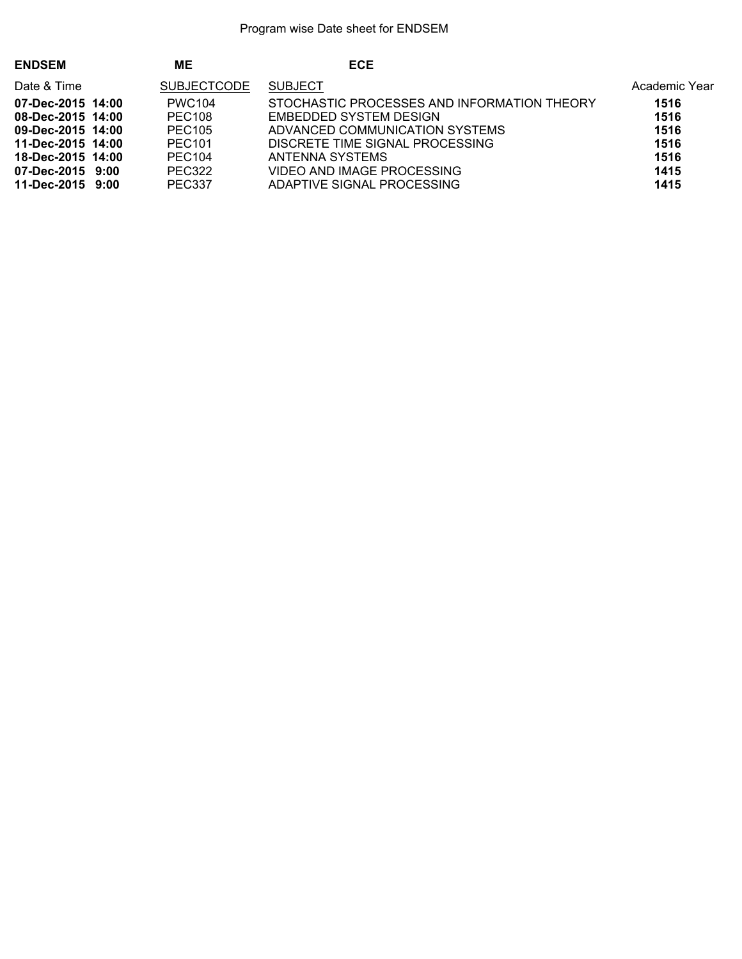| <b>ECE</b><br>MЕ<br><b>ENDSEM</b>                                                 |               |
|-----------------------------------------------------------------------------------|---------------|
| <b>SUBJECT</b><br><b>SUBJECTCODE</b><br>Date & Time                               | Academic Year |
| STOCHASTIC PROCESSES AND INFORMATION THEORY<br>07-Dec-2015 14:00<br><b>PWC104</b> | 1516          |
| <b>PEC108</b><br>08-Dec-2015 14:00<br>EMBEDDED SYSTEM DESIGN                      | 1516          |
| <b>PEC105</b><br>ADVANCED COMMUNICATION SYSTEMS<br>09-Dec-2015 14:00              | 1516          |
| <b>PEC101</b><br>DISCRETE TIME SIGNAL PROCESSING<br>11-Dec-2015 14:00             | 1516          |
| PEC <sub>104</sub><br>18-Dec-2015 14:00<br>ANTENNA SYSTEMS                        | 1516          |
| VIDEO AND IMAGE PROCESSING<br><b>PEC322</b><br>07-Dec-2015 9:00                   | 1415          |
| <b>PEC337</b><br>ADAPTIVE SIGNAL PROCESSING<br>11-Dec-2015 9:00                   | 1415          |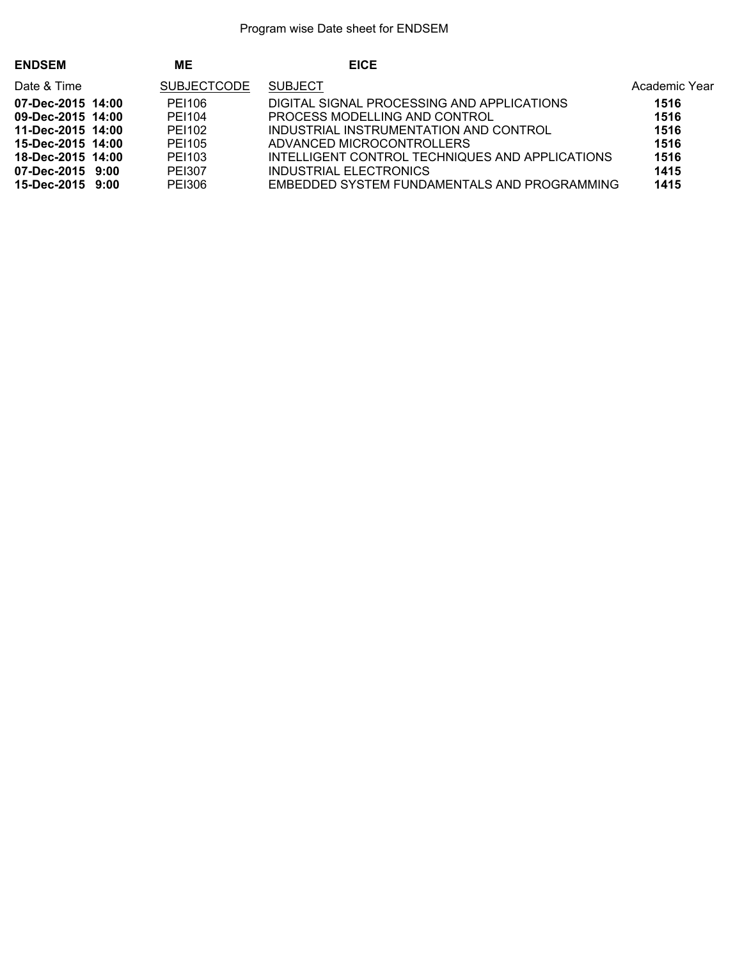| <b>ENDSEM</b>     | MЕ                 | <b>EICE</b>                                     |               |
|-------------------|--------------------|-------------------------------------------------|---------------|
| Date & Time       | <b>SUBJECTCODE</b> | <b>SUBJECT</b>                                  | Academic Year |
| 07-Dec-2015 14:00 | PE1106             | DIGITAL SIGNAL PROCESSING AND APPLICATIONS      | 1516          |
| 09-Dec-2015 14:00 | PE1104             | PROCESS MODELLING AND CONTROL                   | 1516          |
| 11-Dec-2015 14:00 | PE1102             | INDUSTRIAL INSTRUMENTATION AND CONTROL          | 1516          |
| 15-Dec-2015 14:00 | PE1105             | ADVANCED MICROCONTROLLERS                       | 1516          |
| 18-Dec-2015 14:00 | PE1103             | INTELLIGENT CONTROL TECHNIQUES AND APPLICATIONS | 1516          |
| 07-Dec-2015 9:00  | PEI307             | INDUSTRIAL ELECTRONICS                          | 1415          |
| 15-Dec-2015 9:00  | PEI306             | EMBEDDED SYSTEM FUNDAMENTALS AND PROGRAMMING    | 1415          |
|                   |                    |                                                 |               |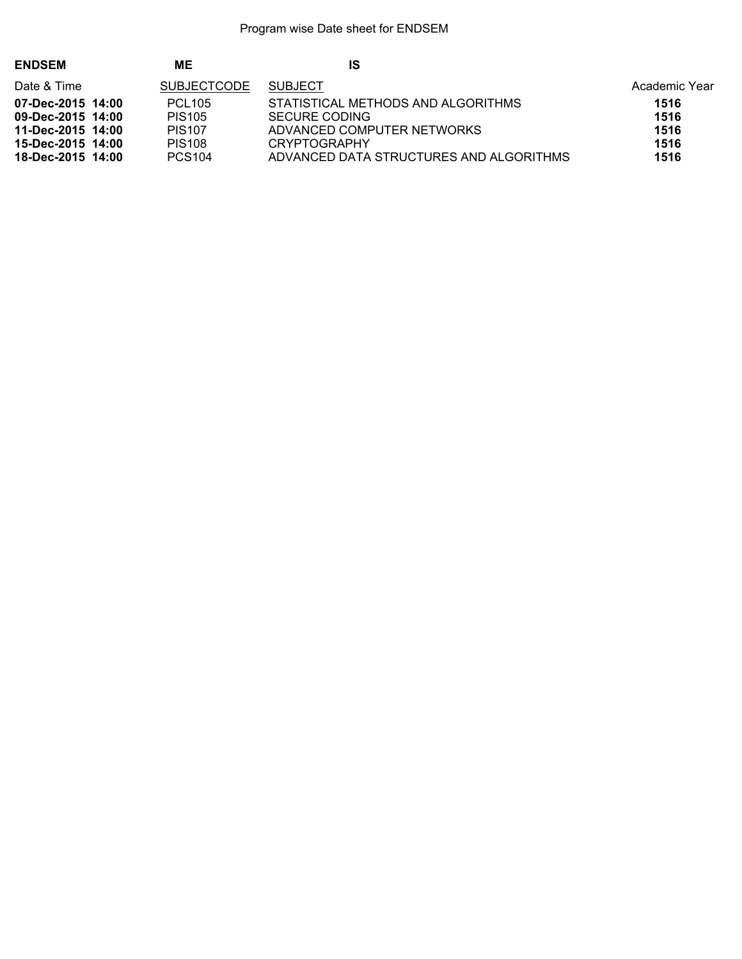| <b>ENDSEM</b>                          | MЕ                                  | IS                                                  |               |
|----------------------------------------|-------------------------------------|-----------------------------------------------------|---------------|
| Date & Time                            | <b>SUBJECTCODE</b>                  | <b>SUBJECT</b>                                      | Academic Year |
| 07-Dec-2015 14:00<br>09-Dec-2015 14:00 | <b>PCL105</b><br>PIS <sub>105</sub> | STATISTICAL METHODS AND ALGORITHMS<br>SECURE CODING | 1516<br>1516  |
| 11-Dec-2015 14:00<br>15-Dec-2015 14:00 | <b>PIS107</b><br><b>PIS108</b>      | ADVANCED COMPUTER NETWORKS<br><b>CRYPTOGRAPHY</b>   | 1516<br>1516  |
| 18-Dec-2015 14:00                      | <b>PCS104</b>                       | ADVANCED DATA STRUCTURES AND ALGORITHMS             | 1516          |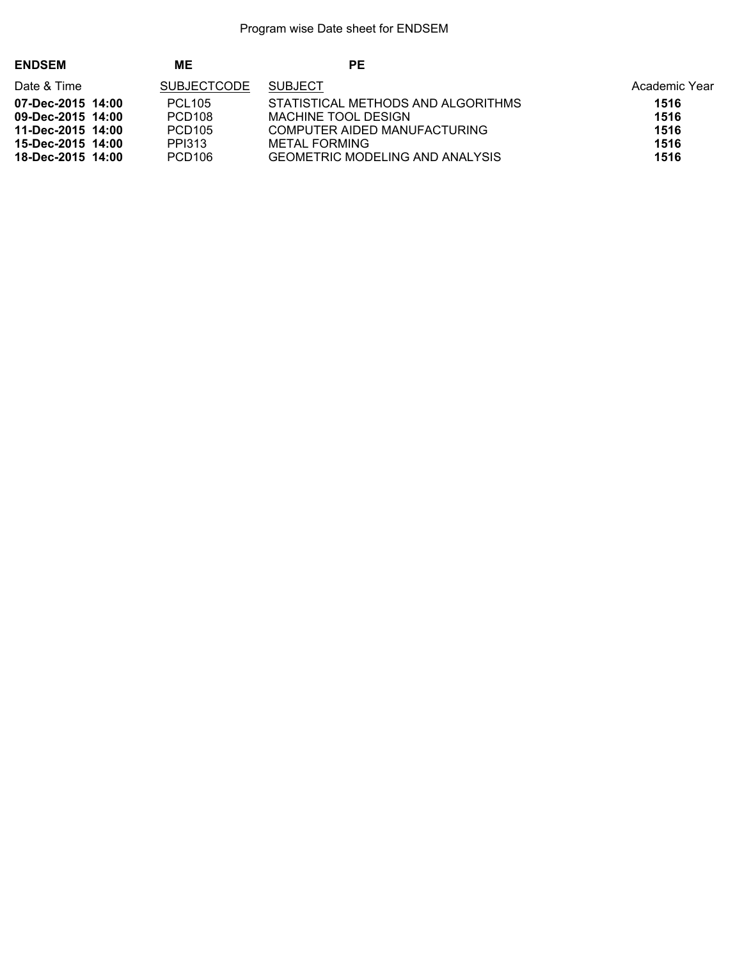| <b>ENDSEM</b>     | MЕ                 | PE                                     |               |
|-------------------|--------------------|----------------------------------------|---------------|
| Date & Time       | <b>SUBJECTCODE</b> | <b>SUBJECT</b>                         | Academic Year |
| 07-Dec-2015 14:00 | <b>PCL105</b>      | STATISTICAL METHODS AND ALGORITHMS     | 1516          |
| 09-Dec-2015 14:00 | PCD <sub>108</sub> | MACHINE TOOL DESIGN                    | 1516          |
| 11-Dec-2015 14:00 | PCD <sub>105</sub> | COMPUTER AIDED MANUFACTURING           | 1516          |
| 15-Dec-2015 14:00 | PPI313             | METAL FORMING                          | 1516          |
| 18-Dec-2015 14:00 | PCD <sub>106</sub> | <b>GEOMETRIC MODELING AND ANALYSIS</b> | 1516          |
|                   |                    |                                        |               |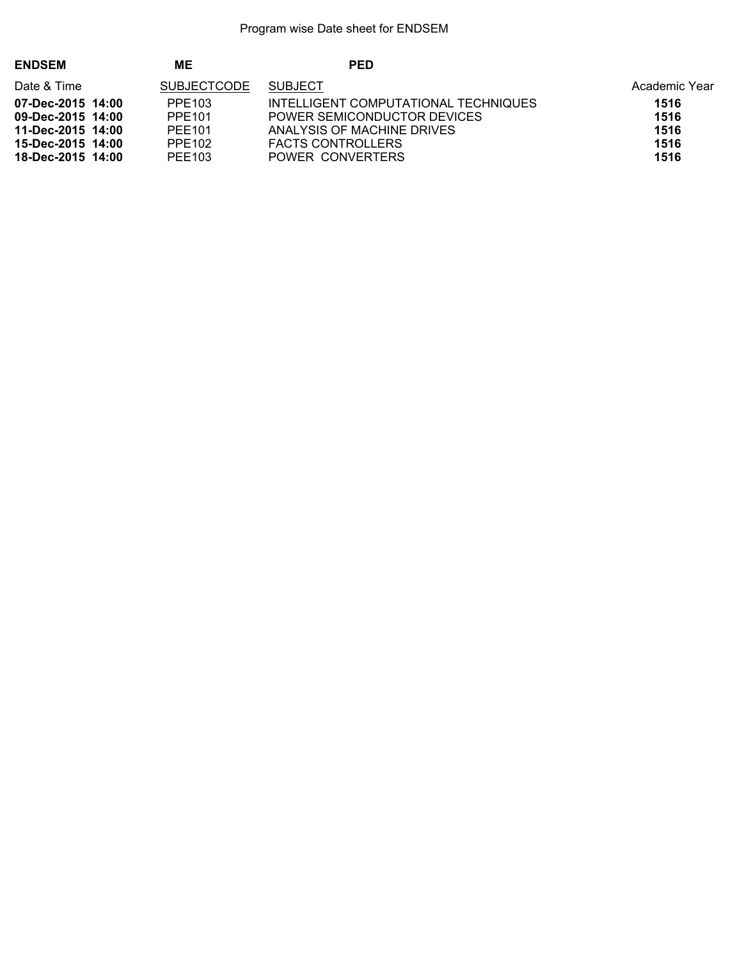| <b>ENDSEM</b>                          | MΕ                 | <b>PED</b>                                                          |               |
|----------------------------------------|--------------------|---------------------------------------------------------------------|---------------|
| Date & Time                            | <b>SUBJECTCODE</b> | <b>SUBJECT</b>                                                      | Academic Year |
| 07-Dec-2015 14:00<br>09-Dec-2015 14:00 | PPE103<br>PPE101   | INTELLIGENT COMPUTATIONAL TECHNIQUES<br>POWER SEMICONDUCTOR DEVICES | 1516<br>1516  |
| 11-Dec-2015 14:00                      | PFF101             | ANALYSIS OF MACHINE DRIVES                                          | 1516          |
| 15-Dec-2015 14:00<br>18-Dec-2015 14:00 | PPE102<br>PEE103   | <b>FACTS CONTROLLERS</b><br>POWER CONVERTERS                        | 1516<br>1516  |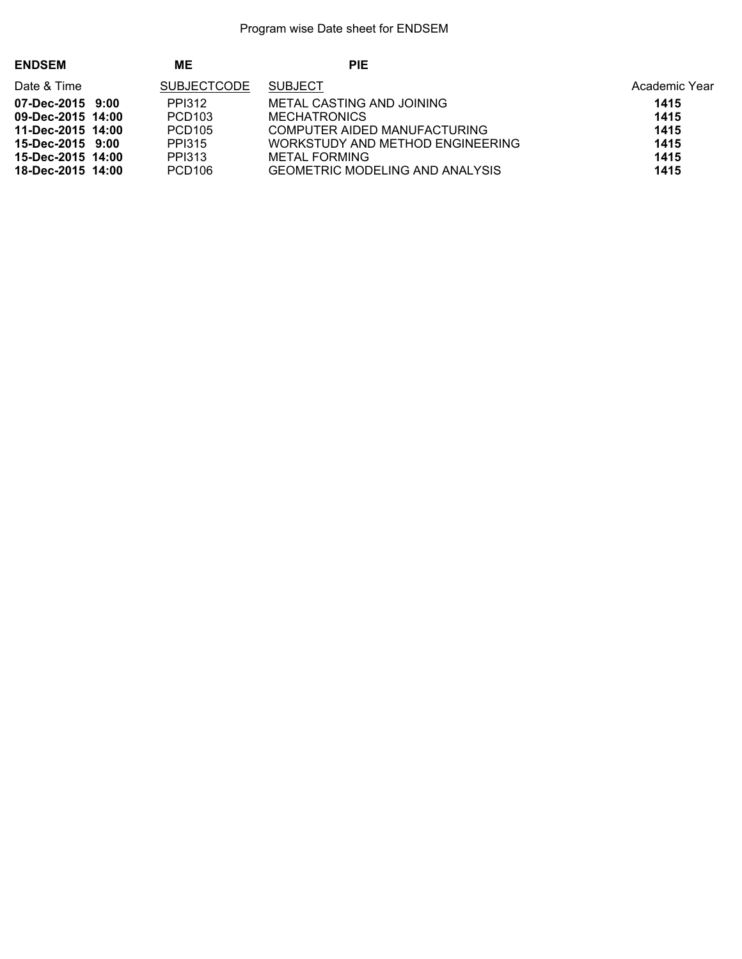| <b>ENDSEM</b>     | MΕ                 | <b>PIE</b>                             |               |
|-------------------|--------------------|----------------------------------------|---------------|
| Date & Time       | <b>SUBJECTCODE</b> | <b>SUBJECT</b>                         | Academic Year |
| 07-Dec-2015 9:00  | PPI312             | METAL CASTING AND JOINING              | 1415          |
| 09-Dec-2015 14:00 | PCD <sub>103</sub> | MECHATRONICS                           | 1415          |
| 11-Dec-2015 14:00 | PCD <sub>105</sub> | COMPUTER AIDED MANUFACTURING           | 1415          |
| 15-Dec-2015 9:00  | PPI315             | WORKSTUDY AND METHOD ENGINEERING       | 1415          |
| 15-Dec-2015 14:00 | PPI313             | METAL FORMING                          | 1415          |
| 18-Dec-2015 14:00 | PCD <sub>106</sub> | <b>GEOMETRIC MODELING AND ANALYSIS</b> | 1415          |
|                   |                    |                                        |               |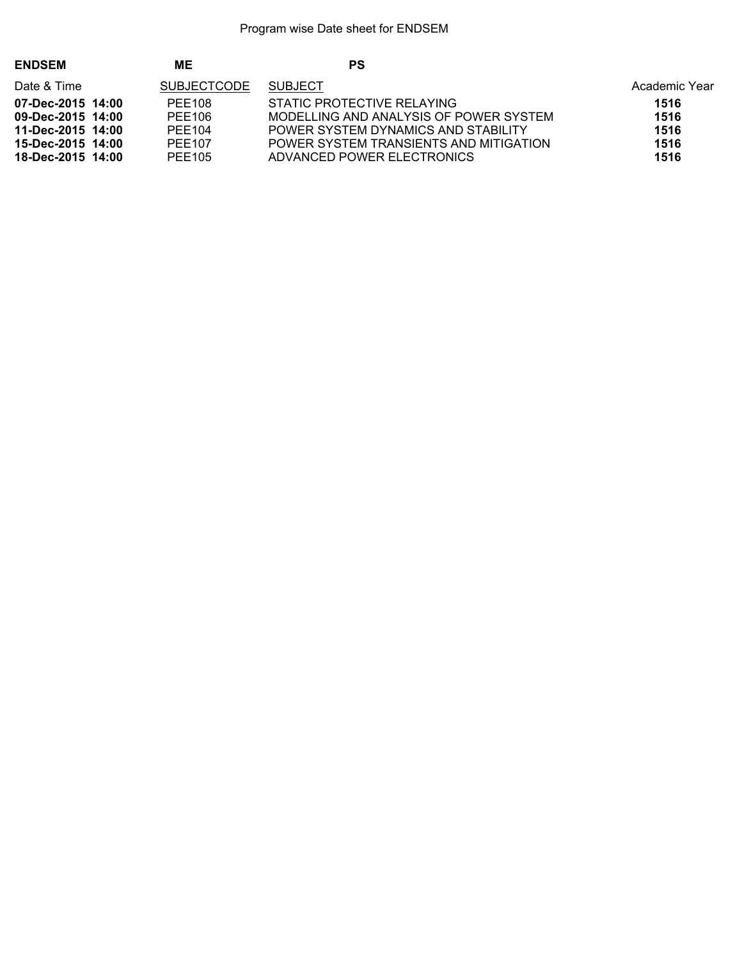| <b>ENDSEM</b>                                                                    | MΕ                                                      | <b>PS</b>                                                                                                                                             |                              |
|----------------------------------------------------------------------------------|---------------------------------------------------------|-------------------------------------------------------------------------------------------------------------------------------------------------------|------------------------------|
| Date & Time                                                                      | SUBJECTCODE                                             | <b>SUBJECT</b>                                                                                                                                        | Academic Year                |
| 07-Dec-2015 14:00<br>09-Dec-2015 14:00<br>11-Dec-2015 14:00<br>15-Dec-2015 14:00 | PEE <sub>108</sub><br>PFF106<br>PFF104<br><b>PFF107</b> | STATIC PROTECTIVE RELAYING<br>MODELLING AND ANALYSIS OF POWER SYSTEM<br>POWER SYSTEM DYNAMICS AND STABILITY<br>POWER SYSTEM TRANSIENTS AND MITIGATION | 1516<br>1516<br>1516<br>1516 |
| 18-Dec-2015 14:00                                                                | PFF105                                                  | ADVANCED POWER ELECTRONICS                                                                                                                            | 1516                         |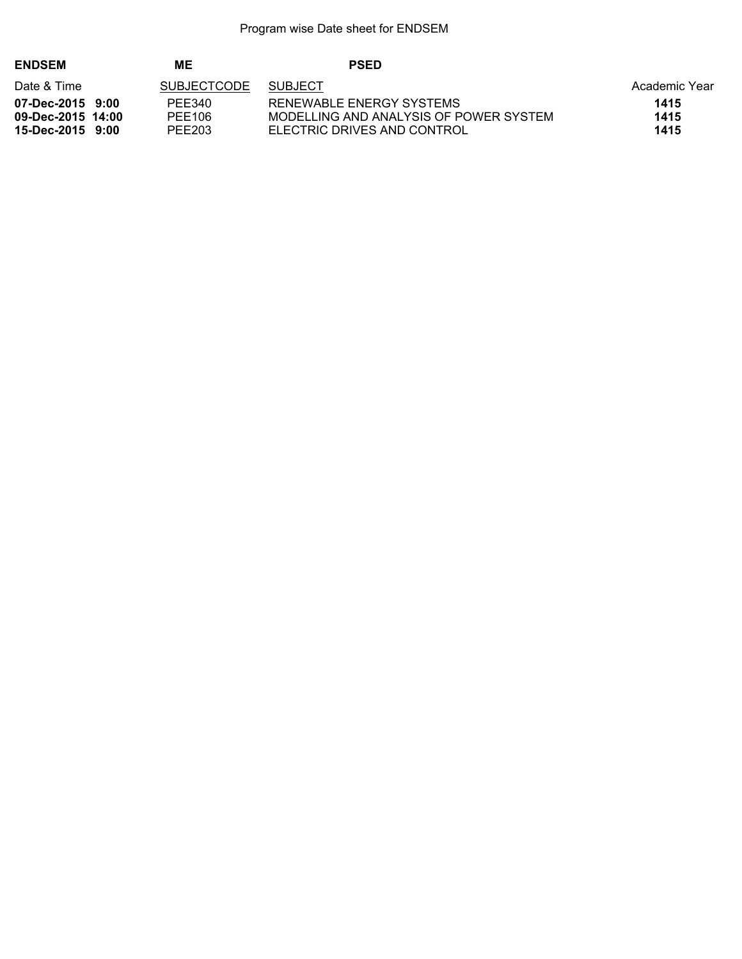| <b>ENDSEM</b>     | MЕ                 | <b>PSED</b>                            |               |
|-------------------|--------------------|----------------------------------------|---------------|
| Date & Time       | <b>SUBJECTCODE</b> | <b>SUBJECT</b>                         | Academic Year |
| 07-Dec-2015 9:00  | PFF340             | RENEWABLE ENERGY SYSTEMS               | 1415          |
| 09-Dec-2015 14:00 | PFF106             | MODELLING AND ANALYSIS OF POWER SYSTEM | 1415          |
| 15-Dec-2015 9:00  | PEE203             | ELECTRIC DRIVES AND CONTROL            | 1415          |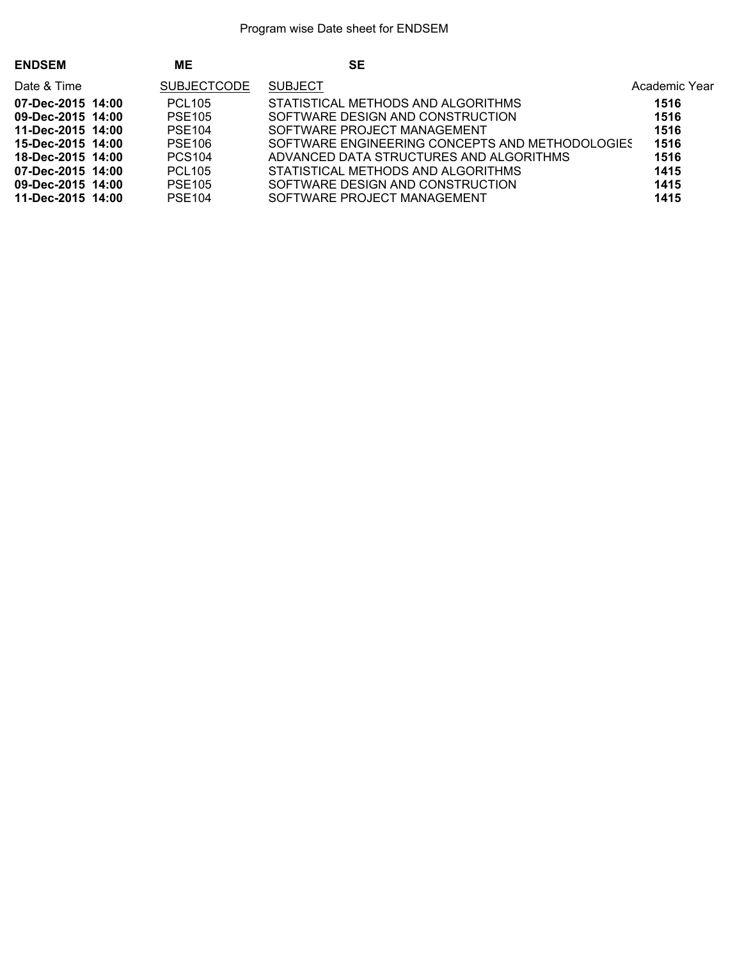| <b>ENDSEM</b>     | MЕ                 | <b>SE</b>                                       |               |
|-------------------|--------------------|-------------------------------------------------|---------------|
| Date & Time       | <b>SUBJECTCODE</b> | <b>SUBJECT</b>                                  | Academic Year |
| 07-Dec-2015 14:00 | <b>PCL105</b>      | STATISTICAL METHODS AND ALGORITHMS              | 1516          |
| 09-Dec-2015 14:00 | <b>PSE105</b>      | SOFTWARE DESIGN AND CONSTRUCTION                | 1516          |
| 11-Dec-2015 14:00 | <b>PSE104</b>      | SOFTWARE PROJECT MANAGEMENT                     | 1516          |
| 15-Dec-2015 14:00 | <b>PSE106</b>      | SOFTWARE ENGINEERING CONCEPTS AND METHODOLOGIES | 1516          |
| 18-Dec-2015 14:00 | <b>PCS104</b>      | ADVANCED DATA STRUCTURES AND ALGORITHMS         | 1516          |
| 07-Dec-2015 14:00 | <b>PCL105</b>      | STATISTICAL METHODS AND ALGORITHMS              | 1415          |
| 09-Dec-2015 14:00 | <b>PSE105</b>      | SOFTWARE DESIGN AND CONSTRUCTION                | 1415          |
| 11-Dec-2015 14:00 | <b>PSE104</b>      | SOFTWARE PROJECT MANAGEMENT                     | 1415          |
|                   |                    |                                                 |               |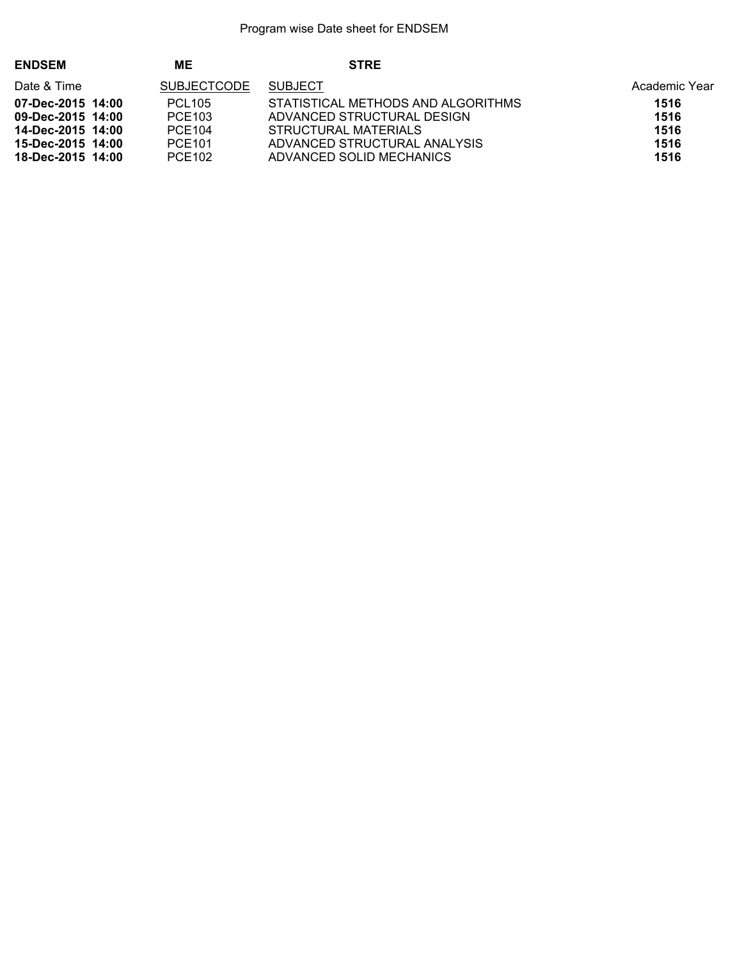| <b>ENDSEM</b>     | ME                 | <b>STRE</b>                        |               |
|-------------------|--------------------|------------------------------------|---------------|
| Date & Time       | <b>SUBJECTCODE</b> | <b>SUBJECT</b>                     | Academic Year |
| 07-Dec-2015 14:00 | <b>PCL105</b>      | STATISTICAL METHODS AND ALGORITHMS | 1516          |
| 09-Dec-2015 14:00 | PCE103             | ADVANCED STRUCTURAL DESIGN         | 1516          |
| 14-Dec-2015 14:00 | PCE104             | STRUCTURAL MATERIALS               | 1516          |
| 15-Dec-2015 14:00 | <b>PCE101</b>      | ADVANCED STRUCTURAL ANALYSIS       | 1516          |
| 18-Dec-2015 14:00 | PCE102             | ADVANCED SOLID MECHANICS           | 1516          |
|                   |                    |                                    |               |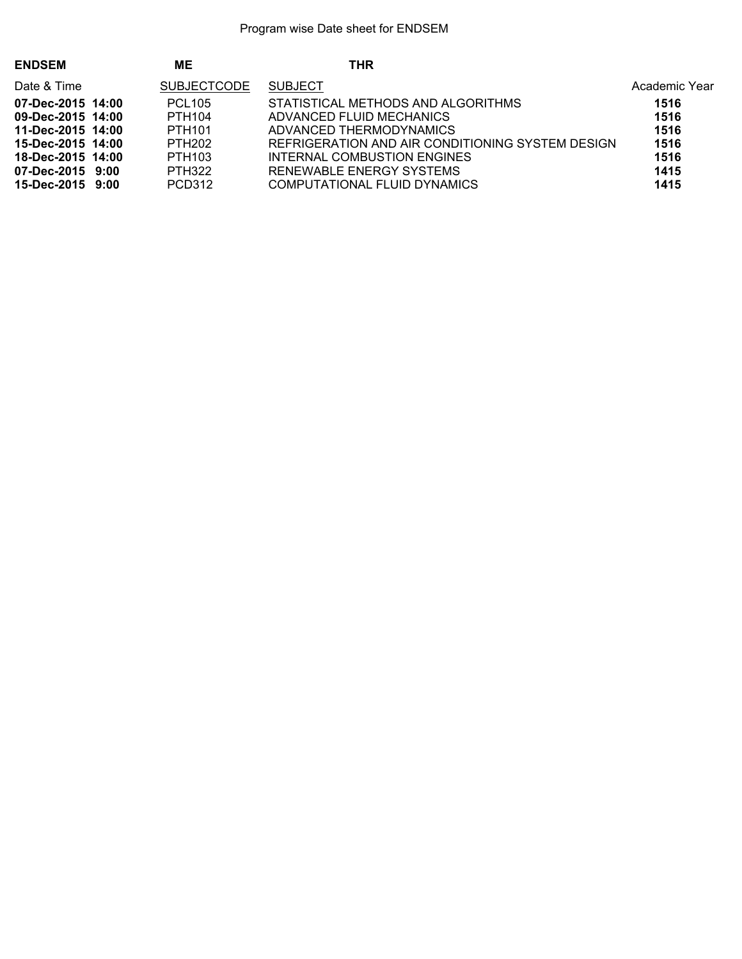| ME<br>THR<br><b>ENDSEM</b>                                                             |               |
|----------------------------------------------------------------------------------------|---------------|
| <b>SUBJECTCODE</b><br><b>SUBJECT</b><br>Date & Time                                    | Academic Year |
| STATISTICAL METHODS AND ALGORITHMS<br>07-Dec-2015 14:00<br><b>PCL105</b>               | 1516          |
| PTH104<br>ADVANCED FLUID MECHANICS<br>09-Dec-2015 14:00                                | 1516          |
| PTH <sub>101</sub><br>ADVANCED THERMODYNAMICS<br>11-Dec-2015 14:00                     | 1516          |
| <b>PTH202</b><br>REFRIGERATION AND AIR CONDITIONING SYSTEM DESIGN<br>15-Dec-2015 14:00 | 1516          |
| PTH <sub>103</sub><br>INTERNAL COMBUSTION ENGINES<br>18-Dec-2015 14:00                 | 1516          |
| <b>PTH322</b><br>RENEWABLE ENERGY SYSTEMS<br>07-Dec-2015 9:00                          | 1415          |
| PCD312<br>COMPUTATIONAL FLUID DYNAMICS<br>15-Dec-2015 9:00                             | 1415          |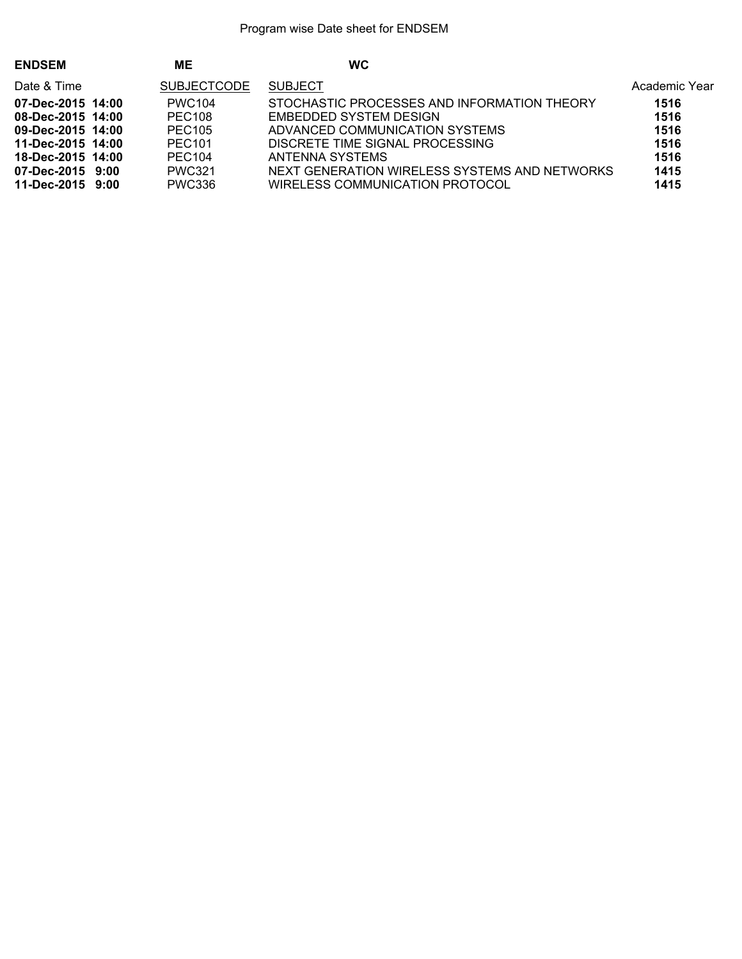| <b>ENDSEM</b>     | <b>ME</b>          | <b>WC</b>                                     |               |
|-------------------|--------------------|-----------------------------------------------|---------------|
| Date & Time       | <b>SUBJECTCODE</b> | <b>SUBJECT</b>                                | Academic Year |
| 07-Dec-2015 14:00 | <b>PWC104</b>      | STOCHASTIC PROCESSES AND INFORMATION THEORY   | 1516          |
| 08-Dec-2015 14:00 | PEC <sub>108</sub> | EMBEDDED SYSTEM DESIGN                        | 1516          |
| 09-Dec-2015 14:00 | PEC <sub>105</sub> | ADVANCED COMMUNICATION SYSTEMS                | 1516          |
| 11-Dec-2015 14:00 | PEC <sub>101</sub> | DISCRETE TIME SIGNAL PROCESSING               | 1516          |
| 18-Dec-2015 14:00 | PEC <sub>104</sub> | ANTENNA SYSTEMS                               | 1516          |
| 07-Dec-2015 9:00  | <b>PWC321</b>      | NEXT GENERATION WIRELESS SYSTEMS AND NETWORKS | 1415          |
| 11-Dec-2015 9:00  | <b>PWC336</b>      | WIRELESS COMMUNICATION PROTOCOL               | 1415          |
|                   |                    |                                               |               |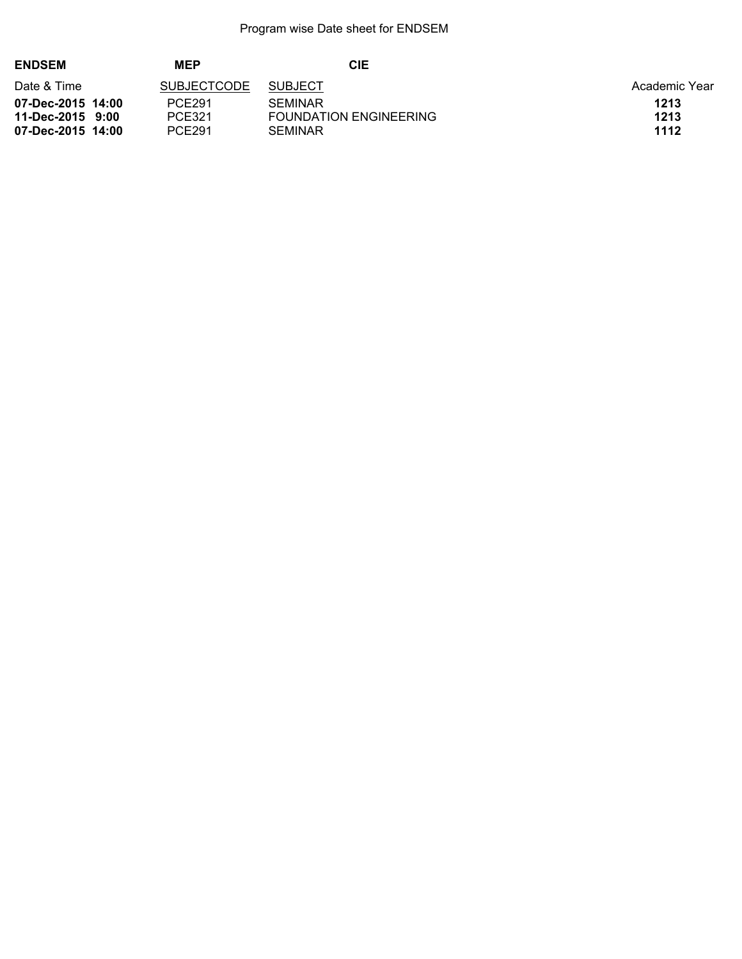| <b>ENDSEM</b>     | <b>MEP</b>         | CIE                           |               |
|-------------------|--------------------|-------------------------------|---------------|
| Date & Time       | <b>SUBJECTCODE</b> | <b>SUBJECT</b>                | Academic Year |
| 07-Dec-2015 14:00 | <b>PCE291</b>      | <b>SEMINAR</b>                | 1213          |
| 11-Dec-2015 9:00  | PCE321             | <b>FOUNDATION ENGINEERING</b> | 1213          |
| 07-Dec-2015 14:00 | PCE291             | <b>SEMINAR</b>                | 1112          |
|                   |                    |                               |               |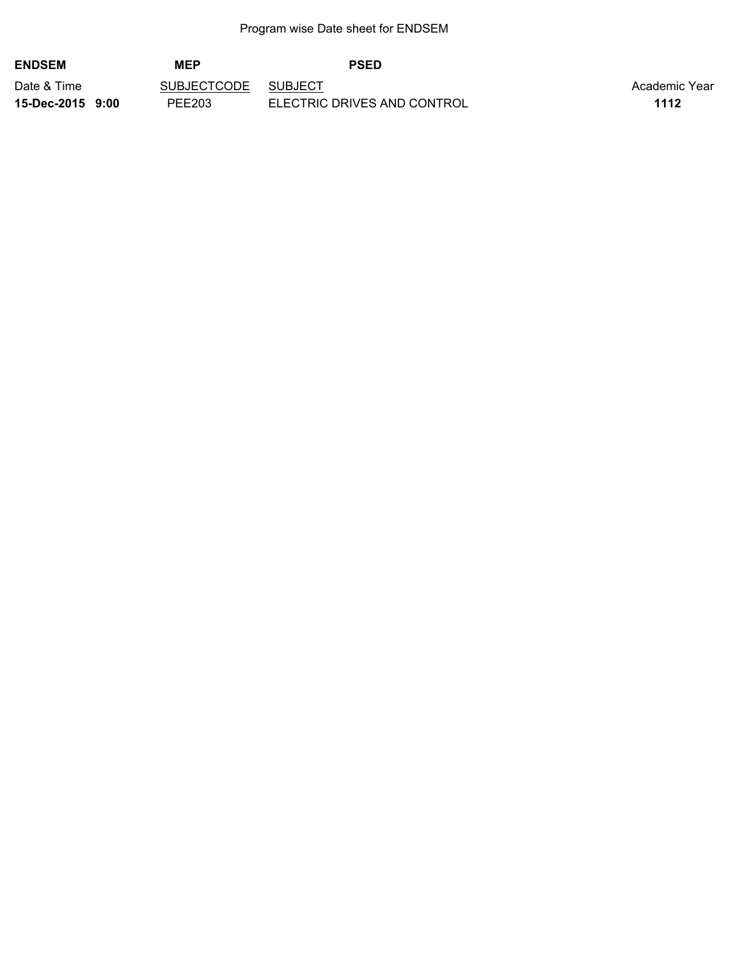| <b>ENDSEM</b>    | <b>MEP</b>         | <b>PSED</b>                 |               |
|------------------|--------------------|-----------------------------|---------------|
| Date & Time      | <b>SUBJECTCODE</b> | <b>SUBJECT</b>              | Academic Year |
| 15-Dec-2015 9:00 | PEE203             | ELECTRIC DRIVES AND CONTROL | 1112          |
|                  |                    |                             |               |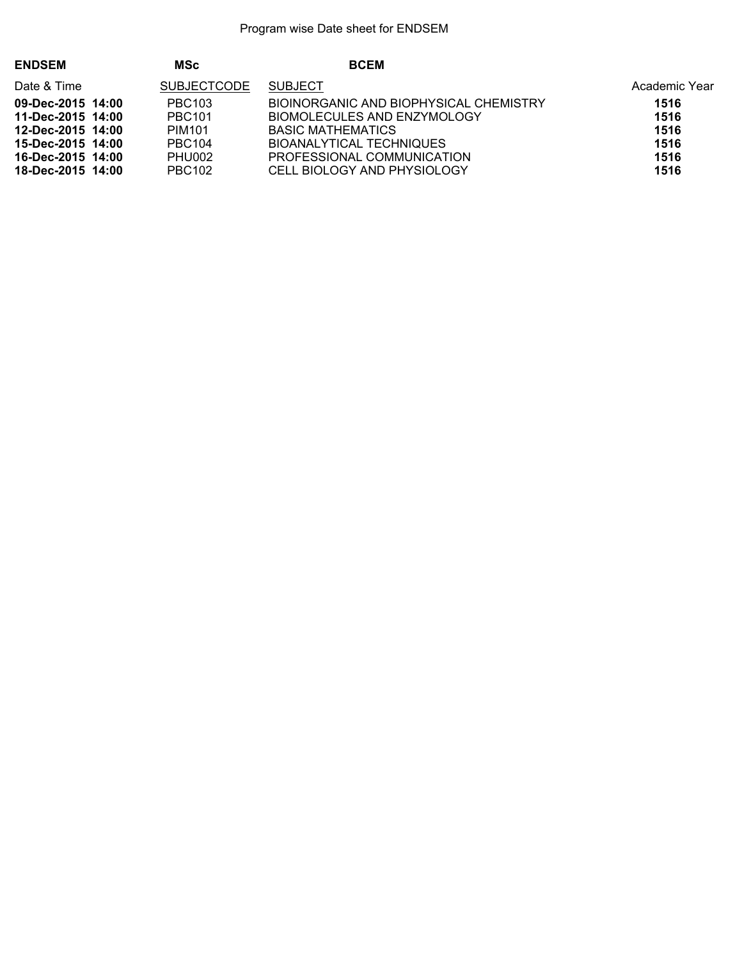| <b>ENDSEM</b>     | <b>MSc</b>         | <b>BCEM</b>                            |               |
|-------------------|--------------------|----------------------------------------|---------------|
| Date & Time       | <b>SUBJECTCODE</b> | <b>SUBJECT</b>                         | Academic Year |
| 09-Dec-2015 14:00 | PBC <sub>103</sub> | BIOINORGANIC AND BIOPHYSICAL CHEMISTRY | 1516          |
| 11-Dec-2015 14:00 | <b>PBC101</b>      | BIOMOLECULES AND ENZYMOLOGY            | 1516          |
| 12-Dec-2015 14:00 | PIM <sub>101</sub> | BASIC MATHEMATICS                      | 1516          |
| 15-Dec-2015 14:00 | <b>PBC104</b>      | <b>BIOANALYTICAL TECHNIQUES</b>        | 1516          |
| 16-Dec-2015 14:00 | PHU002             | PROFESSIONAL COMMUNICATION             | 1516          |
| 18-Dec-2015 14:00 | <b>PBC102</b>      | CELL BIOLOGY AND PHYSIOLOGY            | 1516          |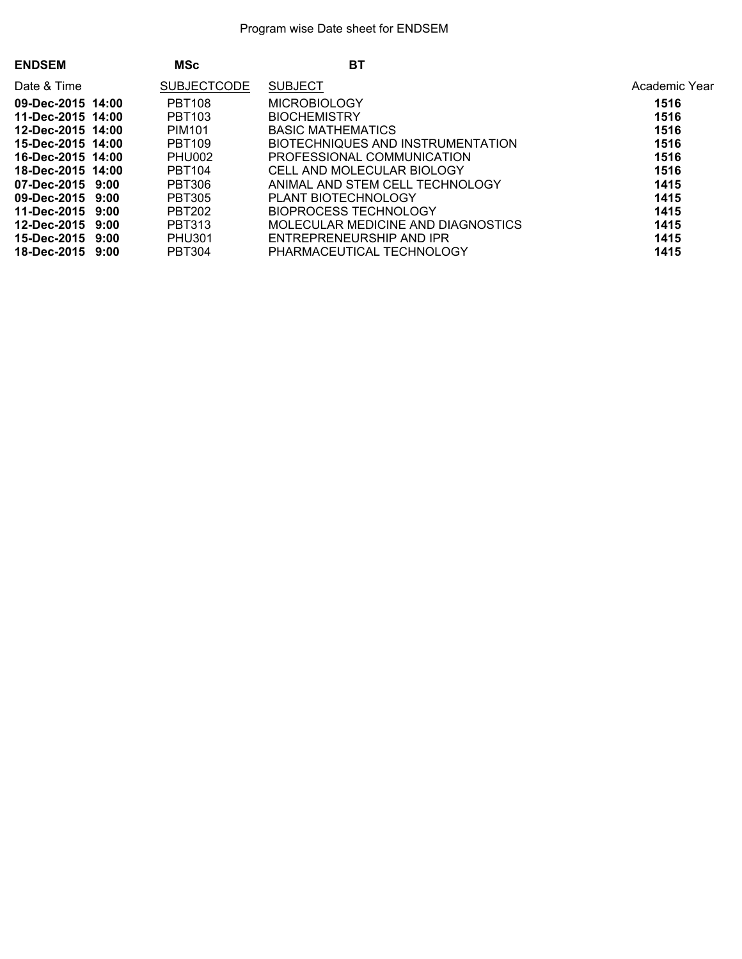| <b>ENDSEM</b>     | <b>MSc</b>         | BT                                 |               |
|-------------------|--------------------|------------------------------------|---------------|
| Date & Time       | <b>SUBJECTCODE</b> | <b>SUBJECT</b>                     | Academic Year |
| 09-Dec-2015 14:00 | <b>PBT108</b>      | MICROBIOLOGY                       | 1516          |
| 11-Dec-2015 14:00 | <b>PBT103</b>      | <b>BIOCHEMISTRY</b>                | 1516          |
| 12-Dec-2015 14:00 | PIM <sub>101</sub> | BASIC MATHEMATICS                  | 1516          |
| 15-Dec-2015 14:00 | <b>PBT109</b>      | BIOTECHNIQUES AND INSTRUMENTATION  | 1516          |
| 16-Dec-2015 14:00 | PHU002             | PROFESSIONAL COMMUNICATION         | 1516          |
| 18-Dec-2015 14:00 | <b>PBT104</b>      | CELL AND MOLECULAR BIOLOGY         | 1516          |
| 07-Dec-2015 9:00  | <b>PBT306</b>      | ANIMAL AND STEM CELL TECHNOLOGY    | 1415          |
| 09-Dec-2015 9:00  | <b>PBT305</b>      | PLANT BIOTECHNOLOGY                | 1415          |
| 11-Dec-2015 9:00  | <b>PBT202</b>      | BIOPROCESS TECHNOLOGY              | 1415          |
| 12-Dec-2015 9:00  | PBT313             | MOLECULAR MEDICINE AND DIAGNOSTICS | 1415          |
| 15-Dec-2015 9:00  | <b>PHU301</b>      | ENTREPRENEURSHIP AND IPR           | 1415          |
| 18-Dec-2015 9:00  | <b>PBT304</b>      | PHARMACEUTICAL TECHNOLOGY          | 1415          |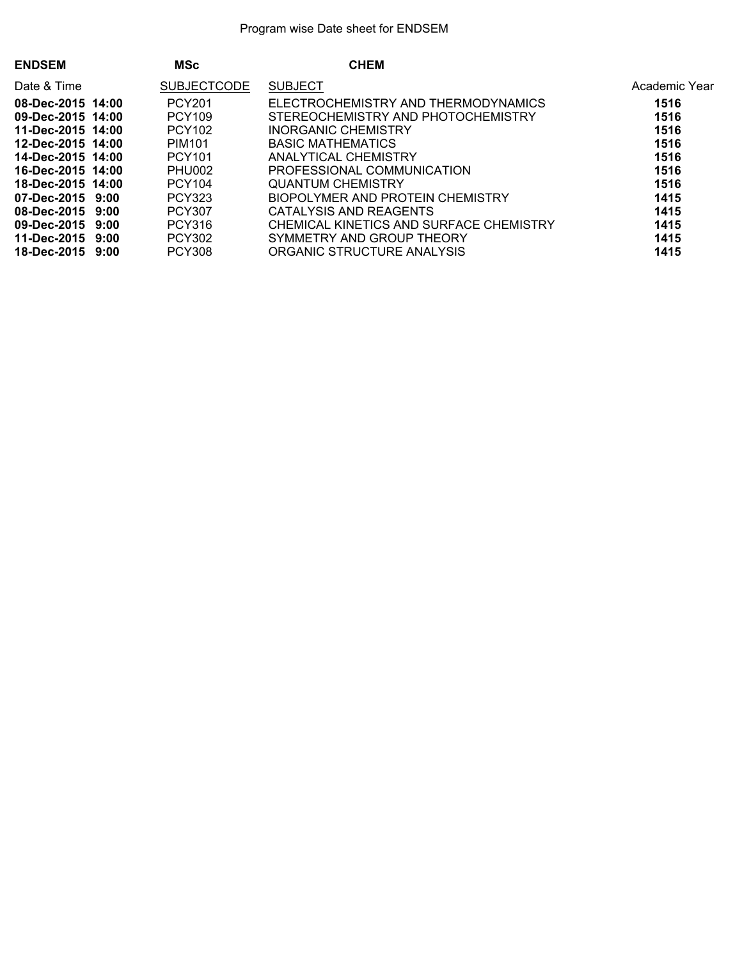| <b>ENDSEM</b>          | <b>MSc</b>         | <b>CHEM</b>                             |               |
|------------------------|--------------------|-----------------------------------------|---------------|
| Date & Time            | <b>SUBJECTCODE</b> | <b>SUBJECT</b>                          | Academic Year |
| 08-Dec-2015 14:00      | <b>PCY201</b>      | ELECTROCHEMISTRY AND THERMODYNAMICS     | 1516          |
| 09-Dec-2015 14:00      | <b>PCY109</b>      | STEREOCHEMISTRY AND PHOTOCHEMISTRY      | 1516          |
| 11-Dec-2015 14:00      | PCY102             | INORGANIC CHEMISTRY                     | 1516          |
| 12-Dec-2015 14:00      | PIM <sub>101</sub> | <b>BASIC MATHEMATICS</b>                | 1516          |
| 14-Dec-2015 14:00      | <b>PCY101</b>      | ANALYTICAL CHEMISTRY                    | 1516          |
| 16-Dec-2015 14:00      | PHU002             | PROFESSIONAL COMMUNICATION              | 1516          |
| 18-Dec-2015 14:00      | <b>PCY104</b>      | QUANTUM CHEMISTRY                       | 1516          |
| 07-Dec-2015 9:00       | PCY323             | BIOPOLYMER AND PROTEIN CHEMISTRY        | 1415          |
| 08-Dec-2015 9:00       | <b>PCY307</b>      | CATALYSIS AND REAGENTS                  | 1415          |
| 09-Dec-2015 9:00       | <b>PCY316</b>      | CHEMICAL KINETICS AND SURFACE CHEMISTRY | 1415          |
| $11 - Dec - 2015$ 9:00 | <b>PCY302</b>      | SYMMETRY AND GROUP THEORY               | 1415          |
| 18-Dec-2015 9:00       | <b>PCY308</b>      | ORGANIC STRUCTURE ANALYSIS              | 1415          |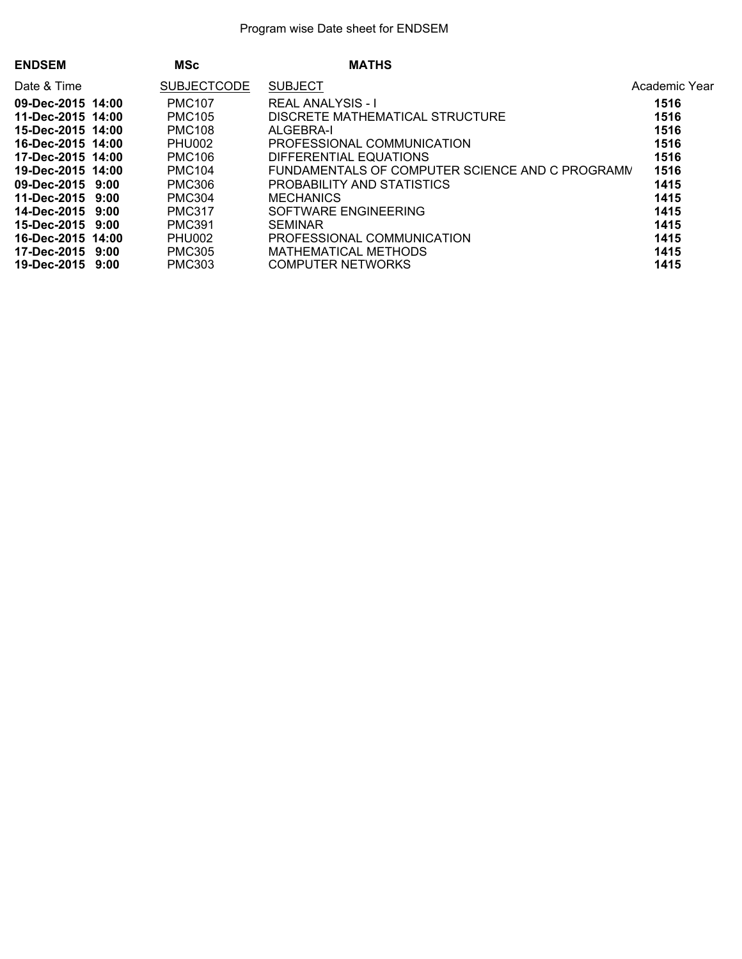| <b>ENDSEM</b>     | <b>MSc</b>         | <b>MATHS</b>                                    |               |
|-------------------|--------------------|-------------------------------------------------|---------------|
| Date & Time       | <b>SUBJECTCODE</b> | <b>SUBJECT</b>                                  | Academic Year |
| 09-Dec-2015 14:00 | <b>PMC107</b>      | <b>REAL ANALYSIS - I</b>                        | 1516          |
| 11-Dec-2015 14:00 | <b>PMC105</b>      | DISCRETE MATHEMATICAL STRUCTURE                 | 1516          |
| 15-Dec-2015 14:00 | <b>PMC108</b>      | ALGEBRA-I                                       | 1516          |
| 16-Dec-2015 14:00 | PHU002             | PROFESSIONAL COMMUNICATION                      | 1516          |
| 17-Dec-2015 14:00 | <b>PMC106</b>      | DIFFERENTIAL EQUATIONS                          | 1516          |
| 19-Dec-2015 14:00 | <b>PMC104</b>      | FUNDAMENTALS OF COMPUTER SCIENCE AND C PROGRAMN | 1516          |
| 09-Dec-2015 9:00  | <b>PMC306</b>      | PROBABILITY AND STATISTICS                      | 1415          |
| 11-Dec-2015 9:00  | <b>PMC304</b>      | <b>MECHANICS</b>                                | 1415          |
| 14-Dec-2015 9:00  | <b>PMC317</b>      | SOFTWARE ENGINEERING                            | 1415          |
| 15-Dec-2015 9:00  | <b>PMC391</b>      | <b>SEMINAR</b>                                  | 1415          |
| 16-Dec-2015 14:00 | PHU002             | PROFESSIONAL COMMUNICATION                      | 1415          |
| 17-Dec-2015 9:00  | <b>PMC305</b>      | MATHEMATICAL METHODS                            | 1415          |
| 19-Dec-2015 9:00  | <b>PMC303</b>      | <b>COMPUTER NETWORKS</b>                        | 1415          |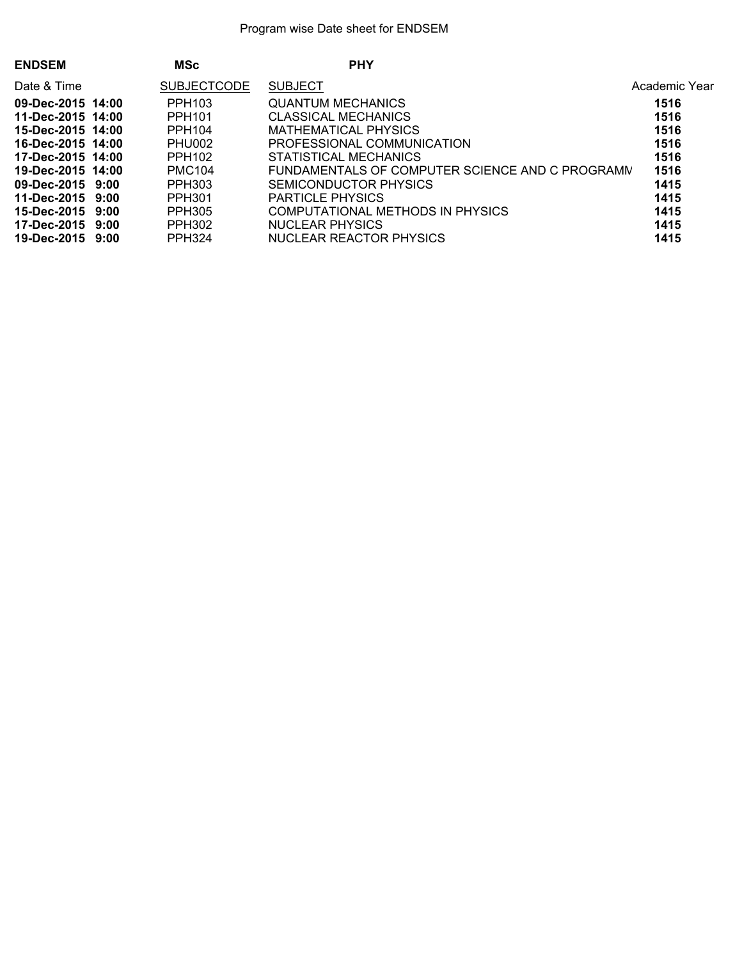| <b>ENDSEM</b>     | <b>MSc</b>         | <b>PHY</b>                                      |               |
|-------------------|--------------------|-------------------------------------------------|---------------|
| Date & Time       | <b>SUBJECTCODE</b> | <b>SUBJECT</b>                                  | Academic Year |
| 09-Dec-2015 14:00 | PPH <sub>103</sub> | <b>QUANTUM MECHANICS</b>                        | 1516          |
| 11-Dec-2015 14:00 | PPH <sub>101</sub> | CLASSICAL MECHANICS                             | 1516          |
| 15-Dec-2015 14:00 | PPH104             | MATHEMATICAL PHYSICS                            | 1516          |
| 16-Dec-2015 14:00 | PHU002             | PROFESSIONAL COMMUNICATION                      | 1516          |
| 17-Dec-2015 14:00 | PPH <sub>102</sub> | STATISTICAL MECHANICS                           | 1516          |
| 19-Dec-2015 14:00 | <b>PMC104</b>      | FUNDAMENTALS OF COMPUTER SCIENCE AND C PROGRAMM | 1516          |
| 09-Dec-2015 9:00  | PPH303             | SEMICONDUCTOR PHYSICS                           | 1415          |
| 11-Dec-2015 9:00  | PPH301             | <b>PARTICLE PHYSICS</b>                         | 1415          |
| 15-Dec-2015 9:00  | PPH305             | COMPUTATIONAL METHODS IN PHYSICS                | 1415          |
| 17-Dec-2015 9:00  | <b>PPH302</b>      | NUCLEAR PHYSICS                                 | 1415          |
| 19-Dec-2015 9:00  | <b>PPH324</b>      | NUCLEAR REACTOR PHYSICS                         | 1415          |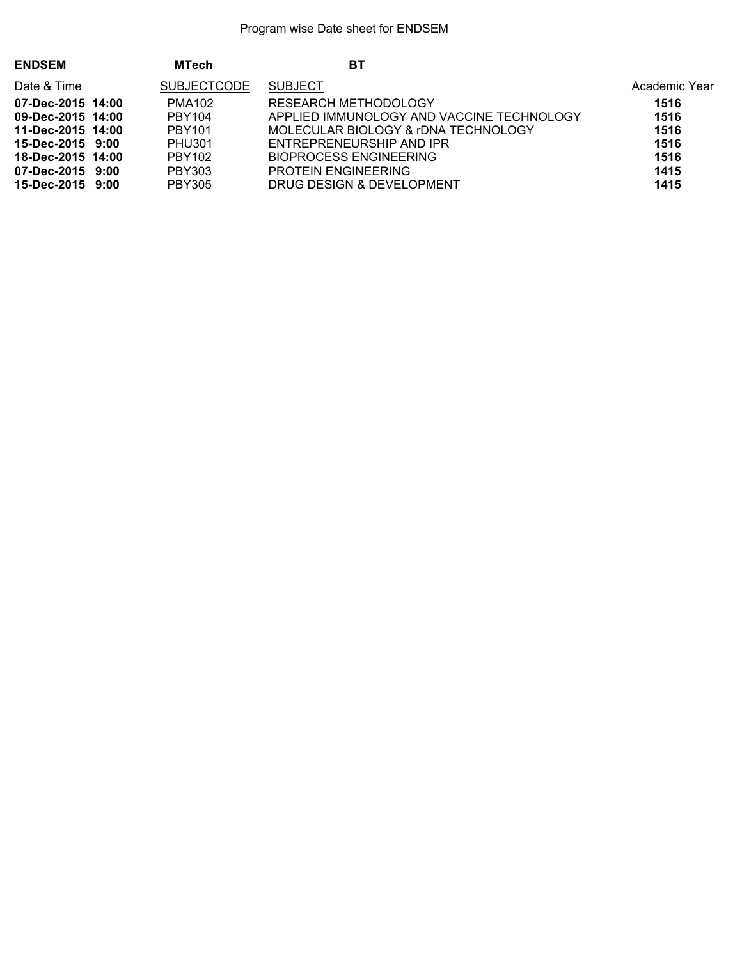| <b>ENDSEM</b>     | <b>MTech</b>       | ВT                                        |               |
|-------------------|--------------------|-------------------------------------------|---------------|
| Date & Time       | <b>SUBJECTCODE</b> | <b>SUBJECT</b>                            | Academic Year |
| 07-Dec-2015 14:00 | <b>PMA102</b>      | RESEARCH METHODOLOGY                      | 1516          |
| 09-Dec-2015 14:00 | PBY104             | APPLIED IMMUNOLOGY AND VACCINE TECHNOLOGY | 1516          |
| 11-Dec-2015 14:00 | PBY101             | MOLECULAR BIOLOGY & rDNA TECHNOLOGY       | 1516          |
| 15-Dec-2015 9:00  | <b>PHU301</b>      | ENTREPRENEURSHIP AND IPR                  | 1516          |
| 18-Dec-2015 14:00 | <b>PBY102</b>      | <b>BIOPROCESS ENGINEERING</b>             | 1516          |
| 07-Dec-2015 9:00  | PBY303             | <b>PROTEIN ENGINEERING</b>                | 1415          |
| 15-Dec-2015 9:00  | <b>PBY305</b>      | DRUG DESIGN & DEVELOPMENT                 | 1415          |
|                   |                    |                                           |               |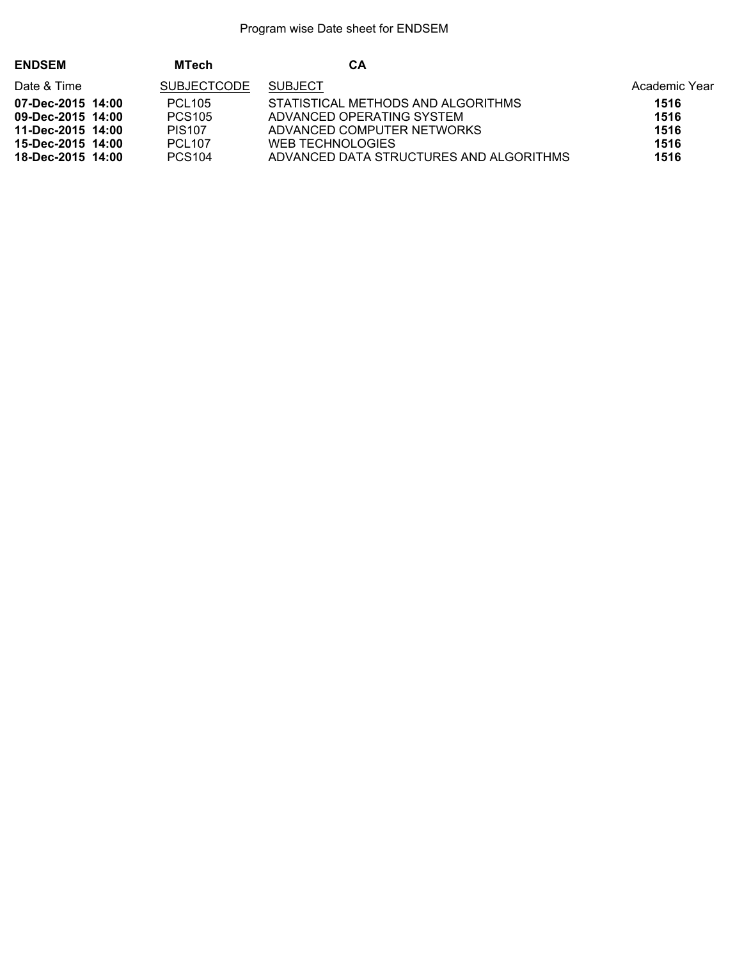| <b>ENDSEM</b>     | <b>MTech</b>       | CА                                      |               |
|-------------------|--------------------|-----------------------------------------|---------------|
| Date & Time       | <b>SUBJECTCODE</b> | <b>SUBJECT</b>                          | Academic Year |
| 07-Dec-2015 14:00 | <b>PCL105</b>      | STATISTICAL METHODS AND ALGORITHMS      | 1516          |
| 09-Dec-2015 14:00 | <b>PCS105</b>      | ADVANCED OPERATING SYSTEM               | 1516          |
| 11-Dec-2015 14:00 | <b>PIS107</b>      | ADVANCED COMPUTER NETWORKS              | 1516          |
| 15-Dec-2015 14:00 | <b>PCL107</b>      | WEB TECHNOLOGIES                        | 1516          |
| 18-Dec-2015 14:00 | <b>PCS104</b>      | ADVANCED DATA STRUCTURES AND ALGORITHMS | 1516          |
|                   |                    |                                         |               |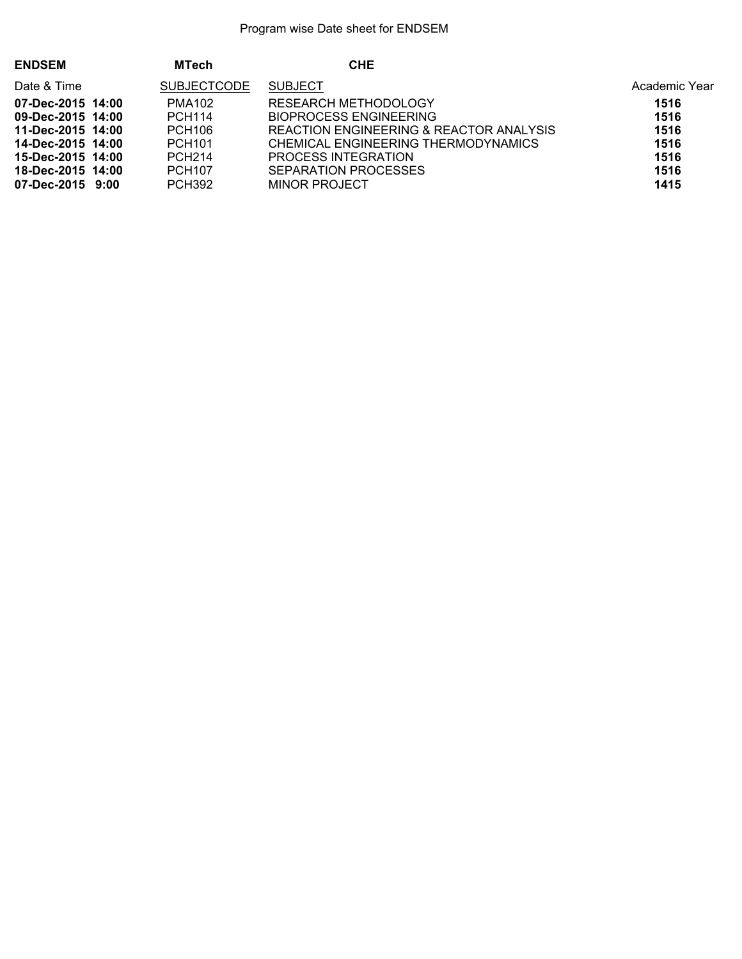| <b>ENDSEM</b>     | <b>MTech</b>       | <b>CHE</b>                              |               |
|-------------------|--------------------|-----------------------------------------|---------------|
| Date & Time       | <b>SUBJECTCODE</b> | <b>SUBJECT</b>                          | Academic Year |
| 07-Dec-2015 14:00 | <b>PMA102</b>      | <b>RESEARCH METHODOLOGY</b>             | 1516          |
| 09-Dec-2015 14:00 | <b>PCH114</b>      | BIOPROCESS ENGINEERING                  | 1516          |
| 11-Dec-2015 14:00 | <b>PCH106</b>      | REACTION ENGINEERING & REACTOR ANALYSIS | 1516          |
| 14-Dec-2015 14:00 | <b>PCH101</b>      | CHEMICAL ENGINEERING THERMODYNAMICS     | 1516          |
| 15-Dec-2015 14:00 | <b>PCH214</b>      | PROCESS INTEGRATION                     | 1516          |
| 18-Dec-2015 14:00 | <b>PCH107</b>      | SEPARATION PROCESSES                    | 1516          |
| 07-Dec-2015 9:00  | <b>PCH392</b>      | MINOR PROJECT                           | 1415          |
|                   |                    |                                         |               |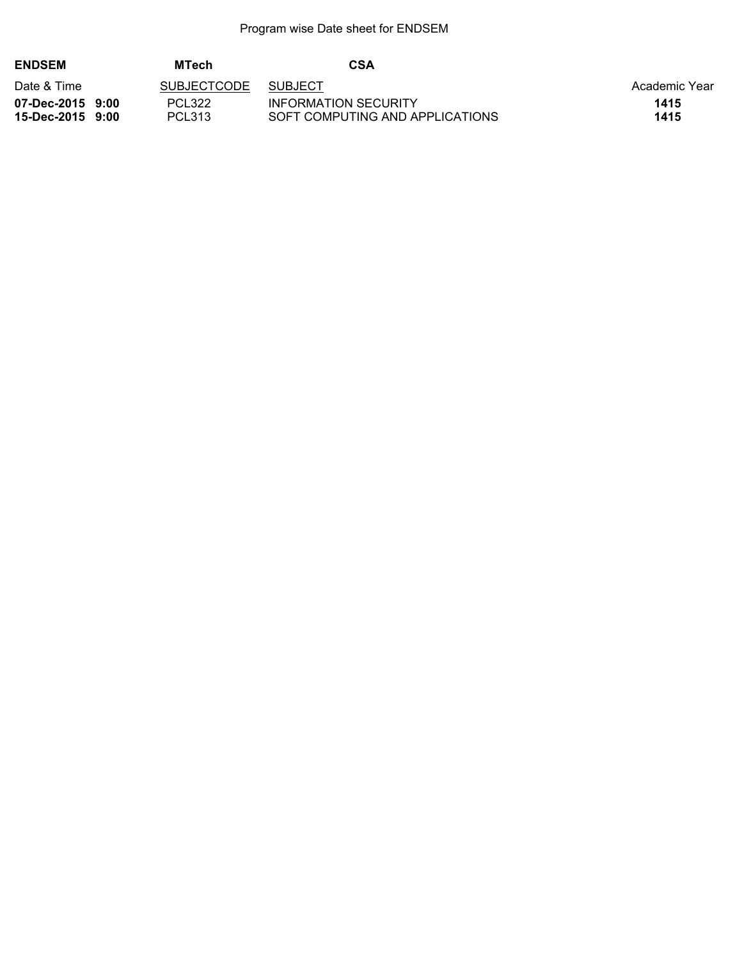| <b>ENDSEM</b>                        | <b>MTech</b>       | <b>CSA</b>                                              |               |
|--------------------------------------|--------------------|---------------------------------------------------------|---------------|
| Date & Time                          | <b>SUBJECTCODE</b> | <b>SUBJECT</b>                                          | Academic Year |
| 07-Dec-2015 9:00<br>15-Dec-2015 9:00 | PCL322<br>PCL313   | INFORMATION SECURITY<br>SOFT COMPUTING AND APPLICATIONS | 1415<br>1415  |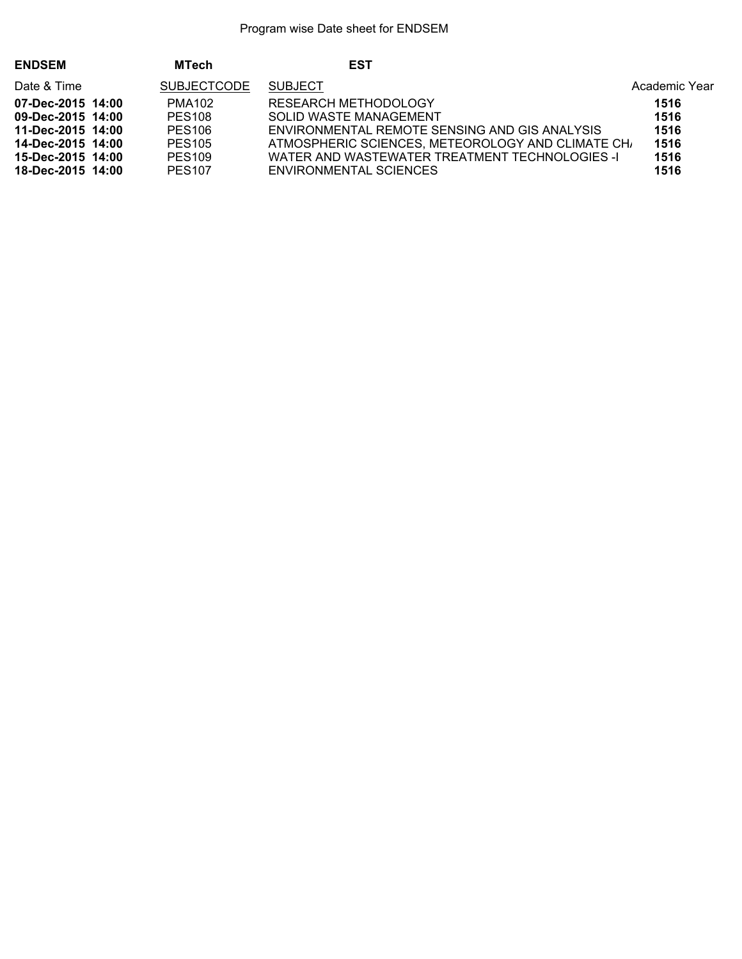| <b>ENDSEM</b>     | <b>MTech</b>                         | <b>EST</b>                                       |               |
|-------------------|--------------------------------------|--------------------------------------------------|---------------|
| Date & Time       | <b>SUBJECTCODE</b><br><b>SUBJECT</b> |                                                  | Academic Year |
| 07-Dec-2015 14:00 | PMA <sub>102</sub>                   | RESEARCH METHODOLOGY                             | 1516          |
| 09-Dec-2015 14:00 | <b>PES108</b>                        | SOLID WASTE MANAGEMENT                           | 1516          |
| 11-Dec-2015 14:00 | <b>PES106</b>                        | ENVIRONMENTAL REMOTE SENSING AND GIS ANALYSIS    | 1516          |
| 14-Dec-2015 14:00 | <b>PES105</b>                        | ATMOSPHERIC SCIENCES, METEOROLOGY AND CLIMATE CH | 1516          |
| 15-Dec-2015 14:00 | <b>PES109</b>                        | WATER AND WASTEWATER TREATMENT TECHNOLOGIES -I   | 1516          |
| 18-Dec-2015 14:00 | <b>PES107</b>                        | <b>ENVIRONMENTAL SCIENCES</b>                    | 1516          |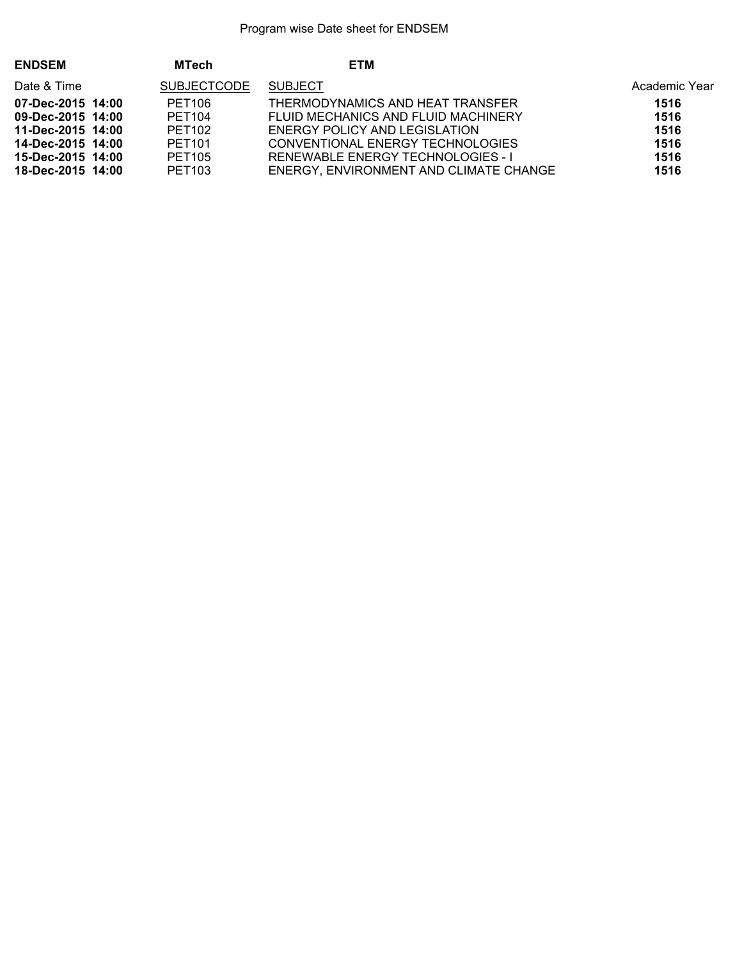| <b>ENDSEM</b>     | <b>MTech</b>       | <b>ETM</b>                             |               |
|-------------------|--------------------|----------------------------------------|---------------|
| Date & Time       | <b>SUBJECTCODE</b> | <b>SUBJECT</b>                         | Academic Year |
| 07-Dec-2015 14:00 | PET106             | THERMODYNAMICS AND HEAT TRANSFER       | 1516          |
| 09-Dec-2015 14:00 | <b>PET104</b>      | FLUID MECHANICS AND FLUID MACHINERY    | 1516          |
| 11-Dec-2015 14:00 | PET102             | ENERGY POLICY AND LEGISLATION          | 1516          |
| 14-Dec-2015 14:00 | PET <sub>101</sub> | CONVENTIONAL ENERGY TECHNOLOGIES       | 1516          |
| 15-Dec-2015 14:00 | <b>PET105</b>      | RENEWABLE ENERGY TECHNOLOGIES - I      | 1516          |
| 18-Dec-2015 14:00 | PET <sub>103</sub> | ENERGY, ENVIRONMENT AND CLIMATE CHANGE | 1516          |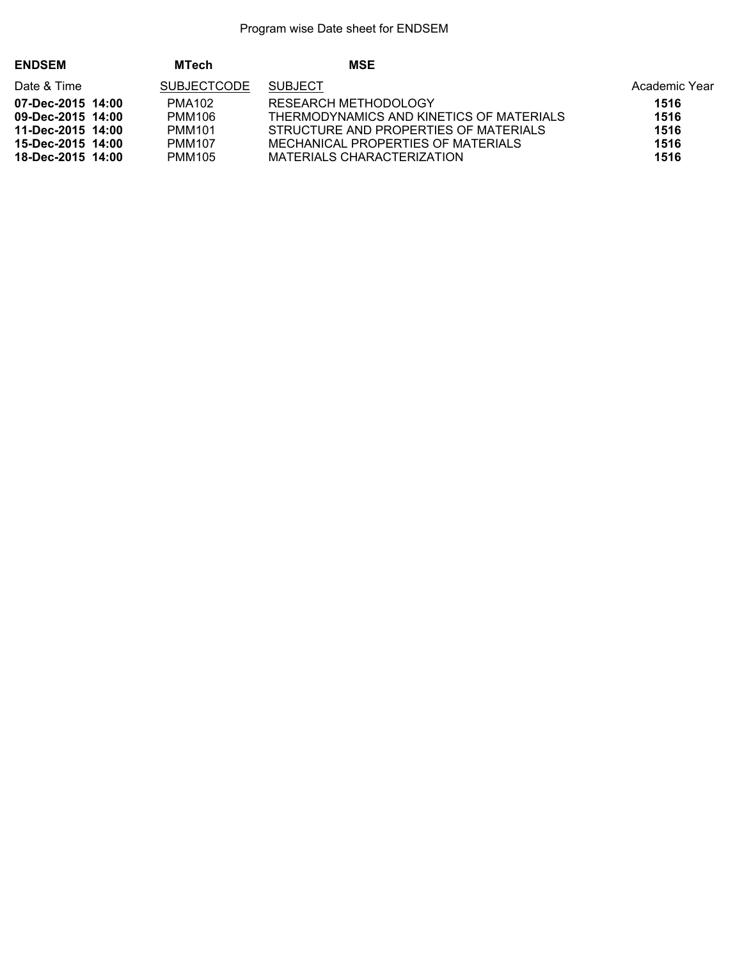| <b>ENDSEM</b>     | <b>MTech</b>                         | <b>MSE</b>                               |               |
|-------------------|--------------------------------------|------------------------------------------|---------------|
| Date & Time       | <b>SUBJECTCODE</b><br><b>SUBJECT</b> |                                          | Academic Year |
| 07-Dec-2015 14:00 | PMA <sub>102</sub>                   | RESEARCH METHODOLOGY                     | 1516          |
| 09-Dec-2015 14:00 | PMM106                               | THERMODYNAMICS AND KINETICS OF MATERIALS | 1516          |
| 11-Dec-2015 14:00 | <b>PMM101</b>                        | STRUCTURE AND PROPERTIES OF MATERIALS    | 1516          |
| 15-Dec-2015 14:00 | <b>PMM107</b>                        | MECHANICAL PROPERTIES OF MATERIALS       | 1516          |
| 18-Dec-2015 14:00 | <b>PMM105</b>                        | MATERIALS CHARACTERIZATION               | 1516          |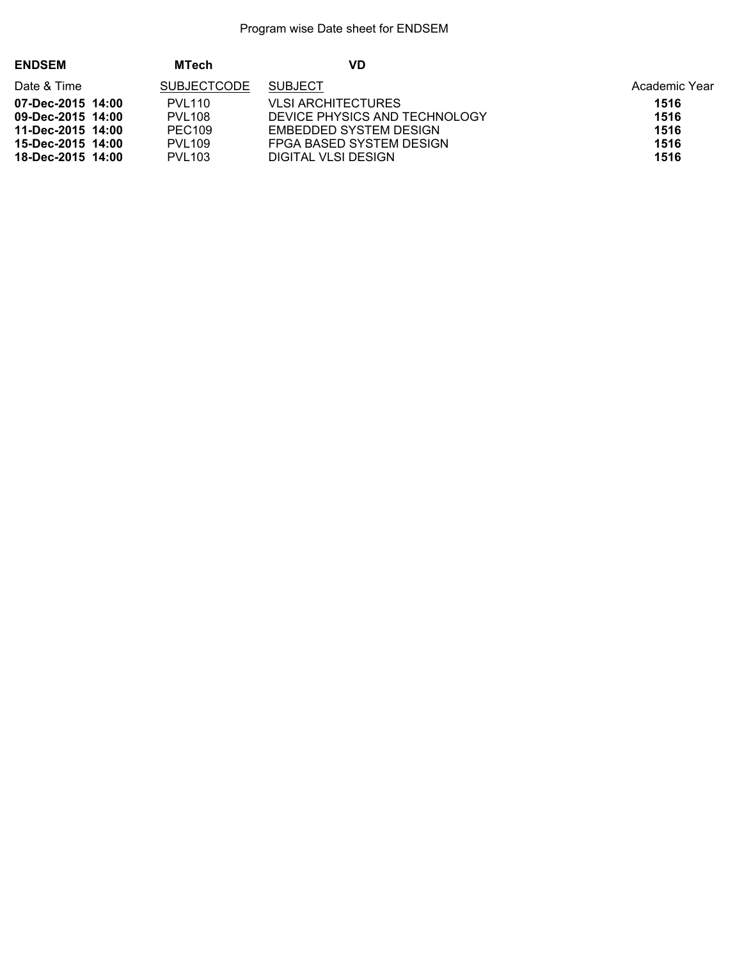| <b>ENDSEM</b>     | <b>MTech</b>       | VD                            |               |
|-------------------|--------------------|-------------------------------|---------------|
| Date & Time       | <b>SUBJECTCODE</b> | <b>SUBJECT</b>                | Academic Year |
| 07-Dec-2015 14:00 | <b>PVL110</b>      | VLSI ARCHITECTURES            | 1516          |
| 09-Dec-2015 14:00 | <b>PVL108</b>      | DEVICE PHYSICS AND TECHNOLOGY | 1516          |
| 11-Dec-2015 14:00 | PEC <sub>109</sub> | EMBEDDED SYSTEM DESIGN        | 1516          |
| 15-Dec-2015 14:00 | <b>PVL109</b>      | FPGA BASED SYSTEM DESIGN      | 1516          |
| 18-Dec-2015 14:00 | <b>PVL103</b>      | DIGITAL VLSI DESIGN           | 1516          |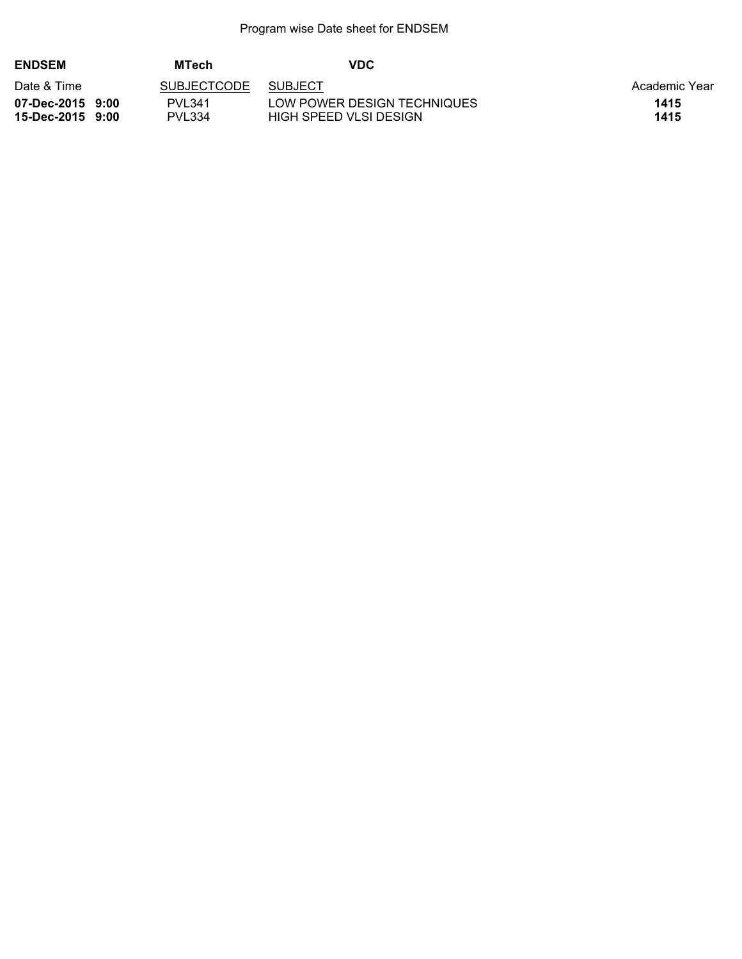| <b>ENDSEM</b>                        | <b>MTech</b>            | <b>VDC</b>                                            |               |
|--------------------------------------|-------------------------|-------------------------------------------------------|---------------|
| Date & Time                          | <b>SUBJECTCODE</b>      | <b>SUBJECT</b>                                        | Academic Year |
| 07-Dec-2015 9:00<br>15-Dec-2015 9:00 | PVL341<br><b>PVL334</b> | LOW POWER DESIGN TECHNIQUES<br>HIGH SPEED VLSI DESIGN | 1415<br>1415  |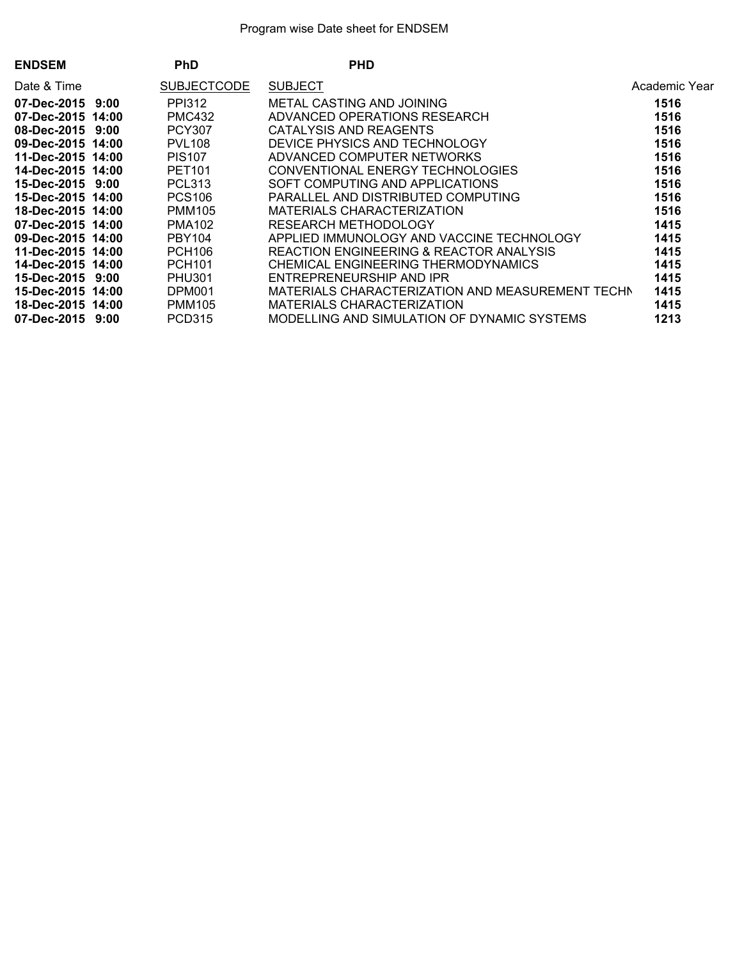| <b>ENDSEM</b>     | <b>PhD</b>         | <b>PHD</b>                                  |                                                          |
|-------------------|--------------------|---------------------------------------------|----------------------------------------------------------|
| Date & Time       | <b>SUBJECTCODE</b> | <b>SUBJECT</b>                              | Academic Year                                            |
| 07-Dec-2015 9:00  | <b>PPI312</b>      | METAL CASTING AND JOINING                   | 1516                                                     |
| 07-Dec-2015 14:00 | <b>PMC432</b>      | ADVANCED OPERATIONS RESEARCH                | 1516                                                     |
| 08-Dec-2015 9:00  | <b>PCY307</b>      | CATALYSIS AND REAGENTS                      | 1516                                                     |
| 09-Dec-2015 14:00 | <b>PVL108</b>      | DEVICE PHYSICS AND TECHNOLOGY               | 1516                                                     |
| 11-Dec-2015 14:00 | <b>PIS107</b>      | ADVANCED COMPUTER NETWORKS                  | 1516                                                     |
| 14-Dec-2015 14:00 | <b>PET101</b>      | CONVENTIONAL ENERGY TECHNOLOGIES            | 1516                                                     |
| 15-Dec-2015 9:00  | <b>PCL313</b>      | SOFT COMPUTING AND APPLICATIONS             | 1516                                                     |
| 15-Dec-2015 14:00 | <b>PCS106</b>      | PARALLEL AND DISTRIBUTED COMPUTING          | 1516                                                     |
| 18-Dec-2015 14:00 | <b>PMM105</b>      | MATERIALS CHARACTERIZATION                  | 1516                                                     |
| 07-Dec-2015 14:00 | <b>PMA102</b>      | RESEARCH METHODOLOGY                        | 1415                                                     |
| 09-Dec-2015 14:00 | PBY104             | APPLIED IMMUNOLOGY AND VACCINE TECHNOLOGY   | 1415                                                     |
| 11-Dec-2015 14:00 | <b>PCH106</b>      | REACTION ENGINEERING & REACTOR ANALYSIS     | 1415                                                     |
| 14-Dec-2015 14:00 | <b>PCH101</b>      | CHEMICAL ENGINEERING THERMODYNAMICS         | 1415                                                     |
| 15-Dec-2015 9:00  | <b>PHU301</b>      | ENTREPRENEURSHIP AND IPR                    | 1415                                                     |
| 15-Dec-2015 14:00 | DPM001             |                                             | 1415<br>MATERIALS CHARACTERIZATION AND MEASUREMENT TECHN |
| 18-Dec-2015 14:00 | <b>PMM105</b>      | MATERIALS CHARACTERIZATION                  | 1415                                                     |
| 07-Dec-2015 9:00  | <b>PCD315</b>      | MODELLING AND SIMULATION OF DYNAMIC SYSTEMS | 1213                                                     |